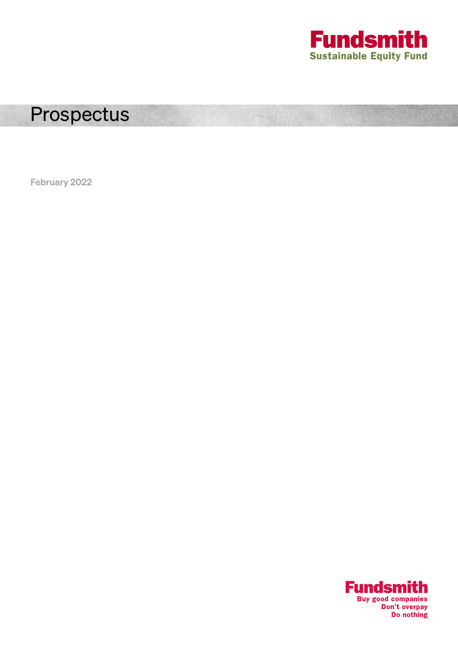

### Prospectus

February 2022

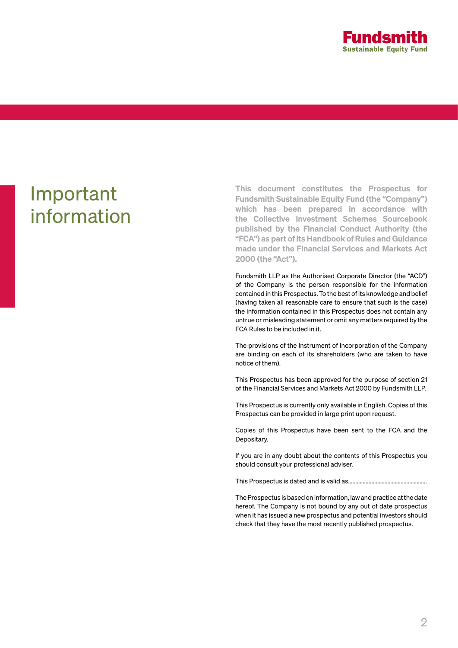

## Important information

This document constitutes the Prospectus for Fundsmith Sustainable Equity Fund (the "Company") which has been prepared in accordance with the Collective Investment Schemes Sourcebook published by the Financial Conduct Authority (the "FCA") as part of its Handbook of Rules and Guidance made under the Financial Services and Markets Act 2000 (the "Act").

Fundsmith LLP as the Authorised Corporate Director (the "ACD") of the Company is the person responsible for the information contained in this Prospectus. To the best of its knowledge and belief (having taken all reasonable care to ensure that such is the case) the information contained in this Prospectus does not contain any untrue or misleading statement or omit any matters required by the FCA Rules to be included in it.

The provisions of the Instrument of Incorporation of the Company are binding on each of its shareholders (who are taken to have notice of them).

This Prospectus has been approved for the purpose of section 21 of the Financial Services and Markets Act 2000 by Fundsmith LLP.

This Prospectus is currently only available in English. Copies of this Prospectus can be provided in large print upon request.

Copies of this Prospectus have been sent to the FCA and the Depositary.

If you are in any doubt about the contents of this Prospectus you should consult your professional adviser.

This Prospectus is dated and is valid as......................................................

The Prospectus is based on information, law and practice at the date hereof. The Company is not bound by any out of date prospectus when it has issued a new prospectus and potential investors should check that they have the most recently published prospectus.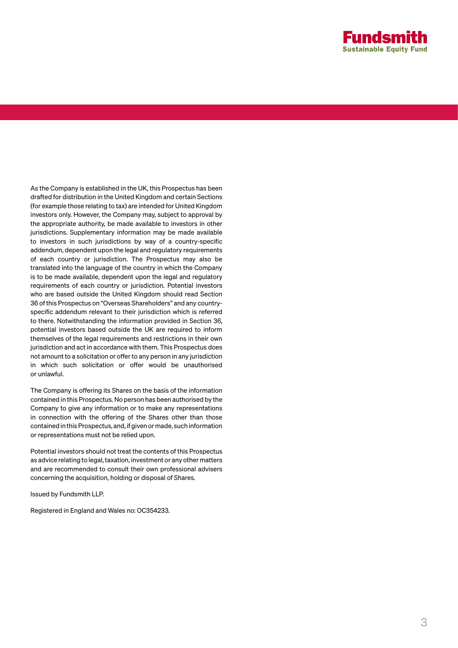

As the Company is established in the UK, this Prospectus has been drafted for distribution in the United Kingdom and certain Sections (for example those relating to tax) are intended for United Kingdom investors only. However, the Company may, subject to approval by the appropriate authority, be made available to investors in other jurisdictions. Supplementary information may be made available to investors in such jurisdictions by way of a country-specific addendum, dependent upon the legal and regulatory requirements of each country or jurisdiction. The Prospectus may also be translated into the language of the country in which the Company is to be made available, dependent upon the legal and regulatory requirements of each country or jurisdiction. Potential investors who are based outside the United Kingdom should read Section 36 of this Prospectus on "Overseas Shareholders" and any countryspecific addendum relevant to their jurisdiction which is referred to there. Notwithstanding the information provided in Section 36, potential investors based outside the UK are required to inform themselves of the legal requirements and restrictions in their own jurisdiction and act in accordance with them. This Prospectus does not amount to a solicitation or offer to any person in any jurisdiction in which such solicitation or offer would be unauthorised or unlawful.

The Company is offering its Shares on the basis of the information contained in this Prospectus. No person has been authorised by the Company to give any information or to make any representations in connection with the offering of the Shares other than those contained in this Prospectus, and, if given or made, such information or representations must not be relied upon.

Potential investors should not treat the contents of this Prospectus as advice relating to legal, taxation, investment or any other matters and are recommended to consult their own professional advisers concerning the acquisition, holding or disposal of Shares.

Issued by Fundsmith LLP.

Registered in England and Wales no: OC354233.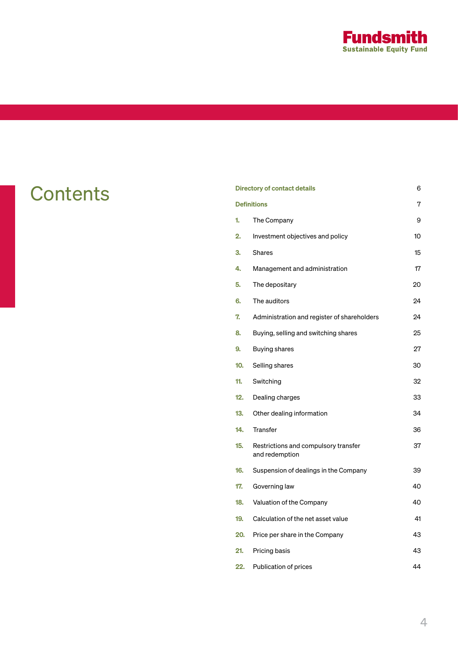

| <b>Contents</b> |                    | <b>Directory of contact details</b>                    |    |
|-----------------|--------------------|--------------------------------------------------------|----|
|                 | <b>Definitions</b> |                                                        |    |
|                 | 1.                 | The Company                                            | 9  |
|                 | 2.                 | Investment objectives and policy                       | 10 |
|                 | 3.                 | Shares                                                 | 15 |
|                 | 4.                 | Management and administration                          | 17 |
|                 | 5.                 | The depositary                                         | 20 |
|                 | 6.                 | The auditors                                           | 24 |
|                 | 7.                 | Administration and register of shareholders            | 24 |
|                 | 8.                 | Buying, selling and switching shares                   | 25 |
|                 | 9.                 | Buying shares                                          | 27 |
|                 | 10.                | Selling shares                                         | 30 |
|                 | 11.                | Switching                                              | 32 |
|                 | 12.                | Dealing charges                                        | 33 |
|                 | 13.                | Other dealing information                              | 34 |
|                 | 14.                | Transfer                                               | 36 |
|                 | 15.                | Restrictions and compulsory transfer<br>and redemption | 37 |
|                 | 16.                | Suspension of dealings in the Company                  | 39 |
|                 | 17.                | Governing law                                          | 40 |
|                 | 18.                | Valuation of the Company                               | 40 |
|                 | 19.                | Calculation of the net asset value                     | 41 |
|                 | 20.                | Price per share in the Company                         | 43 |
|                 | 21.                | Pricing basis                                          | 43 |
|                 | 22.                | Publication of prices                                  | 44 |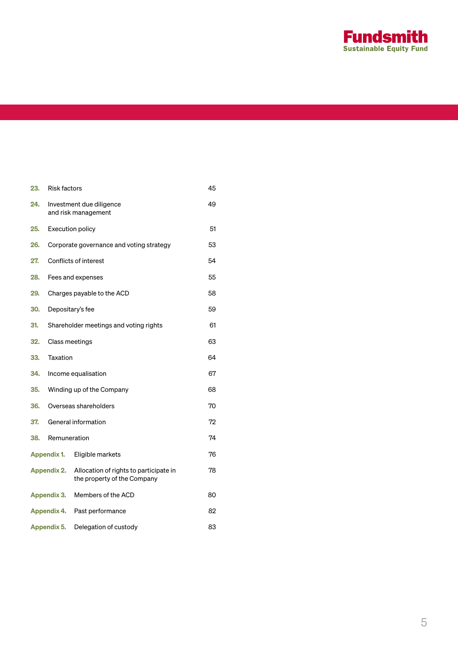

| 23.                | <b>Risk factors</b>                             |                                                                       |    |  |
|--------------------|-------------------------------------------------|-----------------------------------------------------------------------|----|--|
| 24.                | Investment due diligence<br>and risk management |                                                                       |    |  |
| 25.                | <b>Execution policy</b>                         | 51                                                                    |    |  |
| 26.                | Corporate governance and voting strategy        |                                                                       |    |  |
| 27.                | Conflicts of interest                           |                                                                       |    |  |
| 28.                | Fees and expenses                               |                                                                       |    |  |
| 29.                | Charges payable to the ACD                      |                                                                       |    |  |
| 30.                | Depositary's fee                                |                                                                       | 59 |  |
| 31.                | Shareholder meetings and voting rights          |                                                                       | 61 |  |
| 32.                | Class meetings                                  |                                                                       | 63 |  |
| 33.                | Taxation                                        |                                                                       | 64 |  |
| 34.                | Income equalisation                             |                                                                       | 67 |  |
| 35.                | Winding up of the Company                       |                                                                       | 68 |  |
| 36.                | Overseas shareholders                           |                                                                       | 70 |  |
| 37.                | General information                             |                                                                       | 72 |  |
| 38.                | Remuneration                                    |                                                                       | 74 |  |
|                    | Appendix 1.                                     | Eligible markets                                                      | 76 |  |
|                    | <b>Appendix 2.</b>                              | Allocation of rights to participate in<br>the property of the Company | 78 |  |
|                    | Appendix 3.                                     | Members of the ACD                                                    | 80 |  |
| <b>Appendix 4.</b> |                                                 | Past performance                                                      | 82 |  |
|                    | Appendix 5.                                     | Delegation of custody                                                 | 83 |  |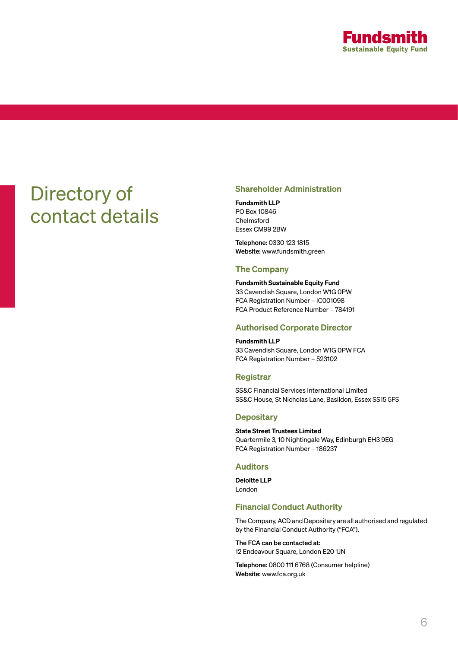

## Directory of contact details

### Shareholder Administration

Fundsmith LLP PO Box 10846 Chelmsford Essex CM99 2BW

Telephone: 0330 123 1815 Website: www.fundsmith.green

### The Company

Fundsmith Sustainable Equity Fund 33 Cavendish Square, London W1G 0PW FCA Registration Number – IC001098 FCA Product Reference Number – 784191

### Authorised Corporate Director

Fundsmith LLP 33 Cavendish Square, London W1G 0PW FCA FCA Registration Number – 523102

### Registrar

SS&C Financial Services International Limited SS&C House, St Nicholas Lane, Basildon, Essex SS15 5FS

### **Depositary**

State Street Trustees Limited Quartermile 3, 10 Nightingale Way, Edinburgh EH3 9EG FCA Registration Number – 186237

### Auditors

Deloitte LLP London

### Financial Conduct Authority

The Company, ACD and Depositary are all authorised and regulated by the Financial Conduct Authority ("FCA").

The FCA can be contacted at: 12 Endeavour Square, London E20 1JN

Telephone: 0800 111 6768 (Consumer helpline) Website: www.fca.org.uk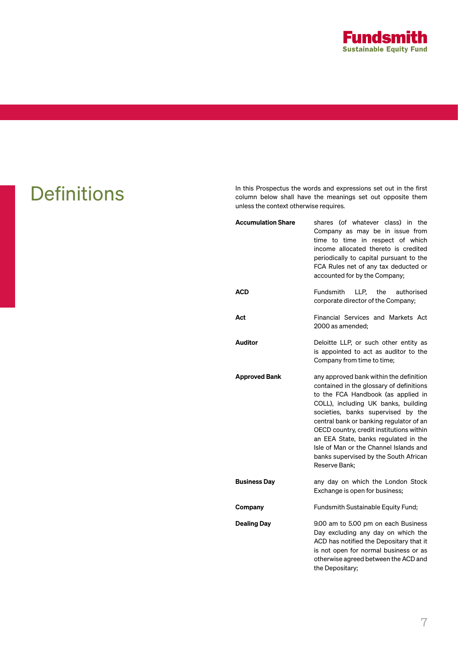

Definitions In this Prospectus the words and expressions set out in the first column below shall have the meanings set out opposite them unless the context otherwise requires.

| <b>Accumulation Share</b> | shares (of whatever class) in the<br>Company as may be in issue from<br>time to time in respect of which<br>income allocated thereto is credited<br>periodically to capital pursuant to the<br>FCA Rules net of any tax deducted or<br>accounted for by the Company;                                                                                                                                                                      |  |  |
|---------------------------|-------------------------------------------------------------------------------------------------------------------------------------------------------------------------------------------------------------------------------------------------------------------------------------------------------------------------------------------------------------------------------------------------------------------------------------------|--|--|
| <b>ACD</b>                | Fundsmith<br>LLP.<br>the<br>authorised<br>corporate director of the Company;                                                                                                                                                                                                                                                                                                                                                              |  |  |
| Act                       | Financial Services and Markets Act<br>2000 as amended:                                                                                                                                                                                                                                                                                                                                                                                    |  |  |
| <b>Auditor</b>            | Deloitte LLP, or such other entity as<br>is appointed to act as auditor to the<br>Company from time to time;                                                                                                                                                                                                                                                                                                                              |  |  |
| <b>Approved Bank</b>      | any approved bank within the definition<br>contained in the glossary of definitions<br>to the FCA Handbook (as applied in<br>COLL), including UK banks, building<br>societies, banks supervised by the<br>central bank or banking regulator of an<br>OECD country, credit institutions within<br>an EEA State, banks regulated in the<br>Isle of Man or the Channel Islands and<br>banks supervised by the South African<br>Reserve Bank; |  |  |
| <b>Business Day</b>       | any day on which the London Stock<br>Exchange is open for business;                                                                                                                                                                                                                                                                                                                                                                       |  |  |
| Company                   | Fundsmith Sustainable Equity Fund;                                                                                                                                                                                                                                                                                                                                                                                                        |  |  |
| <b>Dealing Day</b>        | 9.00 am to 5.00 pm on each Business<br>Day excluding any day on which the<br>ACD has notified the Depositary that it<br>is not open for normal business or as<br>otherwise agreed between the ACD and<br>the Depositary;                                                                                                                                                                                                                  |  |  |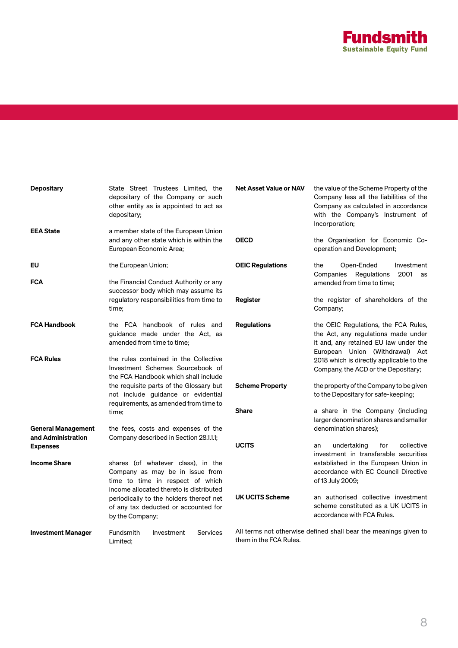

| <b>Depositary</b>                               | State Street Trustees Limited, the<br>depositary of the Company or such<br>other entity as is appointed to act as<br>depositary;                     | <b>Net Asset Value or NAV</b> | the value of the Scheme Property of the<br>Company less all the liabilities of the<br>Company as calculated in accordance<br>with the Company's Instrument of<br>Incorporation; |  |
|-------------------------------------------------|------------------------------------------------------------------------------------------------------------------------------------------------------|-------------------------------|---------------------------------------------------------------------------------------------------------------------------------------------------------------------------------|--|
| <b>EEA State</b>                                | a member state of the European Union<br>and any other state which is within the<br>European Economic Area;                                           | <b>OECD</b>                   | the Organisation for Economic Co-<br>operation and Development;                                                                                                                 |  |
| EU                                              | the European Union;                                                                                                                                  | <b>OEIC Regulations</b>       | Open-Ended<br>the<br>Investment<br>2001<br>Companies Regulations<br>as<br>amended from time to time;                                                                            |  |
| <b>FCA</b>                                      | the Financial Conduct Authority or any<br>successor body which may assume its                                                                        |                               |                                                                                                                                                                                 |  |
|                                                 | regulatory responsibilities from time to<br>time;                                                                                                    | Register                      | the register of shareholders of the<br>Company;                                                                                                                                 |  |
| <b>FCA Handbook</b>                             | the FCA handbook of rules and<br>guidance made under the Act, as<br>amended from time to time;                                                       | <b>Regulations</b>            | the OEIC Regulations, the FCA Rules,<br>the Act, any regulations made under<br>it and, any retained EU law under the<br>European Union (Withdrawal) Act                         |  |
| <b>FCA Rules</b>                                | the rules contained in the Collective<br>Investment Schemes Sourcebook of<br>the FCA Handbook which shall include                                    |                               | 2018 which is directly applicable to the<br>Company, the ACD or the Depositary;                                                                                                 |  |
|                                                 | the requisite parts of the Glossary but<br>not include guidance or evidential<br>requirements, as amended from time to<br>time;                      | <b>Scheme Property</b>        | the property of the Company to be given<br>to the Depositary for safe-keeping;                                                                                                  |  |
|                                                 |                                                                                                                                                      | <b>Share</b>                  | a share in the Company (including<br>larger denomination shares and smaller                                                                                                     |  |
| <b>General Management</b><br>and Administration | the fees, costs and expenses of the<br>Company described in Section 28.1.1.1;                                                                        |                               | denomination shares):                                                                                                                                                           |  |
| <b>Expenses</b>                                 |                                                                                                                                                      | <b>UCITS</b>                  | collective<br>undertaking<br>for<br>an<br>investment in transferable securities                                                                                                 |  |
| <b>Income Share</b>                             | shares (of whatever class), in the<br>Company as may be in issue from<br>time to time in respect of which<br>income allocated thereto is distributed |                               | established in the European Union in<br>accordance with EC Council Directive<br>of 13 July 2009;                                                                                |  |
|                                                 | periodically to the holders thereof net<br>of any tax deducted or accounted for<br>by the Company;                                                   | <b>UK UCITS Scheme</b>        | an authorised collective investment<br>scheme constituted as a UK UCITS in<br>accordance with FCA Rules.                                                                        |  |
| <b>Investment Manager</b>                       | Fundsmith<br>Investment<br><b>Services</b><br>Limited:                                                                                               | them in the FCA Rules.        | All terms not otherwise defined shall bear the meanings given to                                                                                                                |  |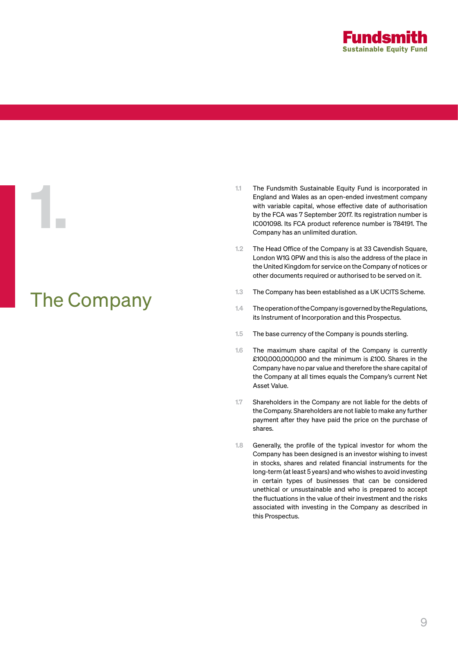

# The Company

1.

- 1.1 The Fundsmith Sustainable Equity Fund is incorporated in England and Wales as an open-ended investment company with variable capital, whose effective date of authorisation by the FCA was 7 September 2017. Its registration number is IC001098. Its FCA product reference number is 784191. The Company has an unlimited duration.
- 1.2 The Head Office of the Company is at 33 Cavendish Square, London W1G 0PW and this is also the address of the place in the United Kingdom for service on the Company of notices or other documents required or authorised to be served on it.
- 1.3 The Company has been established as a UK UCITS Scheme.
- 1.4 The operation of the Company is governed by the Regulations, its Instrument of Incorporation and this Prospectus.
- 1.5 The base currency of the Company is pounds sterling.
- 1.6 The maximum share capital of the Company is currently £100,000,000,000 and the minimum is £100. Shares in the Company have no par value and therefore the share capital of the Company at all times equals the Company's current Net Asset Value.
- 1.7 Shareholders in the Company are not liable for the debts of the Company. Shareholders are not liable to make any further payment after they have paid the price on the purchase of shares.
- 1.8 Generally, the profile of the typical investor for whom the Company has been designed is an investor wishing to invest in stocks, shares and related financial instruments for the long-term (at least 5 years) and who wishes to avoid investing in certain types of businesses that can be considered unethical or unsustainable and who is prepared to accept the fluctuations in the value of their investment and the risks associated with investing in the Company as described in this Prospectus.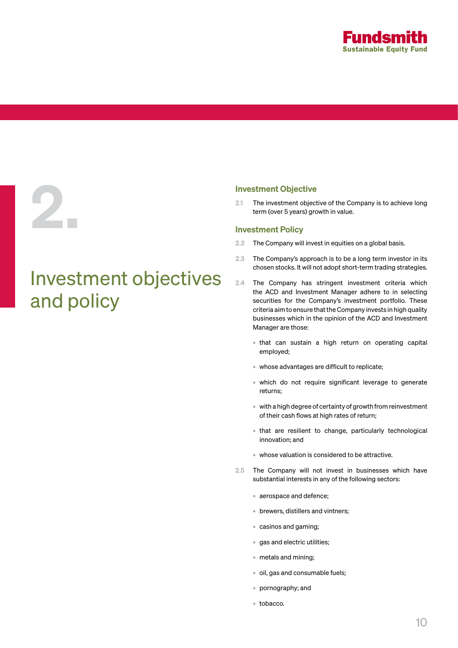

### Investment Objective

2.1 The investment objective of the Company is to achieve long term (over 5 years) growth in value.

### Investment Policy

Investment objectives

and policy

2.

- 2.2 The Company will invest in equities on a global basis.
- 2.3 The Company's approach is to be a long term investor in its chosen stocks. It will not adopt short-term trading strategies.
- 2.4 The Company has stringent investment criteria which the ACD and Investment Manager adhere to in selecting securities for the Company's investment portfolio. These criteria aim to ensure that the Company invests in high quality businesses which in the opinion of the ACD and Investment Manager are those:
	- that can sustain a high return on operating capital employed;
	- whose advantages are difficult to replicate;
	- which do not require significant leverage to generate returns;
	- with a high degree of certainty of growth from reinvestment of their cash flows at high rates of return;
	- that are resilient to change, particularly technological innovation; and
	- whose valuation is considered to be attractive.
- 2.5 The Company will not invest in businesses which have substantial interests in any of the following sectors:
	- aerospace and defence;
	- brewers, distillers and vintners;
	- casinos and gaming;
	- gas and electric utilities;
	- metals and mining;
	- oil, gas and consumable fuels;
	- pornography; and
	- tobacco.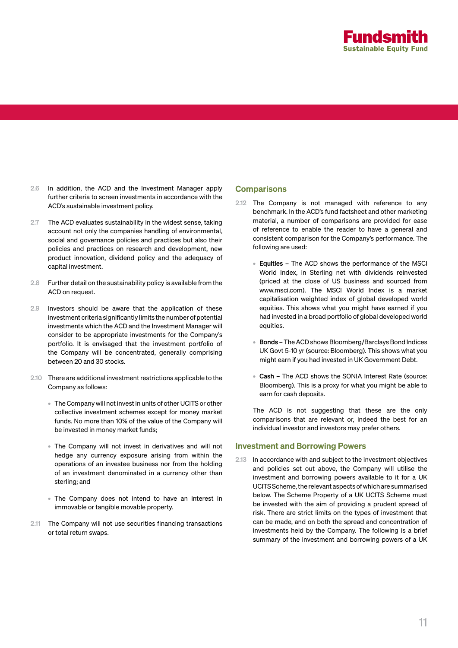

- 2.6 In addition, the ACD and the Investment Manager apply further criteria to screen investments in accordance with the ACD's sustainable investment policy.
- 2.7 The ACD evaluates sustainability in the widest sense, taking account not only the companies handling of environmental, social and governance policies and practices but also their policies and practices on research and development, new product innovation, dividend policy and the adequacy of capital investment.
- 2.8 Further detail on the sustainability policy is available from the ACD on request.
- 2.9 Investors should be aware that the application of these investment criteria significantly limits the number of potential investments which the ACD and the Investment Manager will consider to be appropriate investments for the Company's portfolio. It is envisaged that the investment portfolio of the Company will be concentrated, generally comprising between 20 and 30 stocks.
- 2.10 There are additional investment restrictions applicable to the Company as follows:
	- The Company will not invest in units of other UCITS or other collective investment schemes except for money market funds. No more than 10% of the value of the Company will be invested in money market funds;
	- The Company will not invest in derivatives and will not hedge any currency exposure arising from within the operations of an investee business nor from the holding of an investment denominated in a currency other than sterling; and
	- The Company does not intend to have an interest in immovable or tangible movable property.
- 2.11 The Company will not use securities financing transactions or total return swaps.

### **Comparisons**

- 2.12 The Company is not managed with reference to any benchmark. In the ACD's fund factsheet and other marketing material, a number of comparisons are provided for ease of reference to enable the reader to have a general and consistent comparison for the Company's performance. The following are used:
	- Equities The ACD shows the performance of the MSCI World Index, in Sterling net with dividends reinvested (priced at the close of US business and sourced from www.msci.com). The MSCI World Index is a market capitalisation weighted index of global developed world equities. This shows what you might have earned if you had invested in a broad portfolio of global developed world equities.
	- Bonds The ACD shows Bloomberg/Barclays Bond Indices UK Govt 5-10 yr (source: Bloomberg). This shows what you might earn if you had invested in UK Government Debt.
	- Cash The ACD shows the SONIA Interest Rate (source: Bloomberg). This is a proxy for what you might be able to earn for cash deposits.

The ACD is not suggesting that these are the only comparisons that are relevant or, indeed the best for an individual investor and investors may prefer others.

### Investment and Borrowing Powers

2.13 In accordance with and subject to the investment objectives and policies set out above, the Company will utilise the investment and borrowing powers available to it for a UK UCITS Scheme, the relevant aspects of which are summarised below. The Scheme Property of a UK UCITS Scheme must be invested with the aim of providing a prudent spread of risk. There are strict limits on the types of investment that can be made, and on both the spread and concentration of investments held by the Company. The following is a brief summary of the investment and borrowing powers of a UK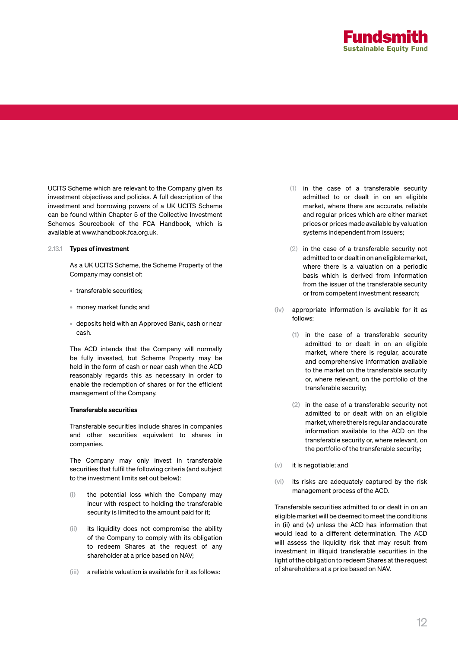

UCITS Scheme which are relevant to the Company given its investment objectives and policies. A full description of the investment and borrowing powers of a UK UCITS Scheme can be found within Chapter 5 of the Collective Investment Schemes Sourcebook of the FCA Handbook, which is available at www.handbook.fca.org.uk.

### 2.13.1 Types of investment

As a UK UCITS Scheme, the Scheme Property of the Company may consist of:

- transferable securities;
- money market funds; and
- deposits held with an Approved Bank, cash or near cash.

The ACD intends that the Company will normally be fully invested, but Scheme Property may be held in the form of cash or near cash when the ACD reasonably regards this as necessary in order to enable the redemption of shares or for the efficient management of the Company.

### Transferable securities

Transferable securities include shares in companies and other securities equivalent to shares in companies.

The Company may only invest in transferable securities that fulfil the following criteria (and subject to the investment limits set out below):

- (i) the potential loss which the Company may incur with respect to holding the transferable security is limited to the amount paid for it;
- (ii) its liquidity does not compromise the ability of the Company to comply with its obligation to redeem Shares at the request of any shareholder at a price based on NAV;
- (iii) a reliable valuation is available for it as follows:
- (1) in the case of a transferable security admitted to or dealt in on an eligible market, where there are accurate, reliable and regular prices which are either market prices or prices made available by valuation systems independent from issuers;
- (2) in the case of a transferable security not admitted to or dealt in on an eligible market, where there is a valuation on a periodic basis which is derived from information from the issuer of the transferable security or from competent investment research;
- (iv) appropriate information is available for it as follows:
	- (1) in the case of a transferable security admitted to or dealt in on an eligible market, where there is regular, accurate and comprehensive information available to the market on the transferable security or, where relevant, on the portfolio of the transferable security;
	- (2) in the case of a transferable security not admitted to or dealt with on an eligible market, where there is regular and accurate information available to the ACD on the transferable security or, where relevant, on the portfolio of the transferable security;
- (v) it is negotiable; and
- (vi) its risks are adequately captured by the risk management process of the ACD.

Transferable securities admitted to or dealt in on an eligible market will be deemed to meet the conditions in (ii) and (v) unless the ACD has information that would lead to a different determination. The ACD will assess the liquidity risk that may result from investment in illiquid transferable securities in the light of the obligation to redeem Shares at the request of shareholders at a price based on NAV.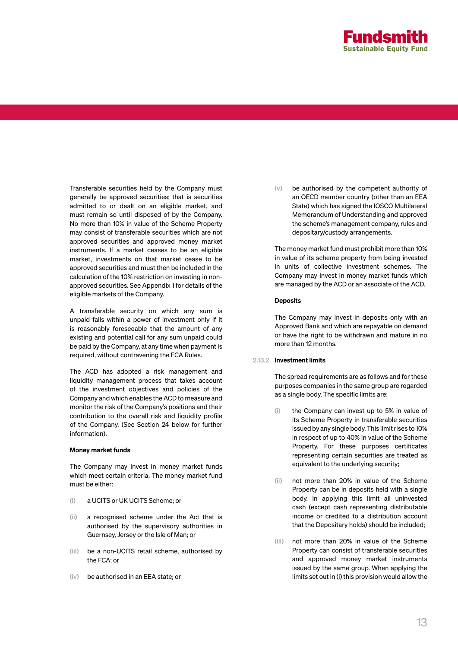

Transferable securities held by the Company must generally be approved securities; that is securities admitted to or dealt on an eligible market, and must remain so until disposed of by the Company. No more than 10% in value of the Scheme Property may consist of transferable securities which are not approved securities and approved money market instruments. If a market ceases to be an eligible market, investments on that market cease to be approved securities and must then be included in the calculation of the 10% restriction on investing in nonapproved securities. See Appendix 1 for details of the eligible markets of the Company.

A transferable security on which any sum is unpaid falls within a power of investment only if it is reasonably foreseeable that the amount of any existing and potential call for any sum unpaid could be paid by the Company, at any time when payment is required, without contravening the FCA Rules.

The ACD has adopted a risk management and liquidity management process that takes account of the investment objectives and policies of the Company and which enables the ACD to measure and monitor the risk of the Company's positions and their contribution to the overall risk and liquidity profile of the Company. (See Section 24 below for further information).

### Money market funds

The Company may invest in money market funds which meet certain criteria. The money market fund must be either:

- (i) a UCITS or UK UCITS Scheme; or
- (ii) a recognised scheme under the Act that is authorised by the supervisory authorities in Guernsey, Jersey or the Isle of Man; or
- (iii) be a non-UCITS retail scheme, authorised by the FCA; or
- (iv) be authorised in an EEA state; or

(v) be authorised by the competent authority of an OECD member country (other than an EEA State) which has signed the IOSCO Multilateral Memorandum of Understanding and approved the scheme's management company, rules and depositary/custody arrangements.

The money market fund must prohibit more than 10% in value of its scheme property from being invested in units of collective investment schemes. The Company may invest in money market funds which are managed by the ACD or an associate of the ACD.

### **Deposits**

The Company may invest in deposits only with an Approved Bank and which are repayable on demand or have the right to be withdrawn and mature in no more than 12 months.

### 2.13.2 Investment limits

The spread requirements are as follows and for these purposes companies in the same group are regarded as a single body. The specific limits are:

- (i) the Company can invest up to 5% in value of its Scheme Property in transferable securities issued by any single body. This limit rises to 10% in respect of up to 40% in value of the Scheme Property. For these purposes certificates representing certain securities are treated as equivalent to the underlying security;
- (ii) not more than 20% in value of the Scheme Property can be in deposits held with a single body. In applying this limit all uninvested cash (except cash representing distributable income or credited to a distribution account that the Depositary holds) should be included;
- (iii) not more than 20% in value of the Scheme Property can consist of transferable securities and approved money market instruments issued by the same group. When applying the limits set out in (i) this provision would allow the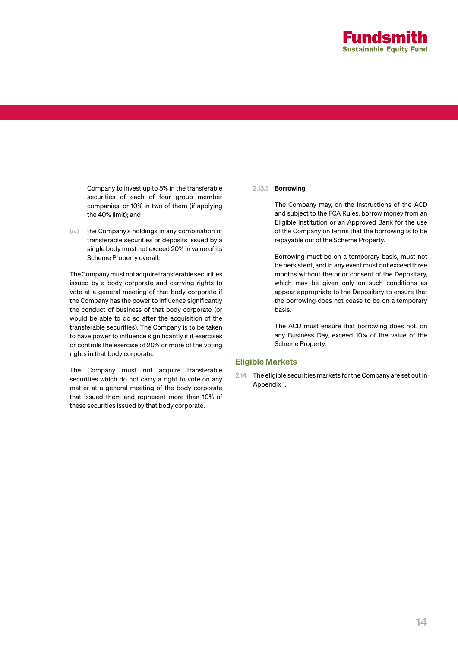

Company to invest up to 5% in the transferable securities of each of four group member companies, or 10% in two of them (if applying the 40% limit); and

(iv) the Company's holdings in any combination of transferable securities or deposits issued by a single body must not exceed 20% in value of its Scheme Property overall.

The Company must not acquire transferable securities issued by a body corporate and carrying rights to vote at a general meeting of that body corporate if the Company has the power to influence significantly the conduct of business of that body corporate (or would be able to do so after the acquisition of the transferable securities). The Company is to be taken to have power to influence significantly if it exercises or controls the exercise of 20% or more of the voting rights in that body corporate.

The Company must not acquire transferable securities which do not carry a right to vote on any matter at a general meeting of the body corporate that issued them and represent more than 10% of these securities issued by that body corporate.

### 2.13.3 Borrowing

The Company may, on the instructions of the ACD and subject to the FCA Rules, borrow money from an Eligible Institution or an Approved Bank for the use of the Company on terms that the borrowing is to be repayable out of the Scheme Property.

Borrowing must be on a temporary basis, must not be persistent, and in any event must not exceed three months without the prior consent of the Depositary, which may be given only on such conditions as appear appropriate to the Depositary to ensure that the borrowing does not cease to be on a temporary basis.

The ACD must ensure that borrowing does not, on any Business Day, exceed 10% of the value of the Scheme Property.

### Eligible Markets

2.14 The eligible securities markets for the Company are set out in Appendix 1.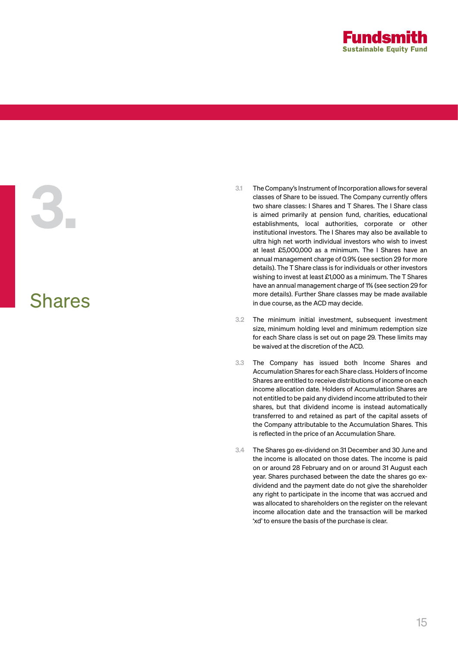

# Shares

3.

- 3.1 The Company's Instrument of Incorporation allows for several classes of Share to be issued. The Company currently offers two share classes: I Shares and T Shares. The I Share class is aimed primarily at pension fund, charities, educational establishments, local authorities, corporate or other institutional investors. The I Shares may also be available to ultra high net worth individual investors who wish to invest at least £5,000,000 as a minimum. The I Shares have an annual management charge of 0.9% (see section 29 for more details). The T Share class is for individuals or other investors wishing to invest at least £1,000 as a minimum. The T Shares have an annual management charge of 1% (see section 29 for more details). Further Share classes may be made available in due course, as the ACD may decide.
- 3.2 The minimum initial investment, subsequent investment size, minimum holding level and minimum redemption size for each Share class is set out on page 29. These limits may be waived at the discretion of the ACD.
- 3.3 The Company has issued both Income Shares and Accumulation Shares for each Share class. Holders of Income Shares are entitled to receive distributions of income on each income allocation date. Holders of Accumulation Shares are not entitled to be paid any dividend income attributed to their shares, but that dividend income is instead automatically transferred to and retained as part of the capital assets of the Company attributable to the Accumulation Shares. This is reflected in the price of an Accumulation Share.
- 3.4 The Shares go ex-dividend on 31 December and 30 June and the income is allocated on those dates. The income is paid on or around 28 February and on or around 31 August each year. Shares purchased between the date the shares go exdividend and the payment date do not give the shareholder any right to participate in the income that was accrued and was allocated to shareholders on the register on the relevant income allocation date and the transaction will be marked 'xd' to ensure the basis of the purchase is clear.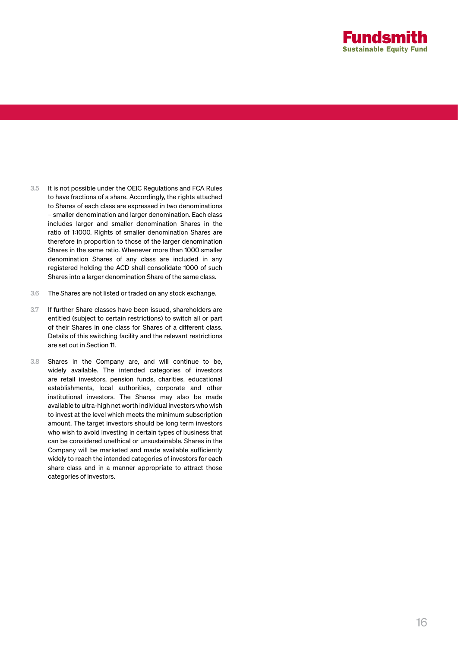

- 3.5 It is not possible under the OEIC Regulations and FCA Rules to have fractions of a share. Accordingly, the rights attached to Shares of each class are expressed in two denominations – smaller denomination and larger denomination. Each class includes larger and smaller denomination Shares in the ratio of 1:1000. Rights of smaller denomination Shares are therefore in proportion to those of the larger denomination Shares in the same ratio. Whenever more than 1000 smaller denomination Shares of any class are included in any registered holding the ACD shall consolidate 1000 of such Shares into a larger denomination Share of the same class.
- 3.6 The Shares are not listed or traded on any stock exchange.
- 3.7 If further Share classes have been issued, shareholders are entitled (subject to certain restrictions) to switch all or part of their Shares in one class for Shares of a different class. Details of this switching facility and the relevant restrictions are set out in Section 11.
- 3.8 Shares in the Company are, and will continue to be, widely available. The intended categories of investors are retail investors, pension funds, charities, educational establishments, local authorities, corporate and other institutional investors. The Shares may also be made available to ultra-high net worth individual investors who wish to invest at the level which meets the minimum subscription amount. The target investors should be long term investors who wish to avoid investing in certain types of business that can be considered unethical or unsustainable. Shares in the Company will be marketed and made available sufficiently widely to reach the intended categories of investors for each share class and in a manner appropriate to attract those categories of investors.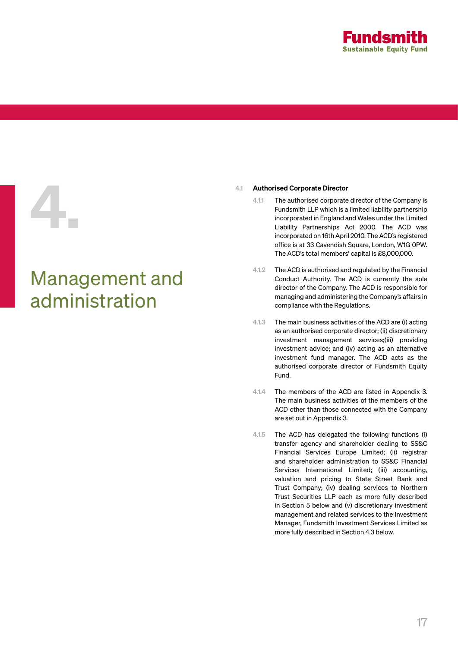

# Management and administration

- 4.1 **Authorised Corporate Director**<br>4.1.1 The authorised corporate<br>Fundsmith LLP which is a<br>incorporated in England a<br>Liability Partnerships A<br>incorporated on 16th Apri 4.1.1 The authorised corporate director of the Company is Fundsmith LLP which is a limited liability partnership incorporated in England and Wales under the Limited Liability Partnerships Act 2000. The ACD was incorporated on 16th April 2010. The ACD's registered office is at 33 Cavendish Square, London, W1G 0PW. The ACD's total members' capital is £8,000,000.
	- 4.1.2 The ACD is authorised and regulated by the Financial Conduct Authority. The ACD is currently the sole director of the Company. The ACD is responsible for managing and administering the Company's affairs in compliance with the Regulations.
	- 4.1.3 The main business activities of the ACD are (i) acting as an authorised corporate director; (ii) discretionary investment management services;(iii) providing investment advice; and (iv) acting as an alternative investment fund manager. The ACD acts as the authorised corporate director of Fundsmith Equity Fund.
	- 4.1.4 The members of the ACD are listed in Appendix 3. The main business activities of the members of the ACD other than those connected with the Company are set out in Appendix 3.
	- 4.1.5 The ACD has delegated the following functions (i) transfer agency and shareholder dealing to SS&C Financial Services Europe Limited; (ii) registrar and shareholder administration to SS&C Financial Services International Limited; (iii) accounting, valuation and pricing to State Street Bank and Trust Company; (iv) dealing services to Northern Trust Securities LLP each as more fully described in Section 5 below and (v) discretionary investment management and related services to the Investment Manager, Fundsmith Investment Services Limited as more fully described in Section 4.3 below.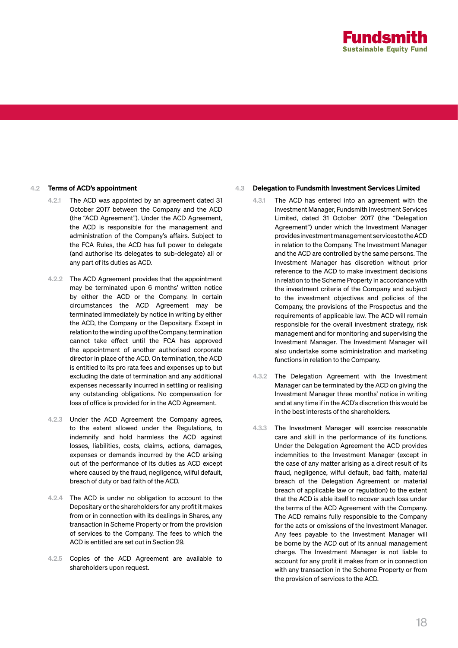

### 4.2 Terms of ACD's appointment

- 4.2.1 The ACD was appointed by an agreement dated 31 October 2017 between the Company and the ACD (the "ACD Agreement"). Under the ACD Agreement, the ACD is responsible for the management and administration of the Company's affairs. Subject to the FCA Rules, the ACD has full power to delegate (and authorise its delegates to sub-delegate) all or any part of its duties as ACD.
- 4.2.2 The ACD Agreement provides that the appointment may be terminated upon 6 months' written notice by either the ACD or the Company. In certain circumstances the ACD Agreement may be terminated immediately by notice in writing by either the ACD, the Company or the Depositary. Except in relation to the winding up of the Company, termination cannot take effect until the FCA has approved the appointment of another authorised corporate director in place of the ACD. On termination, the ACD is entitled to its pro rata fees and expenses up to but excluding the date of termination and any additional expenses necessarily incurred in settling or realising any outstanding obligations. No compensation for loss of office is provided for in the ACD Agreement.
- 4.2.3 Under the ACD Agreement the Company agrees, to the extent allowed under the Regulations, to indemnify and hold harmless the ACD against losses, liabilities, costs, claims, actions, damages, expenses or demands incurred by the ACD arising out of the performance of its duties as ACD except where caused by the fraud, negligence, wilful default, breach of duty or bad faith of the ACD.
- 4.2.4 The ACD is under no obligation to account to the Depositary or the shareholders for any profit it makes from or in connection with its dealings in Shares, any transaction in Scheme Property or from the provision of services to the Company. The fees to which the ACD is entitled are set out in Section 29.
- 4.2.5 Copies of the ACD Agreement are available to shareholders upon request.

### 4.3 Delegation to Fundsmith Investment Services Limited

- 4.3.1 The ACD has entered into an agreement with the Investment Manager, Fundsmith Investment Services Limited, dated 31 October 2017 (the "Delegation Agreement") under which the Investment Manager provides investment management services to the ACD in relation to the Company. The Investment Manager and the ACD are controlled by the same persons. The Investment Manager has discretion without prior reference to the ACD to make investment decisions in relation to the Scheme Property in accordance with the investment criteria of the Company and subject to the investment objectives and policies of the Company, the provisions of the Prospectus and the requirements of applicable law. The ACD will remain responsible for the overall investment strategy, risk management and for monitoring and supervising the Investment Manager. The Investment Manager will also undertake some administration and marketing functions in relation to the Company.
- 4.3.2 The Delegation Agreement with the Investment Manager can be terminated by the ACD on giving the Investment Manager three months' notice in writing and at any time if in the ACD's discretion this would be in the best interests of the shareholders.
- 4.3.3 The Investment Manager will exercise reasonable care and skill in the performance of its functions. Under the Delegation Agreement the ACD provides indemnities to the Investment Manager (except in the case of any matter arising as a direct result of its fraud, negligence, wilful default, bad faith, material breach of the Delegation Agreement or material breach of applicable law or regulation) to the extent that the ACD is able itself to recover such loss under the terms of the ACD Agreement with the Company. The ACD remains fully responsible to the Company for the acts or omissions of the Investment Manager. Any fees payable to the Investment Manager will be borne by the ACD out of its annual management charge. The Investment Manager is not liable to account for any profit it makes from or in connection with any transaction in the Scheme Property or from the provision of services to the ACD.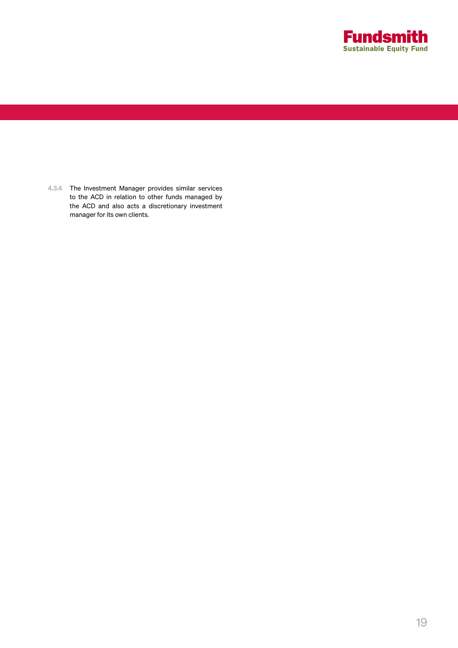

4.3.4 The Investment Manager provides similar services to the ACD in relation to other funds managed by the ACD and also acts a discretionary investment manager for its own clients.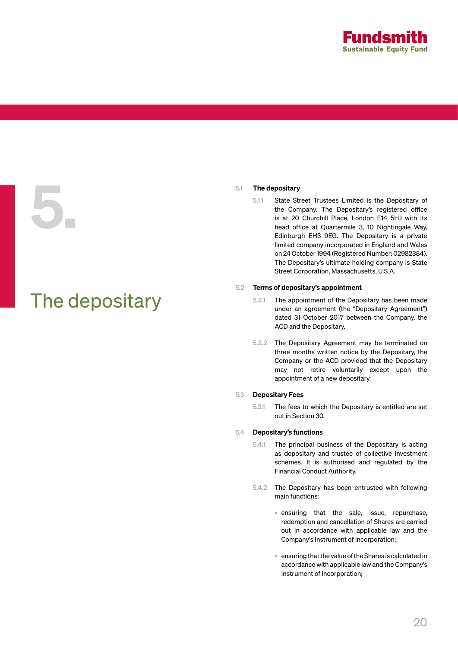

# The depositary

5.1 The depositary<br>5.1.1 State St<br>the Con<br>is at 20<br>head off<br>Edinburg 5.1.1 State Street Trustees Limited is the Depositary of the Company. The Depositary's registered office is at 20 Churchill Place, London E14 5HJ with its head office at Quartermile 3, 10 Nightingale Way, Edinburgh EH3 9EG. The Depositary is a private limited company incorporated in England and Wales on 24 October 1994 (Registered Number: 02982384). The Depositary's ultimate holding company is State Street Corporation, Massachusetts, U.S.A.

### 5.2 Terms of depositary's appointment

- 5.2.1 The appointment of the Depositary has been made under an agreement (the "Depositary Agreement") dated 31 October 2017 between the Company, the ACD and the Depositary.
- 5.2.2 The Depositary Agreement may be terminated on three months written notice by the Depositary, the Company or the ACD provided that the Depositary may not retire voluntarily except upon the appointment of a new depositary.

### 5.3 Depositary Fees

5.3.1 The fees to which the Depositary is entitled are set out in Section 30.

### 5.4 Depositary's functions

- 5.4.1 The principal business of the Depositary is acting as depositary and trustee of collective investment schemes. It is authorised and regulated by the Financial Conduct Authority.
- 5.4.2 The Depositary has been entrusted with following main functions:
	- ensuring that the sale, issue, repurchase, redemption and cancellation of Shares are carried out in accordance with applicable law and the Company's Instrument of Incorporation;
	- ensuring that the value of the Shares is calculated in accordance with applicable law and the Company's Instrument of Incorporation;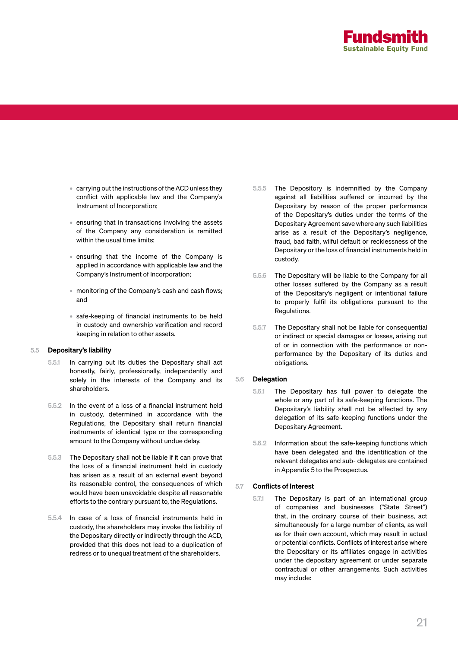

- carrying out the instructions of the ACD unless they conflict with applicable law and the Company's Instrument of Incorporation;
- ensuring that in transactions involving the assets of the Company any consideration is remitted within the usual time limits;
- ensuring that the income of the Company is applied in accordance with applicable law and the Company's Instrument of Incorporation;
- monitoring of the Company's cash and cash flows; and
- safe-keeping of financial instruments to be held in custody and ownership verification and record keeping in relation to other assets.

### 5.5 Depositary's liability

- 5.5.1 In carrying out its duties the Depositary shall act honestly, fairly, professionally, independently and solely in the interests of the Company and its shareholders.
- 5.5.2 In the event of a loss of a financial instrument held in custody, determined in accordance with the Regulations, the Depositary shall return financial instruments of identical type or the corresponding amount to the Company without undue delay.
- 5.5.3 The Depositary shall not be liable if it can prove that the loss of a financial instrument held in custody has arisen as a result of an external event beyond its reasonable control, the consequences of which would have been unavoidable despite all reasonable efforts to the contrary pursuant to, the Regulations.
- 5.5.4 In case of a loss of financial instruments held in custody, the shareholders may invoke the liability of the Depositary directly or indirectly through the ACD, provided that this does not lead to a duplication of redress or to unequal treatment of the shareholders.
- 5.5.5 The Depository is indemnified by the Company against all liabilities suffered or incurred by the Depositary by reason of the proper performance of the Depositary's duties under the terms of the Depositary Agreement save where any such liabilities arise as a result of the Depositary's negligence, fraud, bad faith, wilful default or recklessness of the Depositary or the loss of financial instruments held in custody.
- 5.5.6 The Depositary will be liable to the Company for all other losses suffered by the Company as a result of the Depositary's negligent or intentional failure to properly fulfil its obligations pursuant to the Regulations.
- 5.5.7 The Depositary shall not be liable for consequential or indirect or special damages or losses, arising out of or in connection with the performance or nonperformance by the Depositary of its duties and obligations.

### 5.6 Delegation

- 5.6.1 The Depositary has full power to delegate the whole or any part of its safe-keeping functions. The Depositary's liability shall not be affected by any delegation of its safe-keeping functions under the Depositary Agreement.
- 5.6.2 Information about the safe-keeping functions which have been delegated and the identification of the relevant delegates and sub- delegates are contained in Appendix 5 to the Prospectus.

### 5.7 Conflicts of Interest

5.7.1 The Depositary is part of an international group of companies and businesses ("State Street") that, in the ordinary course of their business, act simultaneously for a large number of clients, as well as for their own account, which may result in actual or potential conflicts. Conflicts of interest arise where the Depositary or its affiliates engage in activities under the depositary agreement or under separate contractual or other arrangements. Such activities may include: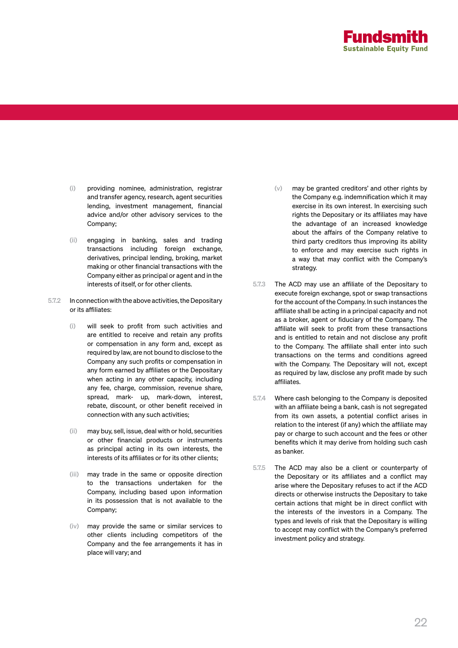

- (i) providing nominee, administration, registrar and transfer agency, research, agent securities lending, investment management, financial advice and/or other advisory services to the Company;
- (ii) engaging in banking, sales and trading transactions including foreign exchange, derivatives, principal lending, broking, market making or other financial transactions with the Company either as principal or agent and in the interests of itself, or for other clients.
- 5.7.2 In connection with the above activities, the Depositary or its affiliates:
	- (i) will seek to profit from such activities and are entitled to receive and retain any profits or compensation in any form and, except as required by law, are not bound to disclose to the Company any such profits or compensation in any form earned by affiliates or the Depositary when acting in any other capacity, including any fee, charge, commission, revenue share, spread, mark- up, mark-down, interest, rebate, discount, or other benefit received in connection with any such activities;
	- (ii) may buy, sell, issue, deal with or hold, securities or other financial products or instruments as principal acting in its own interests, the interests of its affiliates or for its other clients;
	- (iii) may trade in the same or opposite direction to the transactions undertaken for the Company, including based upon information in its possession that is not available to the Company;
	- (iv) may provide the same or similar services to other clients including competitors of the Company and the fee arrangements it has in place will vary; and
- (v) may be granted creditors' and other rights by the Company e.g. indemnification which it may exercise in its own interest. In exercising such rights the Depositary or its affiliates may have the advantage of an increased knowledge about the affairs of the Company relative to third party creditors thus improving its ability to enforce and may exercise such rights in a way that may conflict with the Company's strategy.
- 5.7.3 The ACD may use an affiliate of the Depositary to execute foreign exchange, spot or swap transactions for the account of the Company. In such instances the affiliate shall be acting in a principal capacity and not as a broker, agent or fiduciary of the Company. The affiliate will seek to profit from these transactions and is entitled to retain and not disclose any profit to the Company. The affiliate shall enter into such transactions on the terms and conditions agreed with the Company. The Depositary will not, except as required by law, disclose any profit made by such affiliates.
- 5.7.4 Where cash belonging to the Company is deposited with an affiliate being a bank, cash is not segregated from its own assets, a potential conflict arises in relation to the interest (if any) which the affiliate may pay or charge to such account and the fees or other benefits which it may derive from holding such cash as banker.
- 5.7.5 The ACD may also be a client or counterparty of the Depositary or its affiliates and a conflict may arise where the Depositary refuses to act if the ACD directs or otherwise instructs the Depositary to take certain actions that might be in direct conflict with the interests of the investors in a Company. The types and levels of risk that the Depositary is willing to accept may conflict with the Company's preferred investment policy and strategy.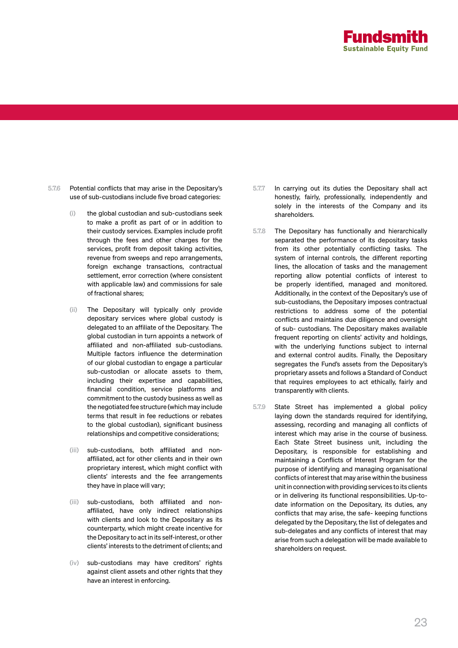

- 5.7.6 Potential conflicts that may arise in the Depositary's use of sub-custodians include five broad categories:
	- (i) the global custodian and sub-custodians seek to make a profit as part of or in addition to their custody services. Examples include profit through the fees and other charges for the services, profit from deposit taking activities, revenue from sweeps and repo arrangements, foreign exchange transactions, contractual settlement, error correction (where consistent with applicable law) and commissions for sale of fractional shares;
	- (ii) The Depositary will typically only provide depositary services where global custody is delegated to an affiliate of the Depositary. The global custodian in turn appoints a network of affiliated and non-affiliated sub-custodians. Multiple factors influence the determination of our global custodian to engage a particular sub-custodian or allocate assets to them, including their expertise and capabilities, financial condition, service platforms and commitment to the custody business as well as the negotiated fee structure (which may include terms that result in fee reductions or rebates to the global custodian), significant business relationships and competitive considerations;
	- (iii) sub-custodians, both affiliated and nonaffiliated, act for other clients and in their own proprietary interest, which might conflict with clients' interests and the fee arrangements they have in place will vary;
	- (iii) sub-custodians, both affiliated and nonaffiliated, have only indirect relationships with clients and look to the Depositary as its counterparty, which might create incentive for the Depositary to act in its self-interest, or other clients' interests to the detriment of clients; and
	- (iv) sub-custodians may have creditors' rights against client assets and other rights that they have an interest in enforcing.
- 5.7.7 In carrying out its duties the Depositary shall act honestly, fairly, professionally, independently and solely in the interests of the Company and its shareholders.
- 5.7.8 The Depositary has functionally and hierarchically separated the performance of its depositary tasks from its other potentially conflicting tasks. The system of internal controls, the different reporting lines, the allocation of tasks and the management reporting allow potential conflicts of interest to be properly identified, managed and monitored. Additionally, in the context of the Depositary's use of sub-custodians, the Depositary imposes contractual restrictions to address some of the potential conflicts and maintains due diligence and oversight of sub- custodians. The Depositary makes available frequent reporting on clients' activity and holdings, with the underlying functions subject to internal and external control audits. Finally, the Depositary segregates the Fund's assets from the Depositary's proprietary assets and follows a Standard of Conduct that requires employees to act ethically, fairly and transparently with clients.
- 5.7.9 State Street has implemented a global policy laying down the standards required for identifying, assessing, recording and managing all conflicts of interest which may arise in the course of business. Each State Street business unit, including the Depositary, is responsible for establishing and maintaining a Conflicts of Interest Program for the purpose of identifying and managing organisational conflicts of interest that may arise within the business unit in connection with providing services to its clients or in delivering its functional responsibilities. Up-todate information on the Depositary, its duties, any conflicts that may arise, the safe- keeping functions delegated by the Depositary, the list of delegates and sub-delegates and any conflicts of interest that may arise from such a delegation will be made available to shareholders on request.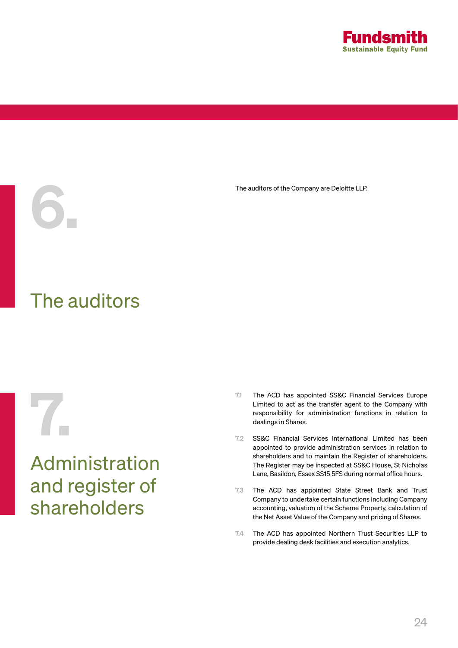

The auditors of the Company are Deloitte LLP.<br>
The auditors of the Company are Deloitte LLP.

# The auditors

## Administration and register of shareholders

- 7.1 The ACD has appointed SS&C Financial Services Europe<br>Limited to act as the transfer agent to the Company with<br>responsibility for administration functions in relation to<br>dealings in Shares.<br>7.2 SS&C Financial Services I Limited to act as the transfer agent to the Company with responsibility for administration functions in relation to dealings in Shares.
	- 7.2 SS&C Financial Services International Limited has been appointed to provide administration services in relation to shareholders and to maintain the Register of shareholders. The Register may be inspected at SS&C House, St Nicholas Lane, Basildon, Essex SS15 5FS during normal office hours.
	- 7.3 The ACD has appointed State Street Bank and Trust Company to undertake certain functions including Company accounting, valuation of the Scheme Property, calculation of the Net Asset Value of the Company and pricing of Shares.
	- 7.4 The ACD has appointed Northern Trust Securities LLP to provide dealing desk facilities and execution analytics.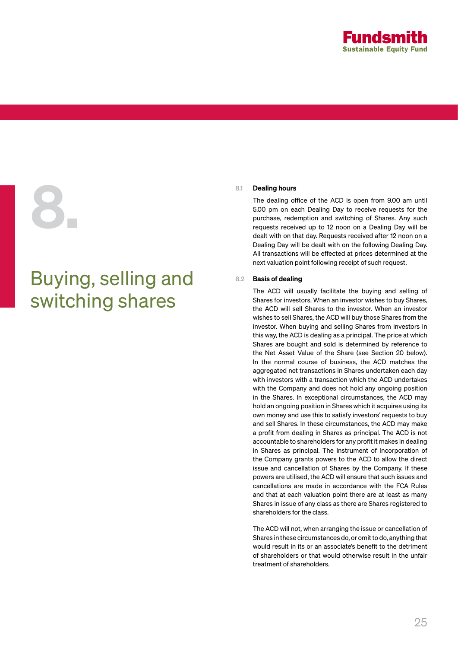

# 8.1 Dealing hours<br>The dealing of<br>5.00 pm on each<br>purchase, rede<br>requests received<br>dealt with on the

# Buying, selling and switching shares

The dealing office of the ACD is open from 9.00 am until 5.00 pm on each Dealing Day to receive requests for the purchase, redemption and switching of Shares. Any such requests received up to 12 noon on a Dealing Day will be dealt with on that day. Requests received after 12 noon on a Dealing Day will be dealt with on the following Dealing Day. All transactions will be effected at prices determined at the next valuation point following receipt of such request.

### 8.2 Basis of dealing

The ACD will usually facilitate the buying and selling of Shares for investors. When an investor wishes to buy Shares, the ACD will sell Shares to the investor. When an investor wishes to sell Shares, the ACD will buy those Shares from the investor. When buying and selling Shares from investors in this way, the ACD is dealing as a principal. The price at which Shares are bought and sold is determined by reference to the Net Asset Value of the Share (see Section 20 below). In the normal course of business, the ACD matches the aggregated net transactions in Shares undertaken each day with investors with a transaction which the ACD undertakes with the Company and does not hold any ongoing position in the Shares. In exceptional circumstances, the ACD may hold an ongoing position in Shares which it acquires using its own money and use this to satisfy investors' requests to buy and sell Shares. In these circumstances, the ACD may make a profit from dealing in Shares as principal. The ACD is not accountable to shareholders for any profit it makes in dealing in Shares as principal. The Instrument of Incorporation of the Company grants powers to the ACD to allow the direct issue and cancellation of Shares by the Company. If these powers are utilised, the ACD will ensure that such issues and cancellations are made in accordance with the FCA Rules and that at each valuation point there are at least as many Shares in issue of any class as there are Shares registered to shareholders for the class.

The ACD will not, when arranging the issue or cancellation of Shares in these circumstances do, or omit to do, anything that would result in its or an associate's benefit to the detriment of shareholders or that would otherwise result in the unfair treatment of shareholders.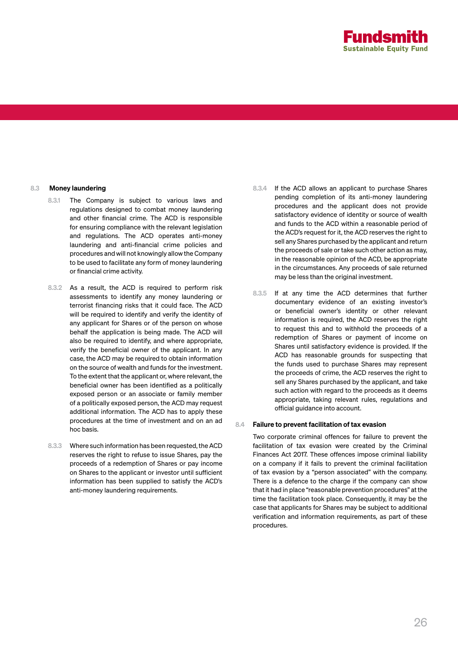

### 8.3 Money laundering

- 8.3.1 The Company is subject to various laws and regulations designed to combat money laundering and other financial crime. The ACD is responsible for ensuring compliance with the relevant legislation and regulations. The ACD operates anti-money laundering and anti-financial crime policies and procedures and will not knowingly allow the Company to be used to facilitate any form of money laundering or financial crime activity.
- 8.3.2 As a result, the ACD is required to perform risk assessments to identify any money laundering or terrorist financing risks that it could face. The ACD will be required to identify and verify the identity of any applicant for Shares or of the person on whose behalf the application is being made. The ACD will also be required to identify, and where appropriate, verify the beneficial owner of the applicant. In any case, the ACD may be required to obtain information on the source of wealth and funds for the investment. To the extent that the applicant or, where relevant, the beneficial owner has been identified as a politically exposed person or an associate or family member of a politically exposed person, the ACD may request additional information. The ACD has to apply these procedures at the time of investment and on an ad hoc basis.
- 8.3.3 Where such information has been requested, the ACD reserves the right to refuse to issue Shares, pay the proceeds of a redemption of Shares or pay income on Shares to the applicant or investor until sufficient information has been supplied to satisfy the ACD's anti-money laundering requirements.
- 8.3.4 If the ACD allows an applicant to purchase Shares pending completion of its anti-money laundering procedures and the applicant does not provide satisfactory evidence of identity or source of wealth and funds to the ACD within a reasonable period of the ACD's request for it, the ACD reserves the right to sell any Shares purchased by the applicant and return the proceeds of sale or take such other action as may, in the reasonable opinion of the ACD, be appropriate in the circumstances. Any proceeds of sale returned may be less than the original investment.
- 8.3.5 If at any time the ACD determines that further documentary evidence of an existing investor's or beneficial owner's identity or other relevant information is required, the ACD reserves the right to request this and to withhold the proceeds of a redemption of Shares or payment of income on Shares until satisfactory evidence is provided. If the ACD has reasonable grounds for suspecting that the funds used to purchase Shares may represent the proceeds of crime, the ACD reserves the right to sell any Shares purchased by the applicant, and take such action with regard to the proceeds as it deems appropriate, taking relevant rules, regulations and official guidance into account.

### 8.4 Failure to prevent facilitation of tax evasion

Two corporate criminal offences for failure to prevent the facilitation of tax evasion were created by the Criminal Finances Act 2017. These offences impose criminal liability on a company if it fails to prevent the criminal facilitation of tax evasion by a "person associated" with the company. There is a defence to the charge if the company can show that it had in place "reasonable prevention procedures" at the time the facilitation took place. Consequently, it may be the case that applicants for Shares may be subject to additional verification and information requirements, as part of these procedures.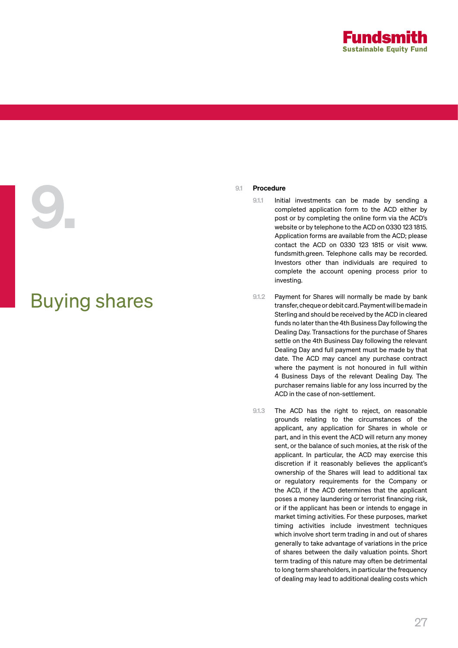

# 9.1 Procedure<br>
9.1.1 Initi<br>
com<br>
pos<br>
web<br>
App

# Buying shares

- 9.1.1 Initial investments can be made by sending a completed application form to the ACD either by post or by completing the online form via the ACD's website or by telephone to the ACD on 0330 123 1815. Application forms are available from the ACD; please contact the ACD on 0330 123 1815 or visit www. fundsmith.green. Telephone calls may be recorded. Investors other than individuals are required to complete the account opening process prior to investing.
- 9.1.2 Payment for Shares will normally be made by bank transfer, cheque or debit card. Payment will be made in Sterling and should be received by the ACD in cleared funds no later than the 4th Business Day following the Dealing Day. Transactions for the purchase of Shares settle on the 4th Business Day following the relevant Dealing Day and full payment must be made by that date. The ACD may cancel any purchase contract where the payment is not honoured in full within 4 Business Days of the relevant Dealing Day. The purchaser remains liable for any loss incurred by the ACD in the case of non-settlement.
- 9.1.3 The ACD has the right to reject, on reasonable grounds relating to the circumstances of the applicant, any application for Shares in whole or part, and in this event the ACD will return any money sent, or the balance of such monies, at the risk of the applicant. In particular, the ACD may exercise this discretion if it reasonably believes the applicant's ownership of the Shares will lead to additional tax or regulatory requirements for the Company or the ACD, if the ACD determines that the applicant poses a money laundering or terrorist financing risk, or if the applicant has been or intends to engage in market timing activities. For these purposes, market timing activities include investment techniques which involve short term trading in and out of shares generally to take advantage of variations in the price of shares between the daily valuation points. Short term trading of this nature may often be detrimental to long term shareholders, in particular the frequency of dealing may lead to additional dealing costs which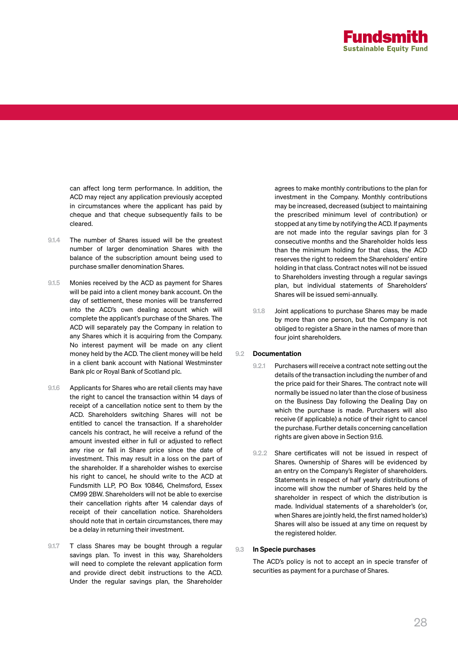

can affect long term performance. In addition, the ACD may reject any application previously accepted in circumstances where the applicant has paid by cheque and that cheque subsequently fails to be cleared.

- 9.1.4 The number of Shares issued will be the greatest number of larger denomination Shares with the balance of the subscription amount being used to purchase smaller denomination Shares.
- 9.1.5 Monies received by the ACD as payment for Shares will be paid into a client money bank account. On the day of settlement, these monies will be transferred into the ACD's own dealing account which will complete the applicant's purchase of the Shares. The ACD will separately pay the Company in relation to any Shares which it is acquiring from the Company. No interest payment will be made on any client money held by the ACD. The client money will be held in a client bank account with National Westminster Bank plc or Royal Bank of Scotland plc.
- 9.1.6 Applicants for Shares who are retail clients may have the right to cancel the transaction within 14 days of receipt of a cancellation notice sent to them by the ACD. Shareholders switching Shares will not be entitled to cancel the transaction. If a shareholder cancels his contract, he will receive a refund of the amount invested either in full or adjusted to reflect any rise or fall in Share price since the date of investment. This may result in a loss on the part of the shareholder. If a shareholder wishes to exercise his right to cancel, he should write to the ACD at Fundsmith LLP, PO Box 10846, Chelmsford, Essex CM99 2BW. Shareholders will not be able to exercise their cancellation rights after 14 calendar days of receipt of their cancellation notice. Shareholders should note that in certain circumstances, there may be a delay in returning their investment.
- 9.1.7 T class Shares may be bought through a regular savings plan. To invest in this way, Shareholders will need to complete the relevant application form and provide direct debit instructions to the ACD. Under the regular savings plan, the Shareholder

agrees to make monthly contributions to the plan for investment in the Company. Monthly contributions may be increased, decreased (subject to maintaining the prescribed minimum level of contribution) or stopped at any time by notifying the ACD. If payments are not made into the regular savings plan for 3 consecutive months and the Shareholder holds less than the minimum holding for that class, the ACD reserves the right to redeem the Shareholders' entire holding in that class. Contract notes will not be issued to Shareholders investing through a regular savings plan, but individual statements of Shareholders' Shares will be issued semi-annually.

9.1.8 Joint applications to purchase Shares may be made by more than one person, but the Company is not obliged to register a Share in the names of more than four joint shareholders.

### 9.2 Documentation

- 9.2.1 Purchasers will receive a contract note setting out the details of the transaction including the number of and the price paid for their Shares. The contract note will normally be issued no later than the close of business on the Business Day following the Dealing Day on which the purchase is made. Purchasers will also receive (if applicable) a notice of their right to cancel the purchase. Further details concerning cancellation rights are given above in Section 9.1.6.
- 9.2.2 Share certificates will not be issued in respect of Shares. Ownership of Shares will be evidenced by an entry on the Company's Register of shareholders. Statements in respect of half yearly distributions of income will show the number of Shares held by the shareholder in respect of which the distribution is made. Individual statements of a shareholder's (or, when Shares are jointly held, the first named holder's) Shares will also be issued at any time on request by the registered holder.

### 9.3 In Specie purchases

The ACD's policy is not to accept an in specie transfer of securities as payment for a purchase of Shares.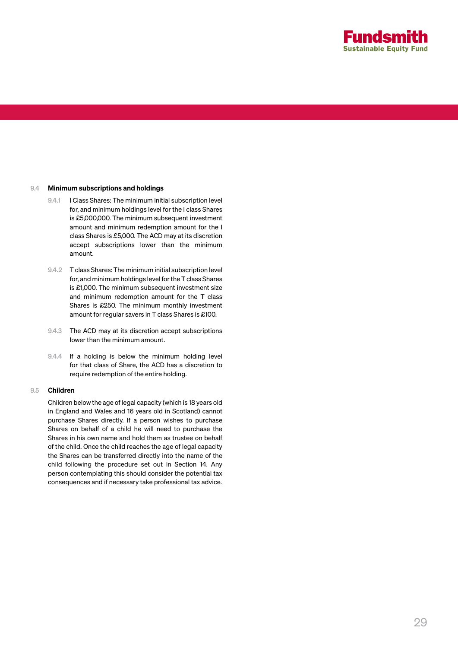

### 9.4 Minimum subscriptions and holdings

- 9.4.1 I Class Shares: The minimum initial subscription level for, and minimum holdings level for the I class Shares is £5,000,000. The minimum subsequent investment amount and minimum redemption amount for the I class Shares is £5,000. The ACD may at its discretion accept subscriptions lower than the minimum amount.
- 9.4.2 T class Shares: The minimum initial subscription level for, and minimum holdings level for the T class Shares is £1,000. The minimum subsequent investment size and minimum redemption amount for the T class Shares is £250. The minimum monthly investment amount for regular savers in T class Shares is £100.
- 9.4.3 The ACD may at its discretion accept subscriptions lower than the minimum amount.
- 9.4.4 If a holding is below the minimum holding level for that class of Share, the ACD has a discretion to require redemption of the entire holding.

### 9.5 Children

Children below the age of legal capacity (which is 18 years old in England and Wales and 16 years old in Scotland) cannot purchase Shares directly. If a person wishes to purchase Shares on behalf of a child he will need to purchase the Shares in his own name and hold them as trustee on behalf of the child. Once the child reaches the age of legal capacity the Shares can be transferred directly into the name of the child following the procedure set out in Section 14. Any person contemplating this should consider the potential tax consequences and if necessary take professional tax advice.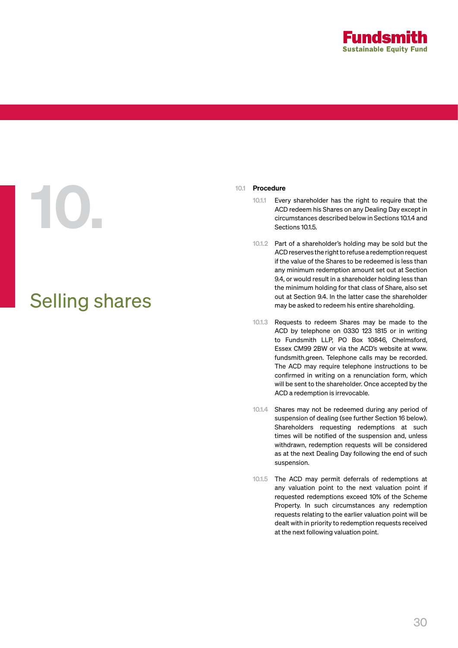

# 10.1 Procedure<br>10.1.1 Eve<br>CEC ACC

# Selling shares

- Every shareholder has the right to require that the ACD redeem his Shares on any Dealing Day except in circumstances described below in Sections 10.1.4 and Sections 10.1.5.
- 10.1.2 Part of a shareholder's holding may be sold but the ACD reserves the right to refuse a redemption request if the value of the Shares to be redeemed is less than any minimum redemption amount set out at Section 9.4, or would result in a shareholder holding less than the minimum holding for that class of Share, also set out at Section 9.4. In the latter case the shareholder may be asked to redeem his entire shareholding.
- 10.1.3 Requests to redeem Shares may be made to the ACD by telephone on 0330 123 1815 or in writing to Fundsmith LLP, PO Box 10846, Chelmsford, Essex CM99 2BW or via the ACD's website at www. fundsmith.green. Telephone calls may be recorded. The ACD may require telephone instructions to be confirmed in writing on a renunciation form, which will be sent to the shareholder. Once accepted by the ACD a redemption is irrevocable.
- 10.1.4 Shares may not be redeemed during any period of suspension of dealing (see further Section 16 below). Shareholders requesting redemptions at such times will be notified of the suspension and, unless withdrawn, redemption requests will be considered as at the next Dealing Day following the end of such suspension.
- 10.1.5 The ACD may permit deferrals of redemptions at any valuation point to the next valuation point if requested redemptions exceed 10% of the Scheme Property. In such circumstances any redemption requests relating to the earlier valuation point will be dealt with in priority to redemption requests received at the next following valuation point.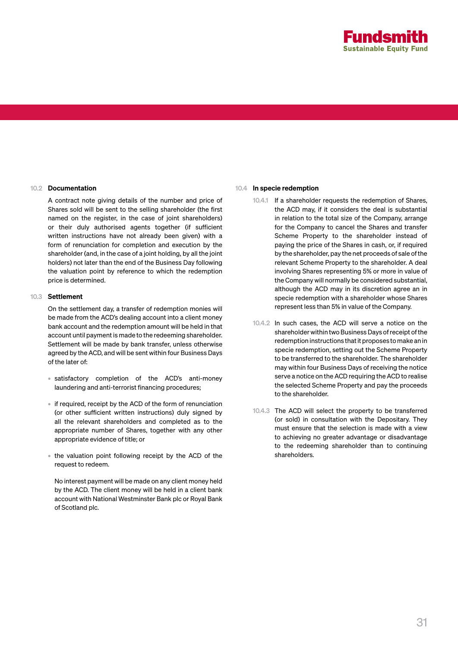

### 10.2 Documentation

A contract note giving details of the number and price of Shares sold will be sent to the selling shareholder (the first named on the register, in the case of joint shareholders) or their duly authorised agents together (if sufficient written instructions have not already been given) with a form of renunciation for completion and execution by the shareholder (and, in the case of a joint holding, by all the joint holders) not later than the end of the Business Day following the valuation point by reference to which the redemption price is determined.

### 10.3 Settlement

On the settlement day, a transfer of redemption monies will be made from the ACD's dealing account into a client money bank account and the redemption amount will be held in that account until payment is made to the redeeming shareholder. Settlement will be made by bank transfer, unless otherwise agreed by the ACD, and will be sent within four Business Days of the later of:

- satisfactory completion of the ACD's anti-money laundering and anti-terrorist financing procedures;
- if required, receipt by the ACD of the form of renunciation (or other sufficient written instructions) duly signed by all the relevant shareholders and completed as to the appropriate number of Shares, together with any other appropriate evidence of title; or
- the valuation point following receipt by the ACD of the request to redeem.

No interest payment will be made on any client money held by the ACD. The client money will be held in a client bank account with National Westminster Bank plc or Royal Bank of Scotland plc.

### 10.4 In specie redemption

- 10.4.1 If a shareholder requests the redemption of Shares, the ACD may, if it considers the deal is substantial in relation to the total size of the Company, arrange for the Company to cancel the Shares and transfer Scheme Property to the shareholder instead of paying the price of the Shares in cash, or, if required by the shareholder, pay the net proceeds of sale of the relevant Scheme Property to the shareholder. A deal involving Shares representing 5% or more in value of the Company will normally be considered substantial, although the ACD may in its discretion agree an in specie redemption with a shareholder whose Shares represent less than 5% in value of the Company.
- 10.4.2 In such cases, the ACD will serve a notice on the shareholder within two Business Days of receipt of the redemption instructions that it proposes to make an in specie redemption, setting out the Scheme Property to be transferred to the shareholder. The shareholder may within four Business Days of receiving the notice serve a notice on the ACD requiring the ACD to realise the selected Scheme Property and pay the proceeds to the shareholder.
- 10.4.3 The ACD will select the property to be transferred (or sold) in consultation with the Depositary. They must ensure that the selection is made with a view to achieving no greater advantage or disadvantage to the redeeming shareholder than to continuing shareholders.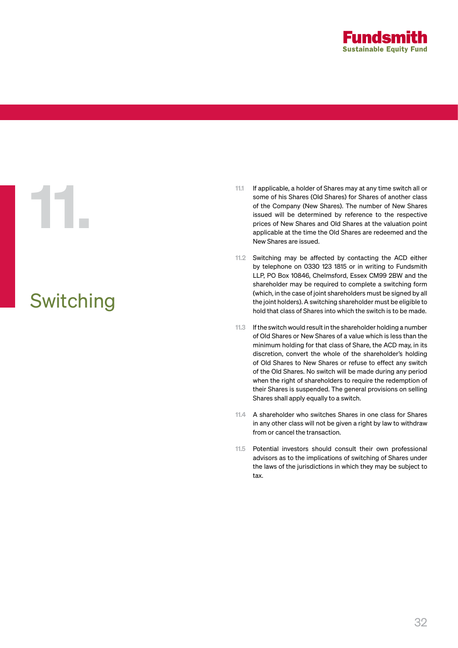

# Switching

- 11.1 If applicable, a holder of Shares may at any time switch all or<br>some of his Shares (Old Shares) for Shares of another class<br>of the Company (New Shares). The number of New Shares<br>issued will be determined by reference some of his Shares (Old Shares) for Shares of another class of the Company (New Shares). The number of New Shares issued will be determined by reference to the respective prices of New Shares and Old Shares at the valuation point applicable at the time the Old Shares are redeemed and the New Shares are issued.
	- 11.2 Switching may be affected by contacting the ACD either by telephone on 0330 123 1815 or in writing to Fundsmith LLP, PO Box 10846, Chelmsford, Essex CM99 2BW and the shareholder may be required to complete a switching form (which, in the case of joint shareholders must be signed by all the joint holders). A switching shareholder must be eligible to hold that class of Shares into which the switch is to be made.
	- 11.3 If the switch would result in the shareholder holding a number of Old Shares or New Shares of a value which is less than the minimum holding for that class of Share, the ACD may, in its discretion, convert the whole of the shareholder's holding of Old Shares to New Shares or refuse to effect any switch of the Old Shares. No switch will be made during any period when the right of shareholders to require the redemption of their Shares is suspended. The general provisions on selling Shares shall apply equally to a switch.
	- 11.4 A shareholder who switches Shares in one class for Shares in any other class will not be given a right by law to withdraw from or cancel the transaction.
	- 11.5 Potential investors should consult their own professional advisors as to the implications of switching of Shares under the laws of the jurisdictions in which they may be subject to tax.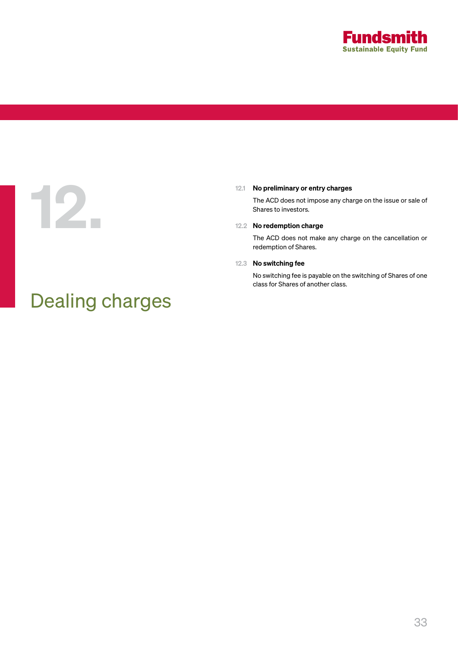

12.1 No preliminary or entry charges<br>The ACD does not impose any charges<br>Shares to investors. The ACD does not impose any charge on the issue or sale of Shares to investors.

### 12.2 No redemption charge

The ACD does not make any charge on the cancellation or redemption of Shares.

### 12.3 No switching fee

No switching fee is payable on the switching of Shares of one class for Shares of another class.

# Dealing charges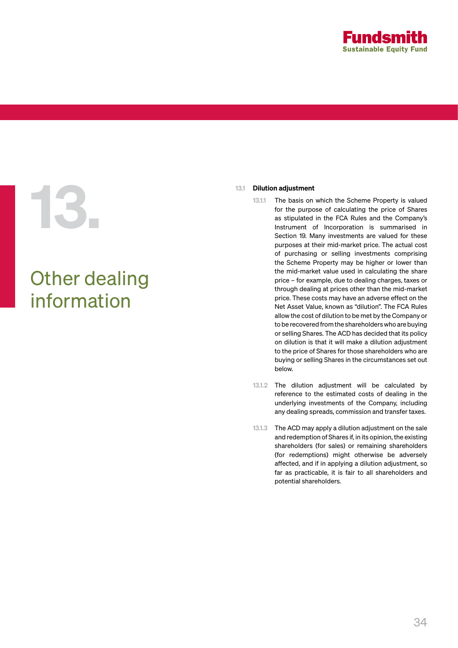

# 13.1 Dilution adjustment<br>
13.1 The basis on<br>
for the purpo<br>
as stipulated<br>
Instrument (Section 19. M

# Other dealing information

- 13.1.1 The basis on which the Scheme Property is valued for the purpose of calculating the price of Shares as stipulated in the FCA Rules and the Company's Instrument of Incorporation is summarised in Section 19. Many investments are valued for these purposes at their mid-market price. The actual cost of purchasing or selling investments comprising the Scheme Property may be higher or lower than the mid-market value used in calculating the share price – for example, due to dealing charges, taxes or through dealing at prices other than the mid-market price. These costs may have an adverse effect on the Net Asset Value, known as "dilution". The FCA Rules allow the cost of dilution to be met by the Company or to be recovered from the shareholders who are buying or selling Shares. The ACD has decided that its policy on dilution is that it will make a dilution adjustment to the price of Shares for those shareholders who are buying or selling Shares in the circumstances set out below.
- 13.1.2 The dilution adjustment will be calculated by reference to the estimated costs of dealing in the underlying investments of the Company, including any dealing spreads, commission and transfer taxes.
- 13.1.3 The ACD may apply a dilution adjustment on the sale and redemption of Shares if, in its opinion, the existing shareholders (for sales) or remaining shareholders (for redemptions) might otherwise be adversely affected, and if in applying a dilution adjustment, so far as practicable, it is fair to all shareholders and potential shareholders.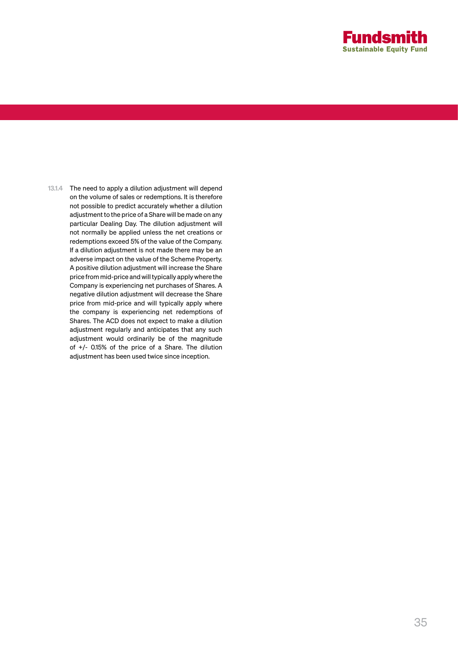

13.1.4 The need to apply a dilution adjustment will depend on the volume of sales or redemptions. It is therefore not possible to predict accurately whether a dilution adjustment to the price of a Share will be made on any particular Dealing Day. The dilution adjustment will not normally be applied unless the net creations or redemptions exceed 5% of the value of the Company. If a dilution adjustment is not made there may be an adverse impact on the value of the Scheme Property. A positive dilution adjustment will increase the Share price from mid-price and will typically apply where the Company is experiencing net purchases of Shares. A negative dilution adjustment will decrease the Share price from mid-price and will typically apply where the company is experiencing net redemptions of Shares. The ACD does not expect to make a dilution adjustment regularly and anticipates that any such adjustment would ordinarily be of the magnitude of +/- 0.15% of the price of a Share. The dilution adjustment has been used twice since inception.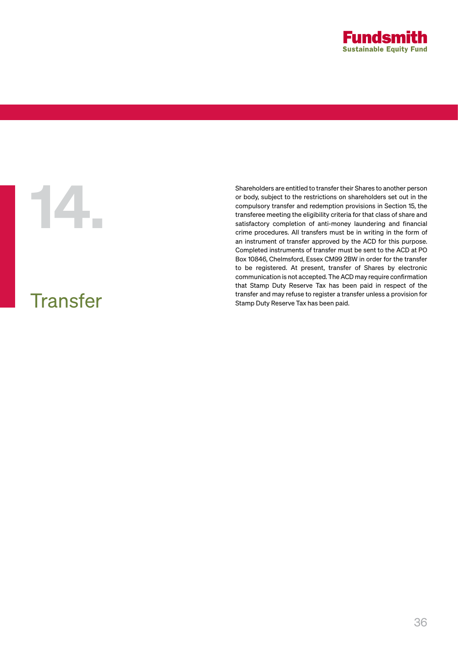

## **Transfer**

Shareholders are entitled to transfer their Shares to another person<br>or body, subject to the restrictions on shareholders set out in the<br>compulsory transfer and redemption provisions in Section 15, the<br>transferee meeting t or body, subject to the restrictions on shareholders set out in the compulsory transfer and redemption provisions in Section 15, the transferee meeting the eligibility criteria for that class of share and satisfactory completion of anti-money laundering and financial crime procedures. All transfers must be in writing in the form of an instrument of transfer approved by the ACD for this purpose. Completed instruments of transfer must be sent to the ACD at PO Box 10846, Chelmsford, Essex CM99 2BW in order for the transfer to be registered. At present, transfer of Shares by electronic communication is not accepted. The ACD may require confirmation that Stamp Duty Reserve Tax has been paid in respect of the transfer and may refuse to register a transfer unless a provision for Stamp Duty Reserve Tax has been paid.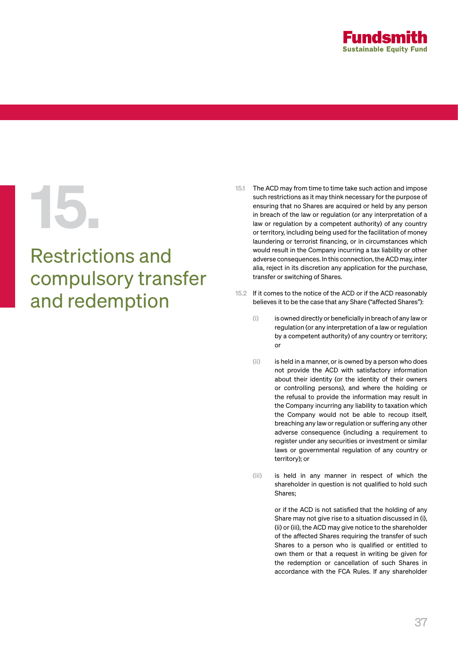

# Restrictions and compulsory transfer and redemption

- 15.1 The ACD may from time to time take such action and impose<br>such restrictions as it may think necessary for the purpose of<br>ensuring that no Shares are acquired or held by any person<br>in breach of the law or regulation (o such restrictions as it may think necessary for the purpose of ensuring that no Shares are acquired or held by any person in breach of the law or regulation (or any interpretation of a law or regulation by a competent authority) of any country or territory, including being used for the facilitation of money laundering or terrorist financing, or in circumstances which would result in the Company incurring a tax liability or other adverse consequences. In this connection, the ACD may, inter alia, reject in its discretion any application for the purchase. transfer or switching of Shares.
	- 15.2 If it comes to the notice of the ACD or if the ACD reasonably believes it to be the case that any Share ("affected Shares"):
		- (i) is owned directly or beneficially in breach of any law or regulation (or any interpretation of a law or regulation by a competent authority) of any country or territory; or
		- (ii) is held in a manner, or is owned by a person who does not provide the ACD with satisfactory information about their identity (or the identity of their owners or controlling persons), and where the holding or the refusal to provide the information may result in the Company incurring any liability to taxation which the Company would not be able to recoup itself, breaching any law or regulation or suffering any other adverse consequence (including a requirement to register under any securities or investment or similar laws or governmental regulation of any country or territory); or
		- (iii) is held in any manner in respect of which the shareholder in question is not qualified to hold such Shares;

or if the ACD is not satisfied that the holding of any Share may not give rise to a situation discussed in (i), (ii) or (iii), the ACD may give notice to the shareholder of the affected Shares requiring the transfer of such Shares to a person who is qualified or entitled to own them or that a request in writing be given for the redemption or cancellation of such Shares in accordance with the FCA Rules. If any shareholder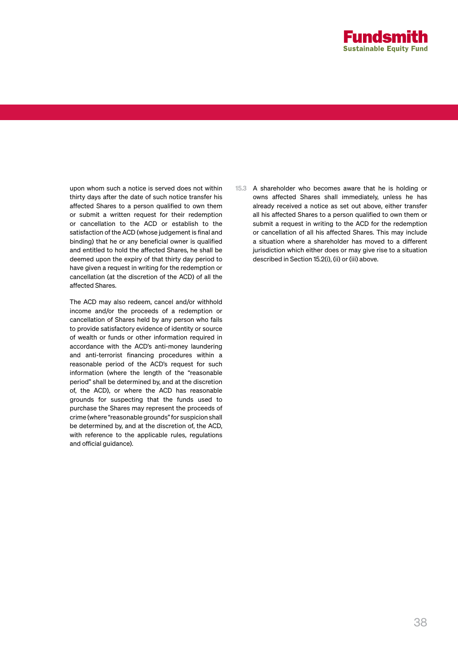

upon whom such a notice is served does not within thirty days after the date of such notice transfer his affected Shares to a person qualified to own them or submit a written request for their redemption or cancellation to the ACD or establish to the satisfaction of the ACD (whose judgement is final and binding) that he or any beneficial owner is qualified and entitled to hold the affected Shares, he shall be deemed upon the expiry of that thirty day period to have given a request in writing for the redemption or cancellation (at the discretion of the ACD) of all the affected Shares.

The ACD may also redeem, cancel and/or withhold income and/or the proceeds of a redemption or cancellation of Shares held by any person who fails to provide satisfactory evidence of identity or source of wealth or funds or other information required in accordance with the ACD's anti-money laundering and anti-terrorist financing procedures within a reasonable period of the ACD's request for such information (where the length of the "reasonable period" shall be determined by, and at the discretion of, the ACD), or where the ACD has reasonable grounds for suspecting that the funds used to purchase the Shares may represent the proceeds of crime (where "reasonable grounds" for suspicion shall be determined by, and at the discretion of, the ACD, with reference to the applicable rules, regulations and official guidance).

15.3 A shareholder who becomes aware that he is holding or owns affected Shares shall immediately, unless he has already received a notice as set out above, either transfer all his affected Shares to a person qualified to own them or submit a request in writing to the ACD for the redemption or cancellation of all his affected Shares. This may include a situation where a shareholder has moved to a different jurisdiction which either does or may give rise to a situation described in Section 15.2(i), (ii) or (iii) above.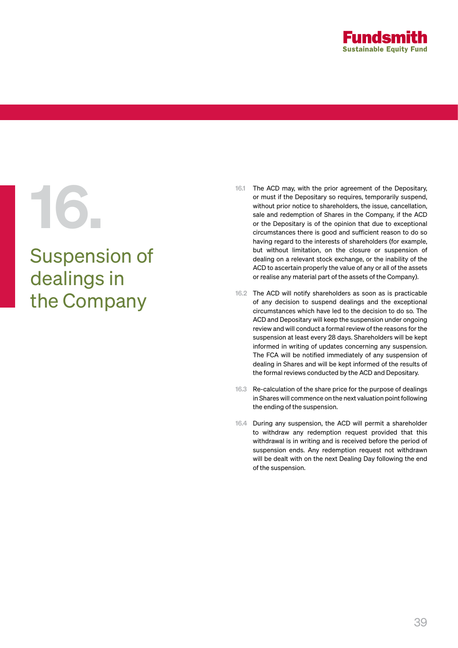

# Suspension of dealings in the Company

- 16.1 The ACD may, with the prior agreement of the Depositary,<br>or must if the Depositary so requires, temporarily suspend,<br>without prior notice to shareholders, the issue, cancellation,<br>sale and redemption of Shares in the or must if the Depositary so requires, temporarily suspend, without prior notice to shareholders, the issue, cancellation, sale and redemption of Shares in the Company, if the ACD or the Depositary is of the opinion that due to exceptional circumstances there is good and sufficient reason to do so having regard to the interests of shareholders (for example, but without limitation, on the closure or suspension of dealing on a relevant stock exchange, or the inability of the ACD to ascertain properly the value of any or all of the assets or realise any material part of the assets of the Company).
	- 16.2 The ACD will notify shareholders as soon as is practicable of any decision to suspend dealings and the exceptional circumstances which have led to the decision to do so. The ACD and Depositary will keep the suspension under ongoing review and will conduct a formal review of the reasons for the suspension at least every 28 days. Shareholders will be kept informed in writing of updates concerning any suspension. The FCA will be notified immediately of any suspension of dealing in Shares and will be kept informed of the results of the formal reviews conducted by the ACD and Depositary.
	- 16.3 Re-calculation of the share price for the purpose of dealings in Shares will commence on the next valuation point following the ending of the suspension.
	- 16.4 During any suspension, the ACD will permit a shareholder to withdraw any redemption request provided that this withdrawal is in writing and is received before the period of suspension ends. Any redemption request not withdrawn will be dealt with on the next Dealing Day following the end of the suspension.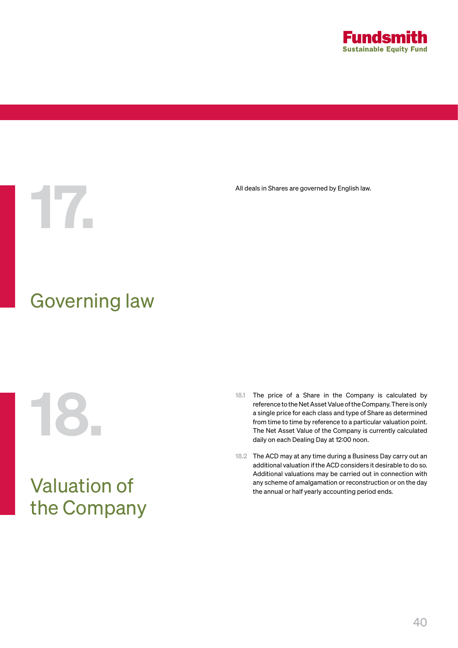

All deals in Shares are governed by English law.<br>The same state of the state of the state of the state of the state of the state of the state of the state of the<br>state of the state of the state of the state of the state of

# Governing law

# Valuation of the Company

- 18.1 The price of a Share in the Company is calculated by<br>reference to the Net Asset Value of the Company. There is only<br>a single price for each class and type of Share as determined<br>from time to time by reference to a par reference to the Net Asset Value of the Company. There is only a single price for each class and type of Share as determined from time to time by reference to a particular valuation point. The Net Asset Value of the Company is currently calculated daily on each Dealing Day at 12:00 noon.
	- 18.2 The ACD may at any time during a Business Day carry out an additional valuation if the ACD considers it desirable to do so. Additional valuations may be carried out in connection with any scheme of amalgamation or reconstruction or on the day the annual or half yearly accounting period ends.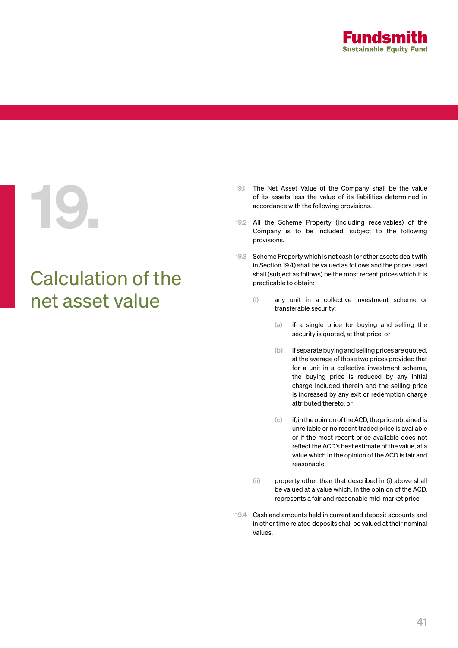

# Calculation of the net asset value

- 19.1 The Net Asset Value of the Company shall be the value<br>of its assets less the value of its liabilities determined in<br>accordance with the following provisions.<br>19.2 All the Scheme Property (including receivables) of the of its assets less the value of its liabilities determined in accordance with the following provisions.
	- 19.2 All the Scheme Property (including receivables) of the Company is to be included, subject to the following provisions.
	- 19.3 Scheme Property which is not cash (or other assets dealt with in Section 19.4) shall be valued as follows and the prices used shall (subject as follows) be the most recent prices which it is practicable to obtain:
		- (i) any unit in a collective investment scheme or transferable security:
			- (a) if a single price for buying and selling the security is quoted, at that price; or
			- (b) if separate buying and selling prices are quoted, at the average of those two prices provided that for a unit in a collective investment scheme, the buying price is reduced by any initial charge included therein and the selling price is increased by any exit or redemption charge attributed thereto; or
			- (c) if, in the opinion of the ACD, the price obtained is unreliable or no recent traded price is available or if the most recent price available does not reflect the ACD's best estimate of the value, at a value which in the opinion of the ACD is fair and reasonable;
		- (ii) property other than that described in (i) above shall be valued at a value which, in the opinion of the ACD, represents a fair and reasonable mid-market price.
	- 19.4 Cash and amounts held in current and deposit accounts and in other time related deposits shall be valued at their nominal values.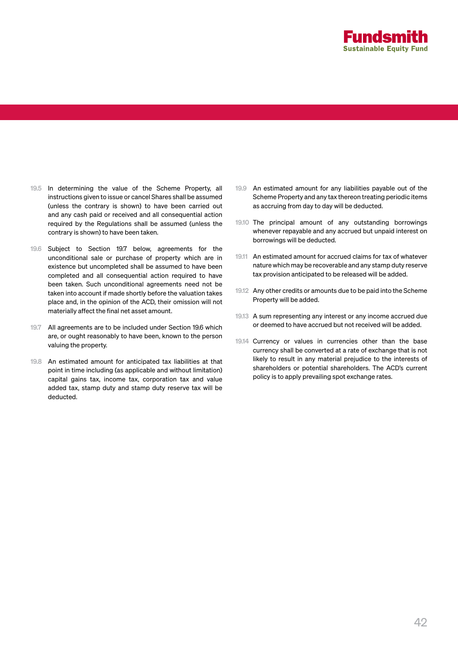

- 19.5 In determining the value of the Scheme Property, all instructions given to issue or cancel Shares shall be assumed (unless the contrary is shown) to have been carried out and any cash paid or received and all consequential action required by the Regulations shall be assumed (unless the contrary is shown) to have been taken.
- 19.6 Subject to Section 19.7 below, agreements for the unconditional sale or purchase of property which are in existence but uncompleted shall be assumed to have been completed and all consequential action required to have been taken. Such unconditional agreements need not be taken into account if made shortly before the valuation takes place and, in the opinion of the ACD, their omission will not materially affect the final net asset amount.
- 19.7 All agreements are to be included under Section 19.6 which are, or ought reasonably to have been, known to the person valuing the property.
- 19.8 An estimated amount for anticipated tax liabilities at that point in time including (as applicable and without limitation) capital gains tax, income tax, corporation tax and value added tax, stamp duty and stamp duty reserve tax will be deducted.
- 19.9 An estimated amount for any liabilities payable out of the Scheme Property and any tax thereon treating periodic items as accruing from day to day will be deducted.
- 19.10 The principal amount of any outstanding borrowings whenever repayable and any accrued but unpaid interest on borrowings will be deducted.
- 19.11 An estimated amount for accrued claims for tax of whatever nature which may be recoverable and any stamp duty reserve tax provision anticipated to be released will be added.
- 19.12 Any other credits or amounts due to be paid into the Scheme Property will be added.
- 19.13 A sum representing any interest or any income accrued due or deemed to have accrued but not received will be added.
- 19.14 Currency or values in currencies other than the base currency shall be converted at a rate of exchange that is not likely to result in any material prejudice to the interests of shareholders or potential shareholders. The ACD's current policy is to apply prevailing spot exchange rates.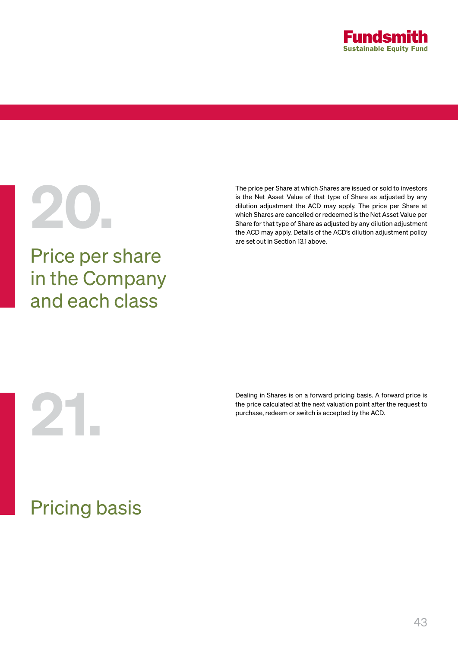

# Price per share in the Company and each class

The price per Share at which Shares are issued or sold to investors<br>is the Net Asset Value of that type of Share as adjusted by any<br>dilution adjustment the ACD may apply. The price per Share at<br>which Shares are cancelled o is the Net Asset Value of that type of Share as adjusted by any dilution adjustment the ACD may apply. The price per Share at which Shares are cancelled or redeemed is the Net Asset Value per Share for that type of Share as adjusted by any dilution adjustment the ACD may apply. Details of the ACD's dilution adjustment policy are set out in Section 13.1 above.

Dealing in Shares is on a forward pricing basis. A forward price is<br>the price calculated at the next valuation point after the request to<br>purchase, redeem or switch is accepted by the ACD. the price calculated at the next valuation point after the request to purchase, redeem or switch is accepted by the ACD.

# Pricing basis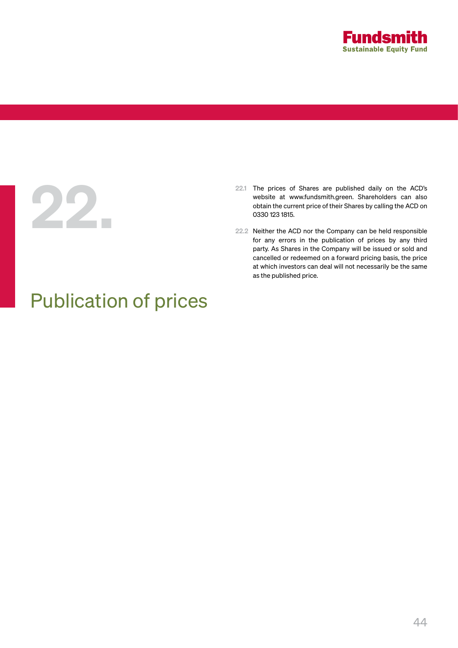

# 22.

- 22.1 The prices of Shares are published daily on the ACD's website at www.fundsmith.green. Shareholders can also obtain the current price of their Shares by calling the ACD on 0330 123 1815.
- 22.2 Neither the ACD nor the Company can be held responsible for any errors in the publication of prices by any third party. As Shares in the Company will be issued or sold and cancelled or redeemed on a forward pricing basis, the price at which investors can deal will not necessarily be the same as the published price.

# Publication of prices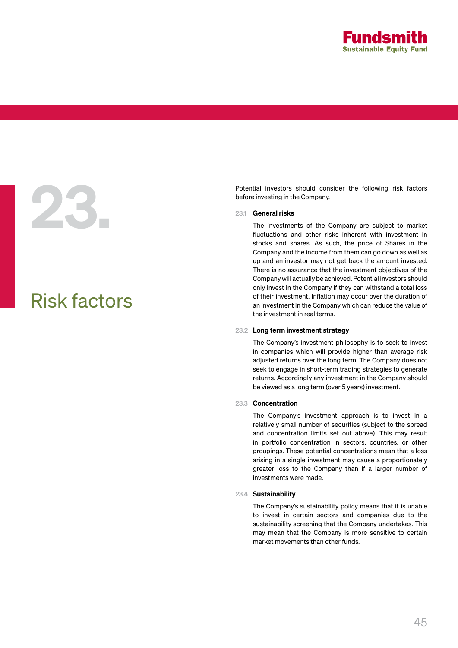

# Potential investors should consider the following risk factors<br>before investing in the Company.<br>23.1 **General risks**<br>The investments of the Company are subject to market<br>fluctuations and other risks inherent with investmen

# Risk factors

before investing in the Company.

### 23.1 General risks

The investments of the Company are subject to market fluctuations and other risks inherent with investment in stocks and shares. As such, the price of Shares in the Company and the income from them can go down as well as up and an investor may not get back the amount invested. There is no assurance that the investment objectives of the Company will actually be achieved. Potential investors should only invest in the Company if they can withstand a total loss of their investment. Inflation may occur over the duration of an investment in the Company which can reduce the value of the investment in real terms.

## 23.2 Long term investment strategy

The Company's investment philosophy is to seek to invest in companies which will provide higher than average risk adjusted returns over the long term. The Company does not seek to engage in short-term trading strategies to generate returns. Accordingly any investment in the Company should be viewed as a long term (over 5 years) investment.

# 23.3 Concentration

The Company's investment approach is to invest in a relatively small number of securities (subject to the spread and concentration limits set out above). This may result in portfolio concentration in sectors, countries, or other groupings. These potential concentrations mean that a loss arising in a single investment may cause a proportionately greater loss to the Company than if a larger number of investments were made.

### 23.4 Sustainability

The Company's sustainability policy means that it is unable to invest in certain sectors and companies due to the sustainability screening that the Company undertakes. This may mean that the Company is more sensitive to certain market movements than other funds.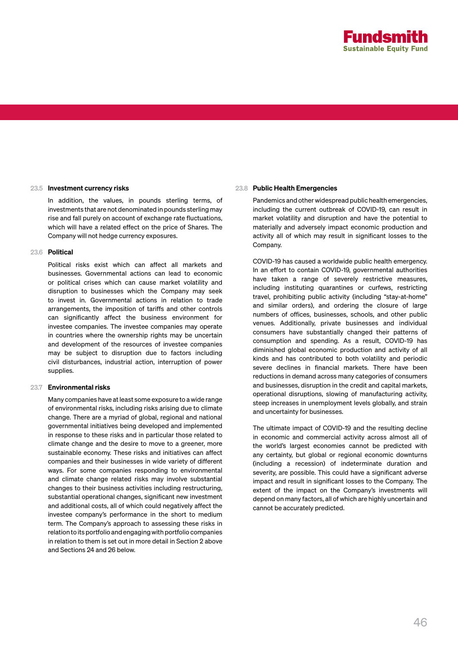

### 23.5 Investment currency risks

In addition, the values, in pounds sterling terms, of investments that are not denominated in pounds sterling may rise and fall purely on account of exchange rate fluctuations, which will have a related effect on the price of Shares. The Company will not hedge currency exposures.

### 23.6 Political

Political risks exist which can affect all markets and businesses. Governmental actions can lead to economic or political crises which can cause market volatility and disruption to businesses which the Company may seek to invest in. Governmental actions in relation to trade arrangements, the imposition of tariffs and other controls can significantly affect the business environment for investee companies. The investee companies may operate in countries where the ownership rights may be uncertain and development of the resources of investee companies may be subject to disruption due to factors including civil disturbances, industrial action, interruption of power supplies.

### 23.7 Environmental risks

Many companies have at least some exposure to a wide range of environmental risks, including risks arising due to climate change. There are a myriad of global, regional and national governmental initiatives being developed and implemented in response to these risks and in particular those related to climate change and the desire to move to a greener, more sustainable economy. These risks and initiatives can affect companies and their businesses in wide variety of different ways. For some companies responding to environmental and climate change related risks may involve substantial changes to their business activities including restructuring, substantial operational changes, significant new investment and additional costs, all of which could negatively affect the investee company's performance in the short to medium term. The Company's approach to assessing these risks in relation to its portfolio and engaging with portfolio companies in relation to them is set out in more detail in Section 2 above and Sections 24 and 26 below.

# 23.8 Public Health Emergencies

Pandemics and other widespread public health emergencies, including the current outbreak of COVID-19, can result in market volatility and disruption and have the potential to materially and adversely impact economic production and activity all of which may result in significant losses to the Company.

COVID-19 has caused a worldwide public health emergency. In an effort to contain COVID-19, governmental authorities have taken a range of severely restrictive measures, including instituting quarantines or curfews, restricting travel, prohibiting public activity (including "stay-at-home" and similar orders), and ordering the closure of large numbers of offices, businesses, schools, and other public venues. Additionally, private businesses and individual consumers have substantially changed their patterns of consumption and spending. As a result, COVID-19 has diminished global economic production and activity of all kinds and has contributed to both volatility and periodic severe declines in financial markets. There have been reductions in demand across many categories of consumers and businesses, disruption in the credit and capital markets, operational disruptions, slowing of manufacturing activity, steep increases in unemployment levels globally, and strain and uncertainty for businesses.

The ultimate impact of COVID-19 and the resulting decline in economic and commercial activity across almost all of the world's largest economies cannot be predicted with any certainty, but global or regional economic downturns (including a recession) of indeterminate duration and severity, are possible. This could have a significant adverse impact and result in significant losses to the Company. The extent of the impact on the Company's investments will depend on many factors, all of which are highly uncertain and cannot be accurately predicted.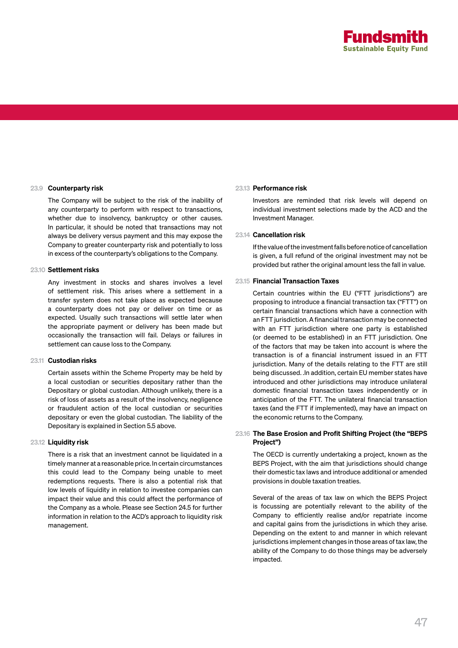

# 23.9 Counterparty risk

The Company will be subject to the risk of the inability of any counterparty to perform with respect to transactions, whether due to insolvency, bankruptcy or other causes. In particular, it should be noted that transactions may not always be delivery versus payment and this may expose the Company to greater counterparty risk and potentially to loss in excess of the counterparty's obligations to the Company.

### 23.10 Settlement risks

Any investment in stocks and shares involves a level of settlement risk. This arises where a settlement in a transfer system does not take place as expected because a counterparty does not pay or deliver on time or as expected. Usually such transactions will settle later when the appropriate payment or delivery has been made but occasionally the transaction will fail. Delays or failures in settlement can cause loss to the Company.

### 23.11 Custodian risks

Certain assets within the Scheme Property may be held by a local custodian or securities depositary rather than the Depositary or global custodian. Although unlikely, there is a risk of loss of assets as a result of the insolvency, negligence or fraudulent action of the local custodian or securities depositary or even the global custodian. The liability of the Depositary is explained in Section 5.5 above.

### 23.12 Liquidity risk

There is a risk that an investment cannot be liquidated in a timely manner at a reasonable price. In certain circumstances this could lead to the Company being unable to meet redemptions requests. There is also a potential risk that low levels of liquidity in relation to investee companies can impact their value and this could affect the performance of the Company as a whole. Please see Section 24.5 for further information in relation to the ACD's approach to liquidity risk management.

# 23.13 Performance risk

Investors are reminded that risk levels will depend on individual investment selections made by the ACD and the Investment Manager.

### 23.14 Cancellation risk

If the value of the investment falls before notice of cancellation is given, a full refund of the original investment may not be provided but rather the original amount less the fall in value.

### 23.15 Financial Transaction Taxes

Certain countries within the EU ("FTT jurisdictions") are proposing to introduce a financial transaction tax ("FTT") on certain financial transactions which have a connection with an FTT jurisdiction. A financial transaction may be connected with an FTT jurisdiction where one party is established (or deemed to be established) in an FTT jurisdiction. One of the factors that may be taken into account is where the transaction is of a financial instrument issued in an FTT jurisdiction. Many of the details relating to the FTT are still being discussed. .In addition, certain EU member states have introduced and other jurisdictions may introduce unilateral domestic financial transaction taxes independently or in anticipation of the FTT. The unilateral financial transaction taxes (and the FTT if implemented), may have an impact on the economic returns to the Company.

# 23.16 The Base Erosion and Profit Shifting Project (the "BEPS Project")

The OECD is currently undertaking a project, known as the BEPS Project, with the aim that jurisdictions should change their domestic tax laws and introduce additional or amended provisions in double taxation treaties.

Several of the areas of tax law on which the BEPS Project is focussing are potentially relevant to the ability of the Company to efficiently realise and/or repatriate income and capital gains from the jurisdictions in which they arise. Depending on the extent to and manner in which relevant jurisdictions implement changes in those areas of tax law, the ability of the Company to do those things may be adversely impacted.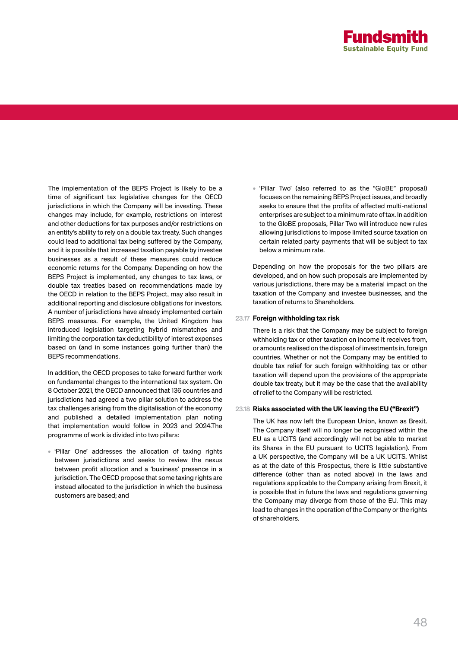

The implementation of the BEPS Project is likely to be a time of significant tax legislative changes for the OECD jurisdictions in which the Company will be investing. These changes may include, for example, restrictions on interest and other deductions for tax purposes and/or restrictions on an entity's ability to rely on a double tax treaty. Such changes could lead to additional tax being suffered by the Company, and it is possible that increased taxation payable by investee businesses as a result of these measures could reduce economic returns for the Company. Depending on how the BEPS Project is implemented, any changes to tax laws, or double tax treaties based on recommendations made by the OECD in relation to the BEPS Project, may also result in additional reporting and disclosure obligations for investors. A number of jurisdictions have already implemented certain BEPS measures. For example, the United Kingdom has introduced legislation targeting hybrid mismatches and limiting the corporation tax deductibility of interest expenses based on (and in some instances going further than) the BEPS recommendations.

In addition, the OECD proposes to take forward further work on fundamental changes to the international tax system. On 8 October 2021, the OECD announced that 136 countries and jurisdictions had agreed a two pillar solution to address the tax challenges arising from the digitalisation of the economy and published a detailed implementation plan noting that implementation would follow in 2023 and 2024.The programme of work is divided into two pillars:

• 'Pillar One' addresses the allocation of taxing rights between jurisdictions and seeks to review the nexus between profit allocation and a 'business' presence in a jurisdiction. The OECD propose that some taxing rights are instead allocated to the jurisdiction in which the business customers are based; and

• 'Pillar Two' (also referred to as the "GloBE" proposal) focuses on the remaining BEPS Project issues, and broadly seeks to ensure that the profits of affected multi-national enterprises are subject to a minimum rate of tax. In addition to the GloBE proposals, Pillar Two will introduce new rules allowing jurisdictions to impose limited source taxation on certain related party payments that will be subject to tax below a minimum rate.

Depending on how the proposals for the two pillars are developed, and on how such proposals are implemented by various jurisdictions, there may be a material impact on the taxation of the Company and investee businesses, and the taxation of returns to Shareholders.

## 23.17 Foreign withholding tax risk

There is a risk that the Company may be subject to foreign withholding tax or other taxation on income it receives from, or amounts realised on the disposal of investments in, foreign countries. Whether or not the Company may be entitled to double tax relief for such foreign withholding tax or other taxation will depend upon the provisions of the appropriate double tax treaty, but it may be the case that the availability of relief to the Company will be restricted.

# 23.18 Risks associated with the UK leaving the EU ("Brexit")

The UK has now left the European Union, known as Brexit. The Company itself will no longer be recognised within the EU as a UCITS (and accordingly will not be able to market its Shares in the EU pursuant to UCITS legislation). From a UK perspective, the Company will be a UK UCITS. Whilst as at the date of this Prospectus, there is little substantive difference (other than as noted above) in the laws and regulations applicable to the Company arising from Brexit, it is possible that in future the laws and regulations governing the Company may diverge from those of the EU. This may lead to changes in the operation of the Company or the rights of shareholders.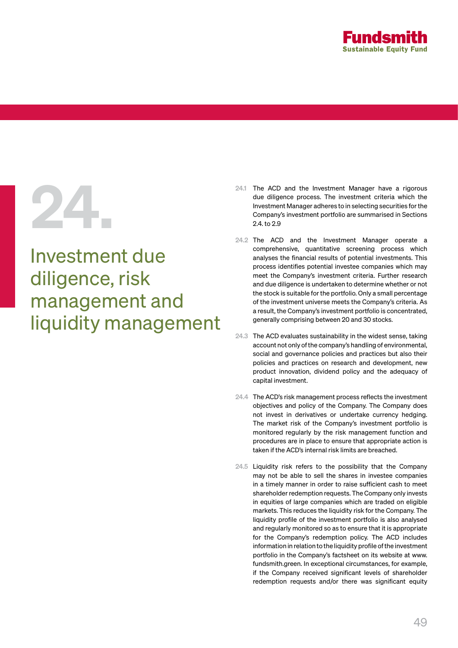

Investment due diligence, risk management and liquidity management

- 24.1 The ACD and the Investment Manager have a rigorous<br>due diligence process. The investment criteria which the<br>Investment Manager adheres to in selecting securities for the<br>Company's investment portfolio are summarised i due diligence process. The investment criteria which the Investment Manager adheres to in selecting securities for the Company's investment portfolio are summarised in Sections 2.4. to 2.9
	- 24.2 The ACD and the Investment Manager operate a comprehensive, quantitative screening process which analyses the financial results of potential investments. This process identifies potential investee companies which may meet the Company's investment criteria. Further research and due diligence is undertaken to determine whether or not the stock is suitable for the portfolio. Only a small percentage of the investment universe meets the Company's criteria. As a result, the Company's investment portfolio is concentrated, generally comprising between 20 and 30 stocks.
	- 24.3 The ACD evaluates sustainability in the widest sense, taking account not only of the company's handling of environmental, social and governance policies and practices but also their policies and practices on research and development, new product innovation, dividend policy and the adequacy of capital investment.
	- 24.4 The ACD's risk management process reflects the investment objectives and policy of the Company. The Company does not invest in derivatives or undertake currency hedging. The market risk of the Company's investment portfolio is monitored regularly by the risk management function and procedures are in place to ensure that appropriate action is taken if the ACD's internal risk limits are breached.
	- 24.5 Liquidity risk refers to the possibility that the Company may not be able to sell the shares in investee companies in a timely manner in order to raise sufficient cash to meet shareholder redemption requests. The Company only invests in equities of large companies which are traded on eligible markets. This reduces the liquidity risk for the Company. The liquidity profile of the investment portfolio is also analysed and regularly monitored so as to ensure that it is appropriate for the Company's redemption policy. The ACD includes information in relation to the liquidity profile of the investment portfolio in the Company's factsheet on its website at www. fundsmith.green. In exceptional circumstances, for example, if the Company received significant levels of shareholder redemption requests and/or there was significant equity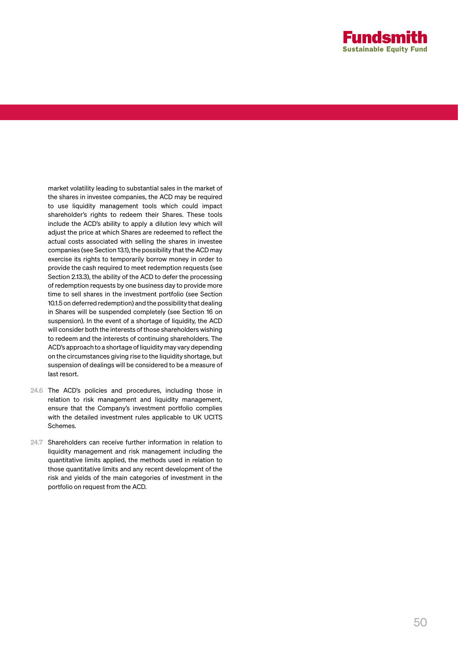

market volatility leading to substantial sales in the market of the shares in investee companies, the ACD may be required to use liquidity management tools which could impact shareholder's rights to redeem their Shares. These tools include the ACD's ability to apply a dilution levy which will adjust the price at which Shares are redeemed to reflect the actual costs associated with selling the shares in investee companies (see Section 13.1), the possibility that the ACD may exercise its rights to temporarily borrow money in order to provide the cash required to meet redemption requests (see Section 2.13.3), the ability of the ACD to defer the processing of redemption requests by one business day to provide more time to sell shares in the investment portfolio (see Section 10.1.5 on deferred redemption) and the possibility that dealing in Shares will be suspended completely (see Section 16 on suspension). In the event of a shortage of liquidity, the ACD will consider both the interests of those shareholders wishing to redeem and the interests of continuing shareholders. The ACD's approach to a shortage of liquidity may vary depending on the circumstances giving rise to the liquidity shortage, but suspension of dealings will be considered to be a measure of last resort.

- 24.6 The ACD's policies and procedures, including those in relation to risk management and liquidity management, ensure that the Company's investment portfolio complies with the detailed investment rules applicable to UK UCITS Schemes.
- 24.7 Shareholders can receive further information in relation to liquidity management and risk management including the quantitative limits applied, the methods used in relation to those quantitative limits and any recent development of the risk and yields of the main categories of investment in the portfolio on request from the ACD.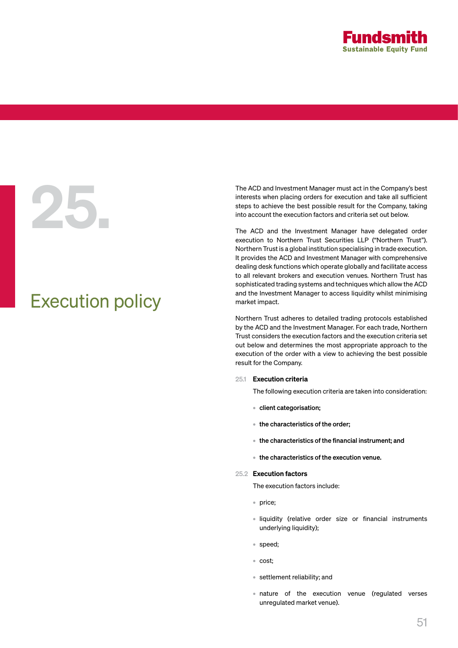

# Execution policy

The ACD and Investment Manager must act in the Company's best<br>interests when placing orders for execution and take all sufficient<br>steps to achieve the best possible result for the Company, taking<br>into account the execution interests when placing orders for execution and take all sufficient steps to achieve the best possible result for the Company, taking into account the execution factors and criteria set out below.

The ACD and the Investment Manager have delegated order execution to Northern Trust Securities LLP ("Northern Trust"). Northern Trust is a global institution specialising in trade execution. It provides the ACD and Investment Manager with comprehensive dealing desk functions which operate globally and facilitate access to all relevant brokers and execution venues. Northern Trust has sophisticated trading systems and techniques which allow the ACD and the Investment Manager to access liquidity whilst minimising market impact.

Northern Trust adheres to detailed trading protocols established by the ACD and the Investment Manager. For each trade, Northern Trust considers the execution factors and the execution criteria set out below and determines the most appropriate approach to the execution of the order with a view to achieving the best possible result for the Company.

### 25.1 Execution criteria

The following execution criteria are taken into consideration:

- client categorisation;
- the characteristics of the order;
- the characteristics of the financial instrument; and
- the characteristics of the execution venue.

# 25.2 Execution factors

The execution factors include:

- price;
- liquidity (relative order size or financial instruments underlying liquidity);
- speed;
- cost;
- settlement reliability; and
- nature of the execution venue (regulated verses unregulated market venue).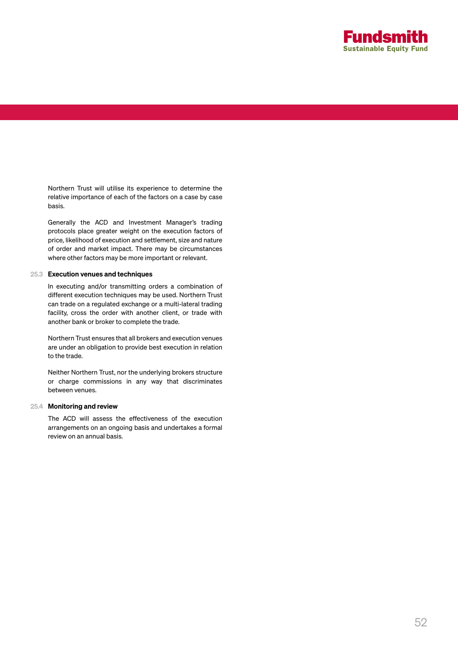

Northern Trust will utilise its experience to determine the relative importance of each of the factors on a case by case basis.

Generally the ACD and Investment Manager's trading protocols place greater weight on the execution factors of price, likelihood of execution and settlement, size and nature of order and market impact. There may be circumstances where other factors may be more important or relevant.

### 25.3 Execution venues and techniques

In executing and/or transmitting orders a combination of different execution techniques may be used. Northern Trust can trade on a regulated exchange or a multi-lateral trading facility, cross the order with another client, or trade with another bank or broker to complete the trade.

Northern Trust ensures that all brokers and execution venues are under an obligation to provide best execution in relation to the trade.

Neither Northern Trust, nor the underlying brokers structure or charge commissions in any way that discriminates between venues.

### 25.4 Monitoring and review

The ACD will assess the effectiveness of the execution arrangements on an ongoing basis and undertakes a formal review on an annual basis.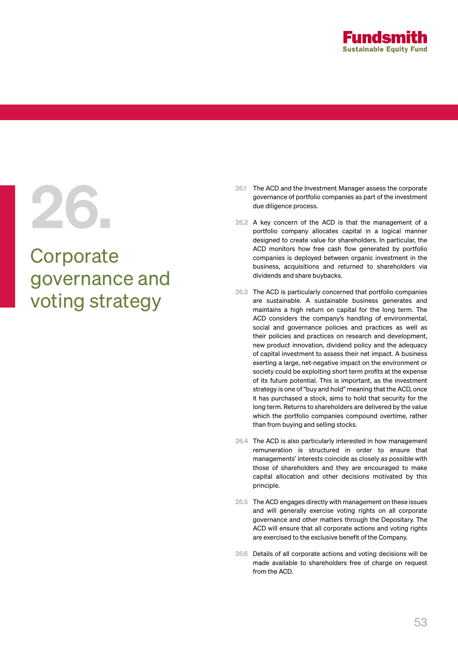

# **Corporate** governance and voting strategy

- 26.1 The ACD and the Investment Manager assess the corporate<br>governance of portfolio companies as part of the investment<br>due diligence process.<br>26.2 A key concern of the ACD is that the management of a<br>portfolio company al governance of portfolio companies as part of the investment due diligence process.
	- 26.2 A key concern of the ACD is that the management of a portfolio company allocates capital in a logical manner designed to create value for shareholders. In particular, the ACD monitors how free cash flow generated by portfolio companies is deployed between organic investment in the business, acquisitions and returned to shareholders via dividends and share buybacks.
	- 26.3 The ACD is particularly concerned that portfolio companies are sustainable. A sustainable business generates and maintains a high return on capital for the long term. The ACD considers the company's handling of environmental, social and governance policies and practices as well as their policies and practices on research and development, new product innovation, dividend policy and the adequacy of capital investment to assess their net impact. A business exerting a large, net-negative impact on the environment or society could be exploiting short term profits at the expense of its future potential. This is important, as the investment strategy is one of "buy and hold" meaning that the ACD, once it has purchased a stock, aims to hold that security for the long term. Returns to shareholders are delivered by the value which the portfolio companies compound overtime, rather than from buying and selling stocks.
	- 26.4 The ACD is also particularly interested in how management remuneration is structured in order to ensure that managements' interests coincide as closely as possible with those of shareholders and they are encouraged to make capital allocation and other decisions motivated by this principle.
	- 26.5 The ACD engages directly with management on these issues and will generally exercise voting rights on all corporate governance and other matters through the Depositary. The ACD will ensure that all corporate actions and voting rights are exercised to the exclusive benefit of the Company.
	- 26.6 Details of all corporate actions and voting decisions will be made available to shareholders free of charge on request from the ACD.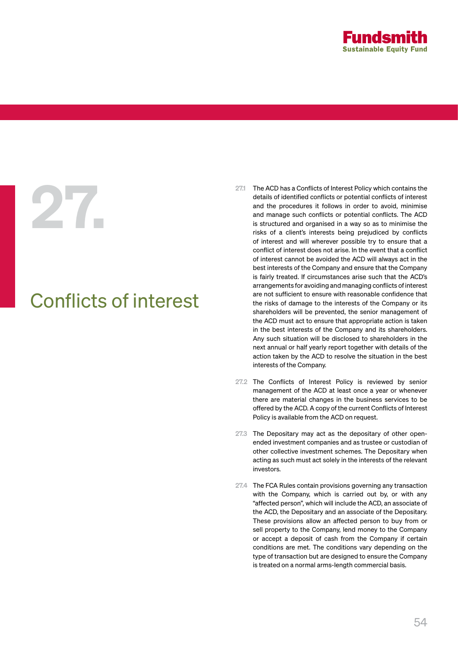

# Conflicts of interest

- 27.1 The ACD has a Conflicts of Interest Policy which contains the<br>details of identified conflicts or potential conflicts of interest<br>and the procedures it follows in order to avoid, minimise<br>and manage such conflicts or p details of identified conflicts or potential conflicts of interest and the procedures it follows in order to avoid, minimise and manage such conflicts or potential conflicts. The ACD is structured and organised in a way so as to minimise the risks of a client's interests being prejudiced by conflicts of interest and will wherever possible try to ensure that a conflict of interest does not arise. In the event that a conflict of interest cannot be avoided the ACD will always act in the best interests of the Company and ensure that the Company is fairly treated. If circumstances arise such that the ACD's arrangements for avoiding and managing conflicts of interest are not sufficient to ensure with reasonable confidence that the risks of damage to the interests of the Company or its shareholders will be prevented, the senior management of the ACD must act to ensure that appropriate action is taken in the best interests of the Company and its shareholders. Any such situation will be disclosed to shareholders in the next annual or half yearly report together with details of the action taken by the ACD to resolve the situation in the best interests of the Company.
	- 27.2 The Conflicts of Interest Policy is reviewed by senior management of the ACD at least once a year or whenever there are material changes in the business services to be offered by the ACD. A copy of the current Conflicts of Interest Policy is available from the ACD on request.
	- 27.3 The Depositary may act as the depositary of other openended investment companies and as trustee or custodian of other collective investment schemes. The Depositary when acting as such must act solely in the interests of the relevant investors.
	- 27.4 The FCA Rules contain provisions governing any transaction with the Company, which is carried out by, or with any "affected person", which will include the ACD, an associate of the ACD, the Depositary and an associate of the Depositary. These provisions allow an affected person to buy from or sell property to the Company, lend money to the Company or accept a deposit of cash from the Company if certain conditions are met. The conditions vary depending on the type of transaction but are designed to ensure the Company is treated on a normal arms-length commercial basis.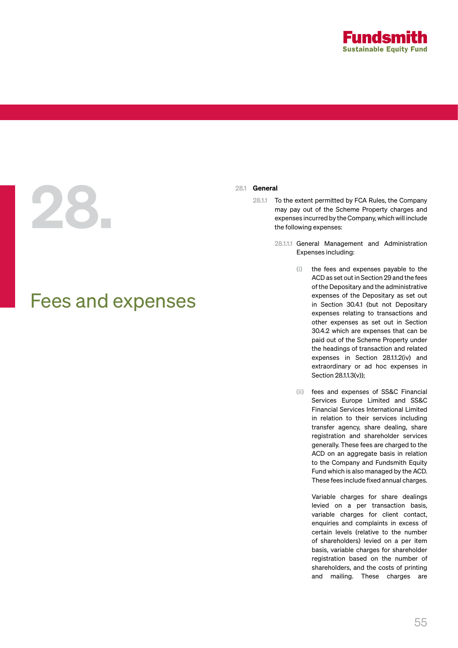

# 28.1 General<br>28.1.1 T<br>e

# Fees and expenses

- To the extent permitted by FCA Rules, the Company may pay out of the Scheme Property charges and expenses incurred by the Company, which will include the following expenses:
	- 28.1.1.1 General Management and Administration Expenses including:
		- (i) the fees and expenses payable to the ACD as set out in Section 29 and the fees of the Depositary and the administrative expenses of the Depositary as set out in Section 30.4.1 (but not Depositary expenses relating to transactions and other expenses as set out in Section 30.4.2 which are expenses that can be paid out of the Scheme Property under the headings of transaction and related expenses in Section 28.1.1.2(iv) and extraordinary or ad hoc expenses in Section 28.1.1.3(v));
		- (ii) fees and expenses of SS&C Financial Services Europe Limited and SS&C Financial Services International Limited in relation to their services including transfer agency, share dealing, share registration and shareholder services generally. These fees are charged to the ACD on an aggregate basis in relation to the Company and Fundsmith Equity Fund which is also managed by the ACD. These fees include fixed annual charges.

Variable charges for share dealings levied on a per transaction basis, variable charges for client contact, enquiries and complaints in excess of certain levels (relative to the number of shareholders) levied on a per item basis, variable charges for shareholder registration based on the number of shareholders, and the costs of printing and mailing. These charges are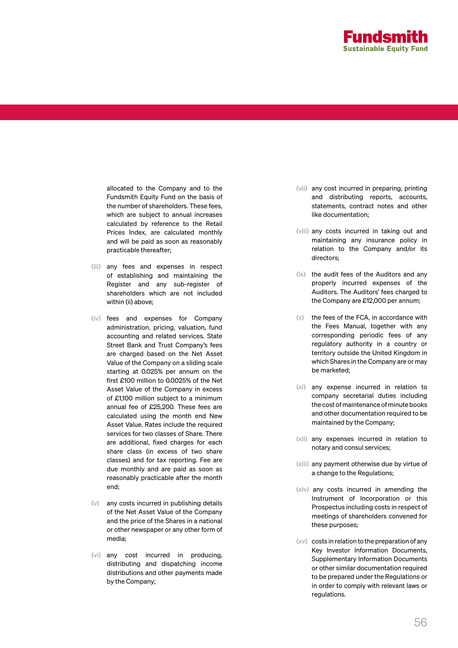

allocated to the Company and to the Fundsmith Equity Fund on the basis of the number of shareholders. These fees, which are subject to annual increases calculated by reference to the Retail Prices Index, are calculated monthly and will be paid as soon as reasonably practicable thereafter;

- (iii) any fees and expenses in respect of establishing and maintaining the Register and any sub-register of shareholders which are not included within (ii) above;
- (iv) fees and expenses for Company administration, pricing, valuation, fund accounting and related services. State Street Bank and Trust Company's fees are charged based on the Net Asset Value of the Company on a sliding scale starting at 0.025% per annum on the first £100 million to 0.0025% of the Net Asset Value of the Company in excess of £1,100 million subject to a minimum annual fee of £25,200. These fees are calculated using the month end New Asset Value. Rates include the required services for two classes of Share. There are additional, fixed charges for each share class (in excess of two share classes) and for tax reporting. Fee are due monthly and are paid as soon as reasonably practicable after the month end;
- (v) any costs incurred in publishing details of the Net Asset Value of the Company and the price of the Shares in a national or other newspaper or any other form of media;
- (vi) any cost incurred in producing, distributing and dispatching income distributions and other payments made by the Company;
- (vii) any cost incurred in preparing, printing and distributing reports, accounts, statements, contract notes and other like documentation;
- (viii) any costs incurred in taking out and maintaining any insurance policy in relation to the Company and/or its directors;
- (ix) the audit fees of the Auditors and any properly incurred expenses of the Auditors. The Auditors' fees charged to the Company are £12,000 per annum;
- (x) the fees of the FCA, in accordance with the Fees Manual, together with any corresponding periodic fees of any regulatory authority in a country or territory outside the United Kingdom in which Shares in the Company are or may be marketed;
- (xi) any expense incurred in relation to company secretarial duties including the cost of maintenance of minute books and other documentation required to be maintained by the Company;
- (xii) any expenses incurred in relation to notary and consul services;
- (xiii) any payment otherwise due by virtue of a change to the Regulations;
- (xiv) any costs incurred in amending the Instrument of Incorporation or this Prospectus including costs in respect of meetings of shareholders convened for these purposes;
- (xv) costs in relation to the preparation of any Key Investor Information Documents, Supplementary Information Documents or other similar documentation required to be prepared under the Regulations or in order to comply with relevant laws or regulations.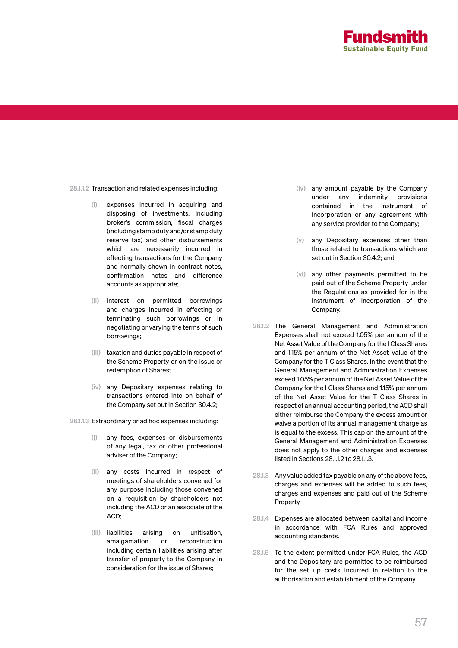

28.1.1.2 Transaction and related expenses including:

- (i) expenses incurred in acquiring and disposing of investments, including broker's commission, fiscal charges (including stamp duty and/or stamp duty reserve tax) and other disbursements which are necessarily incurred in effecting transactions for the Company and normally shown in contract notes, confirmation notes and difference accounts as appropriate;
- (ii) interest on permitted borrowings and charges incurred in effecting or terminating such borrowings or in negotiating or varying the terms of such borrowings;
- (iii) taxation and duties payable in respect of the Scheme Property or on the issue or redemption of Shares;
- (iv) any Depositary expenses relating to transactions entered into on behalf of the Company set out in Section 30.4.2;
- 28.1.1.3 Extraordinary or ad hoc expenses including:
	- (i) any fees, expenses or disbursements of any legal, tax or other professional adviser of the Company;
	- (ii) any costs incurred in respect of meetings of shareholders convened for any purpose including those convened on a requisition by shareholders not including the ACD or an associate of the ACD;
	- (iii) liabilities arising on unitisation, amalgamation or reconstruction including certain liabilities arising after transfer of property to the Company in consideration for the issue of Shares;
- (iv) any amount payable by the Company under any indemnity provisions contained in the Instrument of Incorporation or any agreement with any service provider to the Company;
- (v) any Depositary expenses other than those related to transactions which are set out in Section 30.4.2; and
- (vi) any other payments permitted to be paid out of the Scheme Property under the Regulations as provided for in the Instrument of Incorporation of the Company.
- 28.1.2 The General Management and Administration Expenses shall not exceed 1.05% per annum of the Net Asset Value of the Company for the I Class Shares and 1.15% per annum of the Net Asset Value of the Company for the T Class Shares. In the event that the General Management and Administration Expenses exceed 1.05% per annum of the Net Asset Value of the Company for the I Class Shares and 1.15% per annum of the Net Asset Value for the T Class Shares in respect of an annual accounting period, the ACD shall either reimburse the Company the excess amount or waive a portion of its annual management charge as is equal to the excess. This cap on the amount of the General Management and Administration Expenses does not apply to the other charges and expenses listed in Sections 28.1.1.2 to 28.1.1.3.
- 28.1.3 Any value added tax payable on any of the above fees, charges and expenses will be added to such fees, charges and expenses and paid out of the Scheme Property.
- 28.1.4 Expenses are allocated between capital and income in accordance with FCA Rules and approved accounting standards.
- 28.1.5 To the extent permitted under FCA Rules, the ACD and the Depositary are permitted to be reimbursed for the set up costs incurred in relation to the authorisation and establishment of the Company.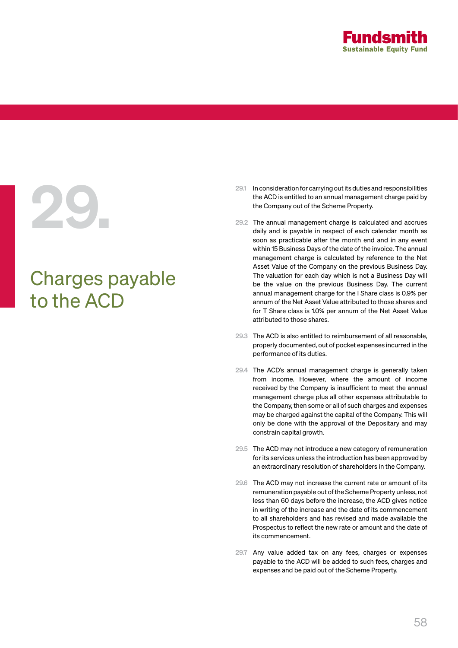

# Charges payable to the ACD

- 29.1 In consideration for carrying out its duties and responsibilities<br>the ACD is entitled to an annual management charge paid by<br>the Company out of the Scheme Property.<br>29.2 The annual management charge is calculated and the ACD is entitled to an annual management charge paid by the Company out of the Scheme Property.
	- 29.2 The annual management charge is calculated and accrues daily and is payable in respect of each calendar month as soon as practicable after the month end and in any event within 15 Business Days of the date of the invoice. The annual management charge is calculated by reference to the Net Asset Value of the Company on the previous Business Day. The valuation for each day which is not a Business Day will be the value on the previous Business Day. The current annual management charge for the I Share class is 0.9% per annum of the Net Asset Value attributed to those shares and for T Share class is 1.0% per annum of the Net Asset Value attributed to those shares.
	- 29.3 The ACD is also entitled to reimbursement of all reasonable, properly documented, out of pocket expenses incurred in the performance of its duties.
	- 29.4 The ACD's annual management charge is generally taken from income. However, where the amount of income received by the Company is insufficient to meet the annual management charge plus all other expenses attributable to the Company, then some or all of such charges and expenses may be charged against the capital of the Company. This will only be done with the approval of the Depositary and may constrain capital growth.
	- 29.5 The ACD may not introduce a new category of remuneration for its services unless the introduction has been approved by an extraordinary resolution of shareholders in the Company.
	- 29.6 The ACD may not increase the current rate or amount of its remuneration payable out of the Scheme Property unless, not less than 60 days before the increase, the ACD gives notice in writing of the increase and the date of its commencement to all shareholders and has revised and made available the Prospectus to reflect the new rate or amount and the date of its commencement.
	- 29.7 Any value added tax on any fees, charges or expenses payable to the ACD will be added to such fees, charges and expenses and be paid out of the Scheme Property.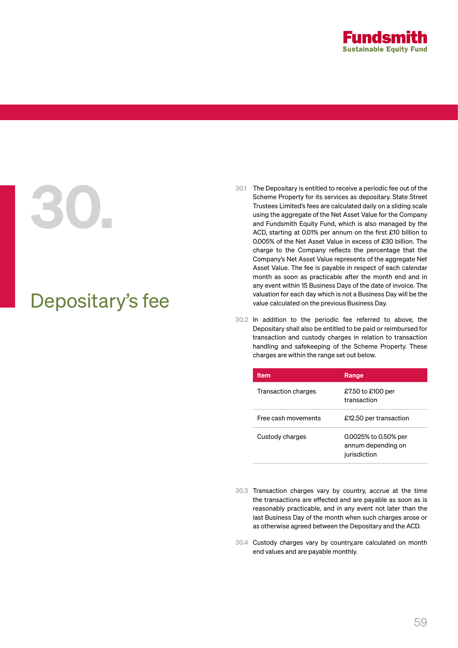

# Depositary's fee

- 30.1 The Depositary is entitled to receive a periodic fee out of the<br>Scheme Property for its services as depositary. State Street<br>Trustees Limited's fees are calculated daily on a sliding scale<br>using the aggregate of the N Scheme Property for its services as depositary. State Street Trustees Limited's fees are calculated daily on a sliding scale using the aggregate of the Net Asset Value for the Company and Fundsmith Equity Fund, which is also managed by the ACD, starting at 0.01% per annum on the first £10 billion to 0.005% of the Net Asset Value in excess of £30 billion. The charge to the Company reflects the percentage that the Company's Net Asset Value represents of the aggregate Net Asset Value. The fee is payable in respect of each calendar month as soon as practicable after the month end and in any event within 15 Business Days of the date of invoice. The valuation for each day which is not a Business Day will be the value calculated on the previous Business Day.
	- 30.2 In addition to the periodic fee referred to above, the Depositary shall also be entitled to be paid or reimbursed for transaction and custody charges in relation to transaction handling and safekeeping of the Scheme Property. These charges are within the range set out below.

| <b>Item</b>         | Range                                                      |
|---------------------|------------------------------------------------------------|
| Transaction charges | £7.50 to £100 per<br>transaction                           |
| Free cash movements | £12.50 per transaction                                     |
| Custody charges     | 0.0025% to 0.50% per<br>annum depending on<br>jurisdiction |

- 30.3 Transaction charges vary by country, accrue at the time the transactions are effected and are payable as soon as is reasonably practicable, and in any event not later than the last Business Day of the month when such charges arose or as otherwise agreed between the Depositary and the ACD.
- 30.4 Custody charges vary by country,are calculated on month end values and are payable monthly.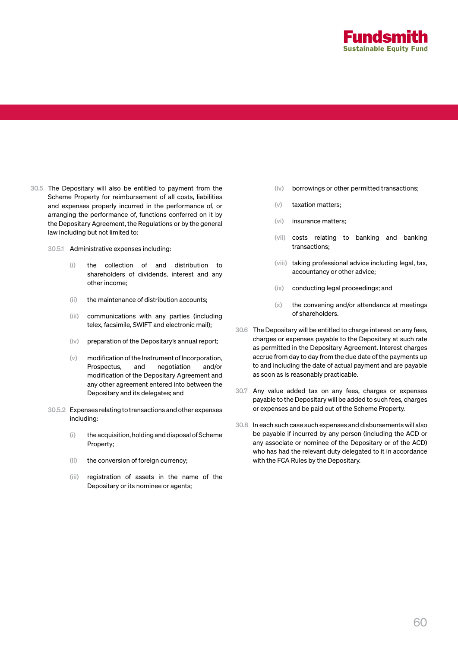

- 30.5 The Depositary will also be entitled to payment from the Scheme Property for reimbursement of all costs, liabilities and expenses properly incurred in the performance of, or arranging the performance of, functions conferred on it by the Depositary Agreement, the Regulations or by the general law including but not limited to:
	- 30.5.1 Administrative expenses including:
		- (i) the collection of and distribution to shareholders of dividends, interest and any other income;
		- (ii) the maintenance of distribution accounts;
		- (iii) communications with any parties (including telex, facsimile, SWIFT and electronic mail);
		- (iv) preparation of the Depositary's annual report;
		- (v) modification of the Instrument of Incorporation, Prospectus, and negotiation and/or modification of the Depositary Agreement and any other agreement entered into between the Depositary and its delegates; and
	- 30.5.2 Expenses relating to transactions and other expenses including:
		- (i) the acquisition, holding and disposal of Scheme Property;
		- (ii) the conversion of foreign currency;
		- (iii) registration of assets in the name of the Depositary or its nominee or agents;
- (iv) borrowings or other permitted transactions;
- (v) taxation matters;
- (vi) insurance matters;
- (vii) costs relating to banking and banking transactions;
- (viii) taking professional advice including legal, tax, accountancy or other advice;
- (ix) conducting legal proceedings; and
- $(x)$  the convening and/or attendance at meetings of shareholders.
- 30.6 The Depositary will be entitled to charge interest on any fees, charges or expenses payable to the Depositary at such rate as permitted in the Depositary Agreement. Interest charges accrue from day to day from the due date of the payments up to and including the date of actual payment and are payable as soon as is reasonably practicable.
- 30.7 Any value added tax on any fees, charges or expenses payable to the Depositary will be added to such fees, charges or expenses and be paid out of the Scheme Property.
- 30.8 In each such case such expenses and disbursements will also be payable if incurred by any person (including the ACD or any associate or nominee of the Depositary or of the ACD) who has had the relevant duty delegated to it in accordance with the FCA Rules by the Depositary.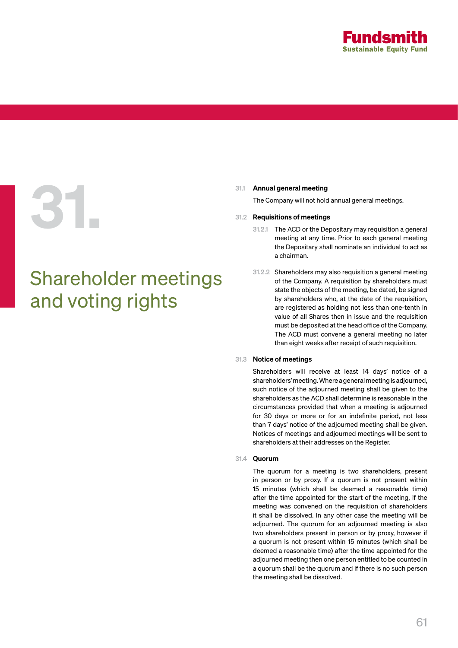

# 31.1 Annual general meeting<br>The Company will not hold<br>31.2 Requisitions of meeting:<br>31.2.1 The ACD or the De

# Shareholder meetings and voting rights

The Company will not hold annual general meetings.

# 31.2 Requisitions of meetings

- 31.2.1 The ACD or the Depositary may requisition a general meeting at any time. Prior to each general meeting the Depositary shall nominate an individual to act as a chairman.
- 31.2.2 Shareholders may also requisition a general meeting of the Company. A requisition by shareholders must state the objects of the meeting, be dated, be signed by shareholders who, at the date of the requisition, are registered as holding not less than one-tenth in value of all Shares then in issue and the requisition must be deposited at the head office of the Company. The ACD must convene a general meeting no later than eight weeks after receipt of such requisition.

# 31.3 Notice of meetings

Shareholders will receive at least 14 days' notice of a shareholders' meeting. Where a general meeting is adjourned, such notice of the adjourned meeting shall be given to the shareholders as the ACD shall determine is reasonable in the circumstances provided that when a meeting is adjourned for 30 days or more or for an indefinite period, not less than 7 days' notice of the adjourned meeting shall be given. Notices of meetings and adjourned meetings will be sent to shareholders at their addresses on the Register.

## 31.4 Quorum

The quorum for a meeting is two shareholders, present in person or by proxy. If a quorum is not present within 15 minutes (which shall be deemed a reasonable time) after the time appointed for the start of the meeting, if the meeting was convened on the requisition of shareholders it shall be dissolved. In any other case the meeting will be adjourned. The quorum for an adjourned meeting is also two shareholders present in person or by proxy, however if a quorum is not present within 15 minutes (which shall be deemed a reasonable time) after the time appointed for the adjourned meeting then one person entitled to be counted in a quorum shall be the quorum and if there is no such person the meeting shall be dissolved.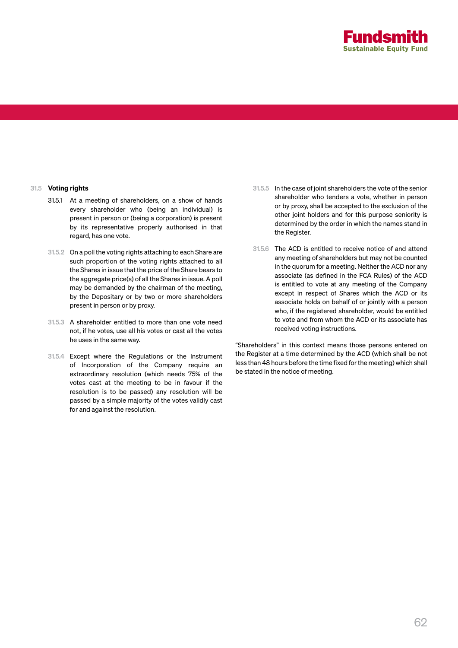

# 31.5 Voting rights

- 31.5.1 At a meeting of shareholders, on a show of hands every shareholder who (being an individual) is present in person or (being a corporation) is present by its representative properly authorised in that regard, has one vote.
- 31.5.2 On a poll the voting rights attaching to each Share are such proportion of the voting rights attached to all the Shares in issue that the price of the Share bears to the aggregate price(s) of all the Shares in issue. A poll may be demanded by the chairman of the meeting, by the Depositary or by two or more shareholders present in person or by proxy.
- 31.5.3 A shareholder entitled to more than one vote need not, if he votes, use all his votes or cast all the votes he uses in the same way.
- 31.5.4 Except where the Regulations or the Instrument of Incorporation of the Company require an extraordinary resolution (which needs 75% of the votes cast at the meeting to be in favour if the resolution is to be passed) any resolution will be passed by a simple majority of the votes validly cast for and against the resolution.
- 31.5.5 In the case of joint shareholders the vote of the senior shareholder who tenders a vote, whether in person or by proxy, shall be accepted to the exclusion of the other joint holders and for this purpose seniority is determined by the order in which the names stand in the Register.
- 31.5.6 The ACD is entitled to receive notice of and attend any meeting of shareholders but may not be counted in the quorum for a meeting. Neither the ACD nor any associate (as defined in the FCA Rules) of the ACD is entitled to vote at any meeting of the Company except in respect of Shares which the ACD or its associate holds on behalf of or jointly with a person who, if the registered shareholder, would be entitled to vote and from whom the ACD or its associate has received voting instructions.

"Shareholders" in this context means those persons entered on the Register at a time determined by the ACD (which shall be not less than 48 hours before the time fixed for the meeting) which shall be stated in the notice of meeting.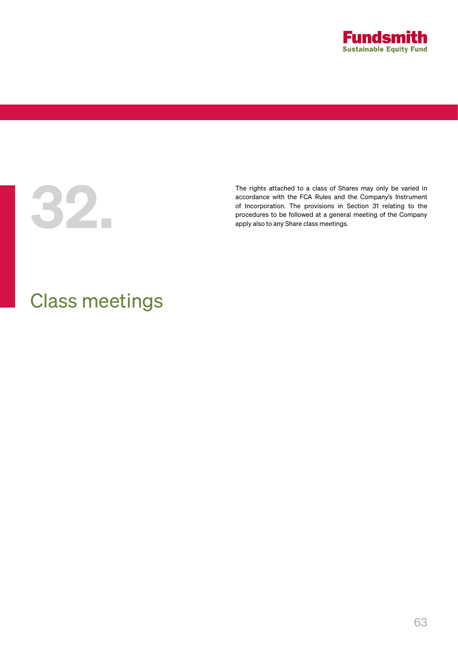



The rights attached to a class of Shares may only be varied in<br>accordance with the FCA Rules and the Company's Instrument<br>of Incorporation. The provisions in Section 31 relating to the<br>procedures to be followed at a genera accordance with the FCA Rules and the Company's Instrument of Incorporation. The provisions in Section 31 relating to the procedures to be followed at a general meeting of the Company apply also to any Share class meetings.

# Class meetings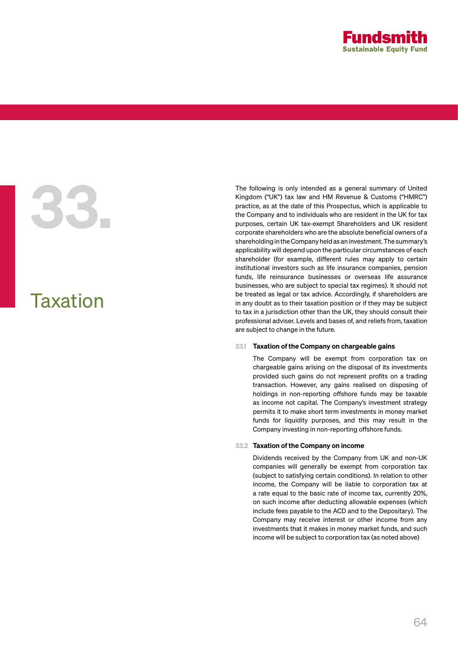

# Taxation

The following is only intended as a general summary of United<br>Kingdom ("UK") tax law and HM Revenue & Customs ("HMRC")<br>practice, as at the date of this Prospectus, which is applicable to<br>the Company and to individuals who Kingdom ("UK") tax law and HM Revenue & Customs ("HMRC") practice, as at the date of this Prospectus, which is applicable to the Company and to individuals who are resident in the UK for tax purposes, certain UK tax-exempt Shareholders and UK resident corporate shareholders who are the absolute beneficial owners of a shareholding in the Company held as an investment. The summary's applicability will depend upon the particular circumstances of each shareholder (for example, different rules may apply to certain institutional investors such as life insurance companies, pension funds, life reinsurance businesses or overseas life assurance businesses, who are subject to special tax regimes). It should not be treated as legal or tax advice. Accordingly, if shareholders are in any doubt as to their taxation position or if they may be subject to tax in a jurisdiction other than the UK, they should consult their professional adviser. Levels and bases of, and reliefs from, taxation are subject to change in the future.

## 33.1 Taxation of the Company on chargeable gains

The Company will be exempt from corporation tax on chargeable gains arising on the disposal of its investments provided such gains do not represent profits on a trading transaction. However, any gains realised on disposing of holdings in non-reporting offshore funds may be taxable as income not capital. The Company's investment strategy permits it to make short term investments in money market funds for liquidity purposes, and this may result in the Company investing in non-reporting offshore funds.

## 33.2 Taxation of the Company on income

Dividends received by the Company from UK and non-UK companies will generally be exempt from corporation tax (subject to satisfying certain conditions). In relation to other income, the Company will be liable to corporation tax at a rate equal to the basic rate of income tax, currently 20%, on such income after deducting allowable expenses (which include fees payable to the ACD and to the Depositary). The Company may receive interest or other income from any investments that it makes in money market funds, and such income will be subject to corporation tax (as noted above)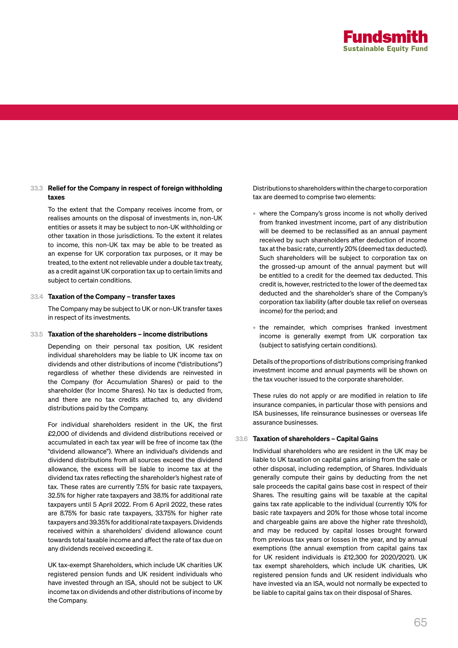

# 33.3 Relief for the Company in respect of foreign withholding taxes

To the extent that the Company receives income from, or realises amounts on the disposal of investments in, non-UK entities or assets it may be subject to non-UK withholding or other taxation in those jurisdictions. To the extent it relates to income, this non-UK tax may be able to be treated as an expense for UK corporation tax purposes, or it may be treated, to the extent not relievable under a double tax treaty, as a credit against UK corporation tax up to certain limits and subject to certain conditions.

### 33.4 Taxation of the Company – transfer taxes

The Company may be subject to UK or non-UK transfer taxes in respect of its investments.

# 33.5 Taxation of the shareholders – income distributions

Depending on their personal tax position, UK resident individual shareholders may be liable to UK income tax on dividends and other distributions of income ("distributions") regardless of whether these dividends are reinvested in the Company (for Accumulation Shares) or paid to the shareholder (for Income Shares). No tax is deducted from, and there are no tax credits attached to, any dividend distributions paid by the Company.

For individual shareholders resident in the UK, the first £2,000 of dividends and dividend distributions received or accumulated in each tax year will be free of income tax (the "dividend allowance"). Where an individual's dividends and dividend distributions from all sources exceed the dividend allowance, the excess will be liable to income tax at the dividend tax rates reflecting the shareholder's highest rate of tax. These rates are currently 7.5% for basic rate taxpayers, 32.5% for higher rate taxpayers and 38.1% for additional rate taxpayers until 5 April 2022. From 6 April 2022, these rates are 8.75% for basic rate taxpayers, 33.75% for higher rate taxpayers and 39.35% for additional rate taxpayers. Dividends received within a shareholders' dividend allowance count towards total taxable income and affect the rate of tax due on any dividends received exceeding it.

UK tax-exempt Shareholders, which include UK charities UK registered pension funds and UK resident individuals who have invested through an ISA, should not be subject to UK income tax on dividends and other distributions of income by the Company.

Distributions to shareholders within the charge to corporation tax are deemed to comprise two elements:

- where the Company's gross income is not wholly derived from franked investment income, part of any distribution will be deemed to be reclassified as an annual payment received by such shareholders after deduction of income tax at the basic rate, currently 20% (deemed tax deducted). Such shareholders will be subject to corporation tax on the grossed-up amount of the annual payment but will be entitled to a credit for the deemed tax deducted. This credit is, however, restricted to the lower of the deemed tax deducted and the shareholder's share of the Company's corporation tax liability (after double tax relief on overseas income) for the period; and
- the remainder, which comprises franked investment income is generally exempt from UK corporation tax (subject to satisfying certain conditions).

Details of the proportions of distributions comprising franked investment income and annual payments will be shown on the tax voucher issued to the corporate shareholder.

These rules do not apply or are modified in relation to life insurance companies, in particular those with pensions and ISA businesses, life reinsurance businesses or overseas life assurance businesses.

### 33.6 Taxation of shareholders – Capital Gains

Individual shareholders who are resident in the UK may be liable to UK taxation on capital gains arising from the sale or other disposal, including redemption, of Shares. Individuals generally compute their gains by deducting from the net sale proceeds the capital gains base cost in respect of their Shares. The resulting gains will be taxable at the capital gains tax rate applicable to the individual (currently 10% for basic rate taxpayers and 20% for those whose total income and chargeable gains are above the higher rate threshold), and may be reduced by capital losses brought forward from previous tax years or losses in the year, and by annual exemptions (the annual exemption from capital gains tax for UK resident individuals is £12,300 for 2020/2021). UK tax exempt shareholders, which include UK charities, UK registered pension funds and UK resident individuals who have invested via an ISA, would not normally be expected to be liable to capital gains tax on their disposal of Shares.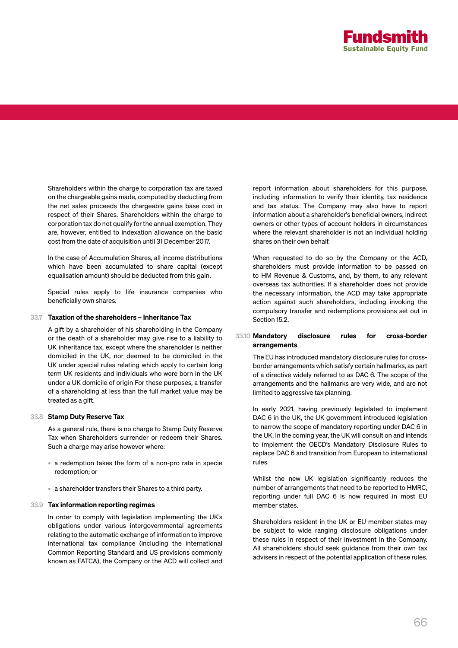

Shareholders within the charge to corporation tax are taxed on the chargeable gains made, computed by deducting from the net sales proceeds the chargeable gains base cost in respect of their Shares. Shareholders within the charge to corporation tax do not qualify for the annual exemption. They are, however, entitled to indexation allowance on the basic cost from the date of acquisition until 31 December 2017.

In the case of Accumulation Shares, all income distributions which have been accumulated to share capital (except equalisation amount) should be deducted from this gain.

Special rules apply to life insurance companies who beneficially own shares.

### 33.7 Taxation of the shareholders – Inheritance Tax

A gift by a shareholder of his shareholding in the Company or the death of a shareholder may give rise to a liability to UK inheritance tax, except where the shareholder is neither domiciled in the UK, nor deemed to be domiciled in the UK under special rules relating which apply to certain long term UK residents and individuals who were born in the UK under a UK domicile of origin For these purposes, a transfer of a shareholding at less than the full market value may be treated as a gift.

### 33.8 Stamp Duty Reserve Tax

As a general rule, there is no charge to Stamp Duty Reserve Tax when Shareholders surrender or redeem their Shares. Such a charge may arise however where:

- a redemption takes the form of a non-pro rata in specie redemption; or
- a shareholder transfers their Shares to a third party.

### 33.9 Tax information reporting regimes

In order to comply with legislation implementing the UK's obligations under various intergovernmental agreements relating to the automatic exchange of information to improve international tax compliance (including the international Common Reporting Standard and US provisions commonly known as FATCA), the Company or the ACD will collect and

report information about shareholders for this purpose, including information to verify their identity, tax residence and tax status. The Company may also have to report information about a shareholder's beneficial owners, indirect owners or other types of account holders in circumstances where the relevant shareholder is not an individual holding shares on their own behalf.

When requested to do so by the Company or the ACD, shareholders must provide information to be passed on to HM Revenue & Customs, and, by them, to any relevant overseas tax authorities. If a shareholder does not provide the necessary information, the ACD may take appropriate action against such shareholders, including invoking the compulsory transfer and redemptions provisions set out in Section 15.2.

### 33.10 Mandatory disclosure rules for cross-border arrangements

The EU has introduced mandatory disclosure rules for crossborder arrangements which satisfy certain hallmarks, as part of a directive widely referred to as DAC 6. The scope of the arrangements and the hallmarks are very wide, and are not limited to aggressive tax planning.

In early 2021, having previously legislated to implement DAC 6 in the UK, the UK government introduced legislation to narrow the scope of mandatory reporting under DAC 6 in the UK. In the coming year, the UK will consult on and intends to implement the OECD's Mandatory Disclosure Rules to replace DAC 6 and transition from European to international rules.

Whilst the new UK legislation significantly reduces the number of arrangements that need to be reported to HMRC, reporting under full DAC 6 is now required in most EU member states.

Shareholders resident in the UK or EU member states may be subject to wide ranging disclosure obligations under these rules in respect of their investment in the Company. All shareholders should seek guidance from their own tax advisers in respect of the potential application of these rules.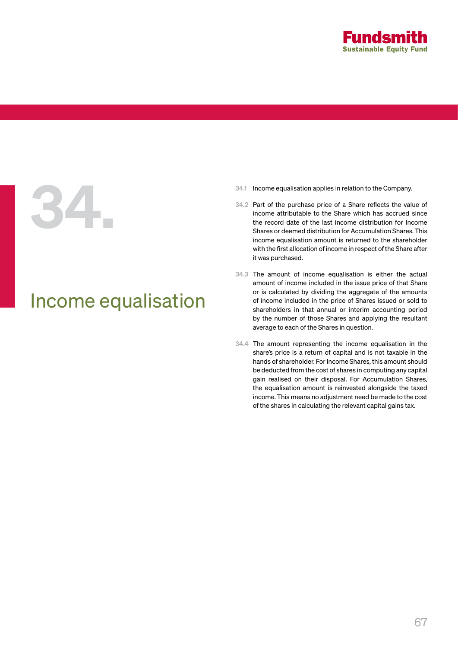

# Income equalisation

- 
- 34.1 Income equalisation applies in relation to the Company.<br>34.2 Part of the purchase price of a Share reflects the vale income attributable to the Share which has accrued<br>the record date of the last income distribution f 34.2 Part of the purchase price of a Share reflects the value of income attributable to the Share which has accrued since the record date of the last income distribution for Income Shares or deemed distribution for Accumulation Shares. This income equalisation amount is returned to the shareholder with the first allocation of income in respect of the Share after it was purchased.
	- 34.3 The amount of income equalisation is either the actual amount of income included in the issue price of that Share or is calculated by dividing the aggregate of the amounts of income included in the price of Shares issued or sold to shareholders in that annual or interim accounting period by the number of those Shares and applying the resultant average to each of the Shares in question.
	- 34.4 The amount representing the income equalisation in the share's price is a return of capital and is not taxable in the hands of shareholder. For Income Shares, this amount should be deducted from the cost of shares in computing any capital gain realised on their disposal. For Accumulation Shares, the equalisation amount is reinvested alongside the taxed income. This means no adjustment need be made to the cost of the shares in calculating the relevant capital gains tax.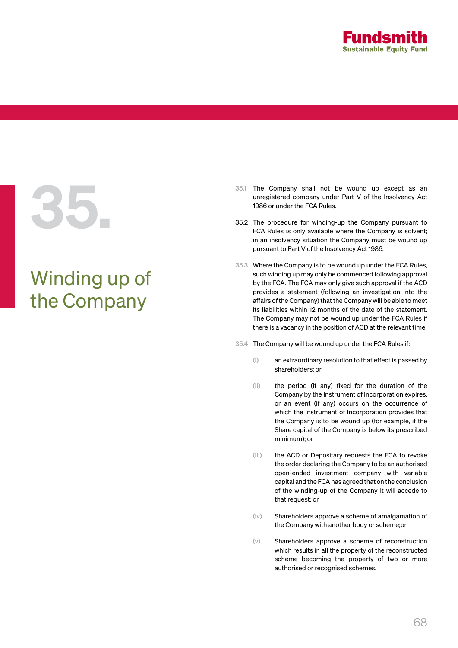

# Winding up of the Company

- 35.1 The Company shall not be wound up except as an unregistered company under Part V of the Insolvency Act 1986 or under the FCA Rules.<br>35.2 The procedure for winding-up the Company pursuant to FCA Rules is only available unregistered company under Part V of the Insolvency Act 1986 or under the FCA Rules.
	- 35.2 The procedure for winding-up the Company pursuant to FCA Rules is only available where the Company is solvent; in an insolvency situation the Company must be wound up pursuant to Part V of the Insolvency Act 1986.
	- 35.3 Where the Company is to be wound up under the FCA Rules, such winding up may only be commenced following approval by the FCA. The FCA may only give such approval if the ACD provides a statement (following an investigation into the affairs of the Company) that the Company will be able to meet its liabilities within 12 months of the date of the statement. The Company may not be wound up under the FCA Rules if there is a vacancy in the position of ACD at the relevant time.
	- 35.4 The Company will be wound up under the FCA Rules if:
		- (i) an extraordinary resolution to that effect is passed by shareholders; or
		- (ii) the period (if any) fixed for the duration of the Company by the Instrument of Incorporation expires, or an event (if any) occurs on the occurrence of which the Instrument of Incorporation provides that the Company is to be wound up (for example, if the Share capital of the Company is below its prescribed minimum); or
		- (iii) the ACD or Depositary requests the FCA to revoke the order declaring the Company to be an authorised open-ended investment company with variable capital and the FCA has agreed that on the conclusion of the winding-up of the Company it will accede to that request; or
		- (iv) Shareholders approve a scheme of amalgamation of the Company with another body or scheme;or
		- (v) Shareholders approve a scheme of reconstruction which results in all the property of the reconstructed scheme becoming the property of two or more authorised or recognised schemes.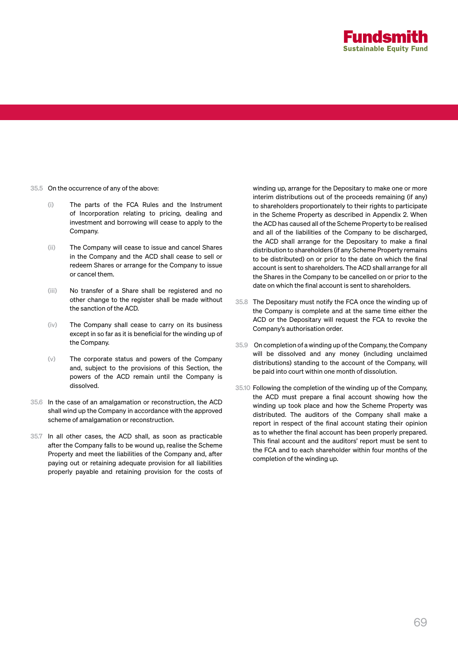

- 35.5 On the occurrence of any of the above:
	- (i) The parts of the FCA Rules and the Instrument of Incorporation relating to pricing, dealing and investment and borrowing will cease to apply to the Company.
	- (ii) The Company will cease to issue and cancel Shares in the Company and the ACD shall cease to sell or redeem Shares or arrange for the Company to issue or cancel them.
	- (iii) No transfer of a Share shall be registered and no other change to the register shall be made without the sanction of the ACD.
	- (iv) The Company shall cease to carry on its business except in so far as it is beneficial for the winding up of the Company.
	- (v) The corporate status and powers of the Company and, subject to the provisions of this Section, the powers of the ACD remain until the Company is dissolved.
- 35.6 In the case of an amalgamation or reconstruction, the ACD shall wind up the Company in accordance with the approved scheme of amalgamation or reconstruction.
- 35.7 In all other cases, the ACD shall, as soon as practicable after the Company falls to be wound up, realise the Scheme Property and meet the liabilities of the Company and, after paying out or retaining adequate provision for all liabilities properly payable and retaining provision for the costs of

winding up, arrange for the Depositary to make one or more interim distributions out of the proceeds remaining (if any) to shareholders proportionately to their rights to participate in the Scheme Property as described in Appendix 2. When the ACD has caused all of the Scheme Property to be realised and all of the liabilities of the Company to be discharged, the ACD shall arrange for the Depositary to make a final distribution to shareholders (if any Scheme Property remains to be distributed) on or prior to the date on which the final account is sent to shareholders. The ACD shall arrange for all the Shares in the Company to be cancelled on or prior to the date on which the final account is sent to shareholders.

- 35.8 The Depositary must notify the FCA once the winding up of the Company is complete and at the same time either the ACD or the Depositary will request the FCA to revoke the Company's authorisation order.
- 35.9 On completion of a winding up of the Company, the Company will be dissolved and any money (including unclaimed distributions) standing to the account of the Company, will be paid into court within one month of dissolution.
- 35.10 Following the completion of the winding up of the Company, the ACD must prepare a final account showing how the winding up took place and how the Scheme Property was distributed. The auditors of the Company shall make a report in respect of the final account stating their opinion as to whether the final account has been properly prepared. This final account and the auditors' report must be sent to the FCA and to each shareholder within four months of the completion of the winding up.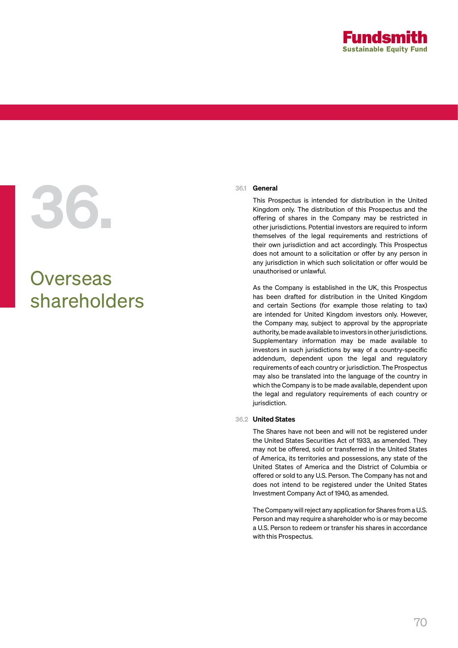

# 36.1 General<br>This Pro<br>Kingdom<br>offering

# **Overseas** shareholders

This Prospectus is intended for distribution in the United Kingdom only. The distribution of this Prospectus and the offering of shares in the Company may be restricted in other jurisdictions. Potential investors are required to inform themselves of the legal requirements and restrictions of their own jurisdiction and act accordingly. This Prospectus does not amount to a solicitation or offer by any person in any jurisdiction in which such solicitation or offer would be unauthorised or unlawful.

As the Company is established in the UK, this Prospectus has been drafted for distribution in the United Kingdom and certain Sections (for example those relating to tax) are intended for United Kingdom investors only. However, the Company may, subject to approval by the appropriate authority, be made available to investors in other jurisdictions. Supplementary information may be made available to investors in such jurisdictions by way of a country-specific addendum, dependent upon the legal and regulatory requirements of each country or jurisdiction. The Prospectus may also be translated into the language of the country in which the Company is to be made available, dependent upon the legal and regulatory requirements of each country or jurisdiction.

# 36.2 United States

The Shares have not been and will not be registered under the United States Securities Act of 1933, as amended. They may not be offered, sold or transferred in the United States of America, its territories and possessions, any state of the United States of America and the District of Columbia or offered or sold to any U.S. Person. The Company has not and does not intend to be registered under the United States Investment Company Act of 1940, as amended.

The Company will reject any application for Shares from a U.S. Person and may require a shareholder who is or may become a U.S. Person to redeem or transfer his shares in accordance with this Prospectus.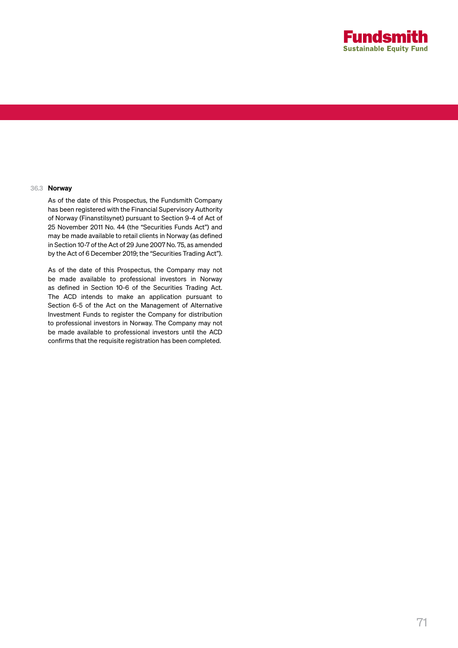

# 36.3 Norway

As of the date of this Prospectus, the Fundsmith Company has been registered with the Financial Supervisory Authority of Norway (Finanstilsynet) pursuant to Section 9-4 of Act of 25 November 2011 No. 44 (the "Securities Funds Act") and may be made available to retail clients in Norway (as defined in Section 10-7 of the Act of 29 June 2007 No. 75, as amended by the Act of 6 December 2019; the "Securities Trading Act").

As of the date of this Prospectus, the Company may not be made available to professional investors in Norway as defined in Section 10-6 of the Securities Trading Act. The ACD intends to make an application pursuant to Section 6-5 of the Act on the Management of Alternative Investment Funds to register the Company for distribution to professional investors in Norway. The Company may not be made available to professional investors until the ACD confirms that the requisite registration has been completed.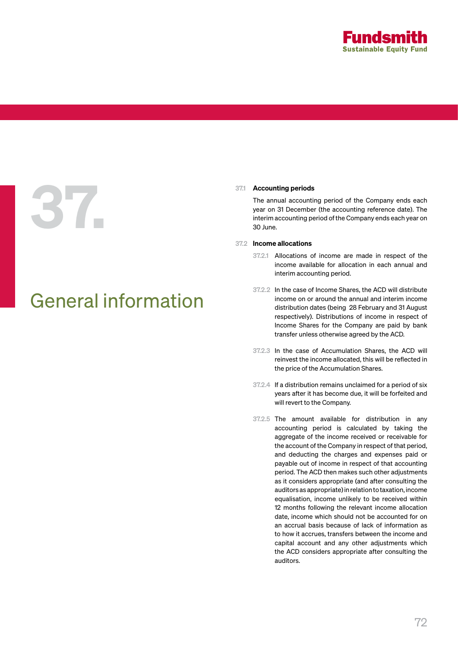

# 37.1 Accounting periods<br>The annual accounting year on 31 December<br>interim accounting he

# General information

The annual accounting period of the Company ends each year on 31 December (the accounting reference date). The interim accounting period of the Company ends each year on 30 June.

# 37.2 Income allocations

- 37.2.1 Allocations of income are made in respect of the income available for allocation in each annual and interim accounting period.
- 37.2.2 In the case of Income Shares, the ACD will distribute income on or around the annual and interim income distribution dates (being 28 February and 31 August respectively). Distributions of income in respect of Income Shares for the Company are paid by bank transfer unless otherwise agreed by the ACD.
- 37.2.3 In the case of Accumulation Shares, the ACD will reinvest the income allocated, this will be reflected in the price of the Accumulation Shares.
- 37.2.4 If a distribution remains unclaimed for a period of six years after it has become due, it will be forfeited and will revert to the Company.
- 37.2.5 The amount available for distribution in any accounting period is calculated by taking the aggregate of the income received or receivable for the account of the Company in respect of that period, and deducting the charges and expenses paid or payable out of income in respect of that accounting period. The ACD then makes such other adjustments as it considers appropriate (and after consulting the auditors as appropriate) in relation to taxation, income equalisation, income unlikely to be received within 12 months following the relevant income allocation date, income which should not be accounted for on an accrual basis because of lack of information as to how it accrues, transfers between the income and capital account and any other adjustments which the ACD considers appropriate after consulting the auditors.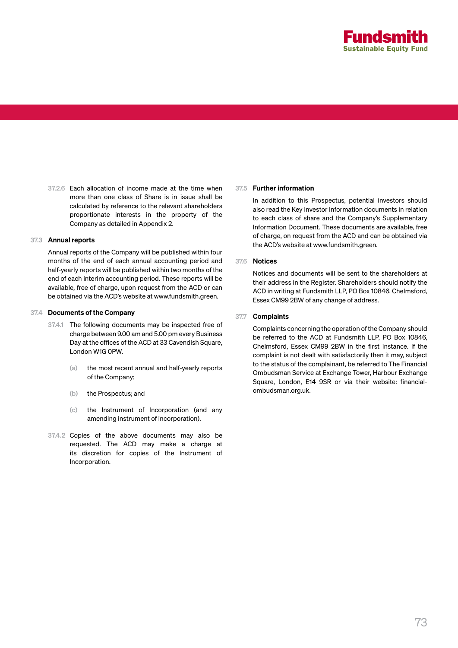

37.2.6 Each allocation of income made at the time when more than one class of Share is in issue shall be calculated by reference to the relevant shareholders proportionate interests in the property of the Company as detailed in Appendix 2.

### 37.3 Annual reports

Annual reports of the Company will be published within four months of the end of each annual accounting period and half-yearly reports will be published within two months of the end of each interim accounting period. These reports will be available, free of charge, upon request from the ACD or can be obtained via the ACD's website at www.fundsmith.green.

### 37.4 Documents of the Company

- 37.4.1 The following documents may be inspected free of charge between 9.00 am and 5.00 pm every Business Day at the offices of the ACD at 33 Cavendish Square, London W1G 0PW.
	- (a) the most recent annual and half-yearly reports of the Company;
	- (b) the Prospectus; and
	- (c) the Instrument of Incorporation (and any amending instrument of incorporation).
- 37.4.2 Copies of the above documents may also be requested. The ACD may make a charge at its discretion for copies of the Instrument of Incorporation.

### 37.5 Further information

In addition to this Prospectus, potential investors should also read the Key Investor Information documents in relation to each class of share and the Company's Supplementary Information Document. These documents are available, free of charge, on request from the ACD and can be obtained via the ACD's website at www.fundsmith.green.

### 37.6 Notices

Notices and documents will be sent to the shareholders at their address in the Register. Shareholders should notify the ACD in writing at Fundsmith LLP, PO Box 10846, Chelmsford, Essex CM99 2BW of any change of address.

### 37.7 Complaints

Complaints concerning the operation of the Company should be referred to the ACD at Fundsmith LLP, PO Box 10846, Chelmsford, Essex CM99 2BW in the first instance. If the complaint is not dealt with satisfactorily then it may, subject to the status of the complainant, be referred to The Financial Ombudsman Service at Exchange Tower, Harbour Exchange Square, London, E14 9SR or via their website: financialombudsman.org.uk.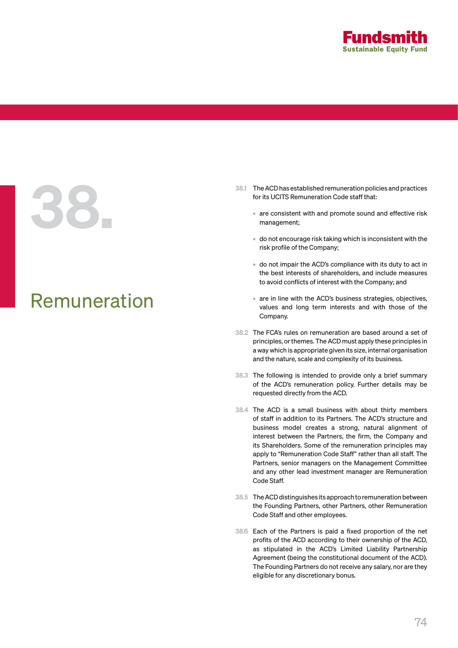

# 38.1 The ACD has established remuneration policies and practices<br>for its UCITS Remuneration Code staff that:<br>are consistent with and promote sound and effective risk<br>management;

### Remuneration

- for its UCITS Remuneration Code staff that:
	- are consistent with and promote sound and effective risk management;
	- do not encourage risk taking which is inconsistent with the risk profile of the Company;
	- do not impair the ACD's compliance with its duty to act in the best interests of shareholders, and include measures to avoid conflicts of interest with the Company; and
	- are in line with the ACD's business strategies, objectives, values and long term interests and with those of the Company.
- 38.2 The FCA's rules on remuneration are based around a set of principles, or themes. The ACD must apply these principles in a way which is appropriate given its size, internal organisation and the nature, scale and complexity of its business.
- 38.3 The following is intended to provide only a brief summary of the ACD's remuneration policy. Further details may be requested directly from the ACD.
- 38.4 The ACD is a small business with about thirty members of staff in addition to its Partners. The ACD's structure and business model creates a strong, natural alignment of interest between the Partners, the firm, the Company and its Shareholders. Some of the remuneration principles may apply to "Remuneration Code Staff" rather than all staff. The Partners, senior managers on the Management Committee and any other lead investment manager are Remuneration Code Staff.
- 38.5 The ACD distinguishes its approach to remuneration between the Founding Partners, other Partners, other Remuneration Code Staff and other employees.
- 38.6 Each of the Partners is paid a fixed proportion of the net profits of the ACD according to their ownership of the ACD, as stipulated in the ACD's Limited Liability Partnership Agreement (being the constitutional document of the ACD). The Founding Partners do not receive any salary, nor are they eligible for any discretionary bonus.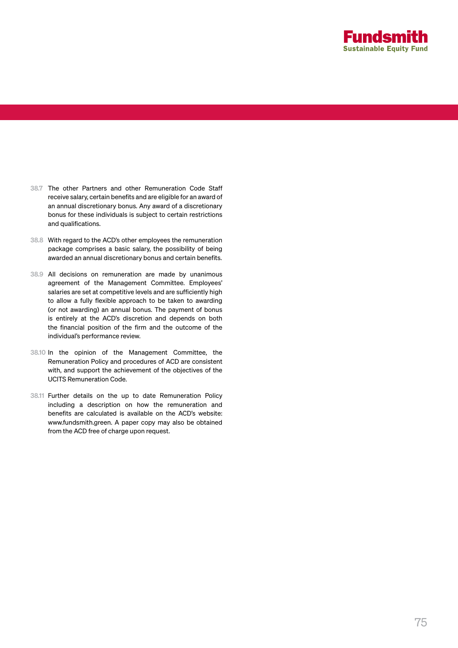

- 38.7 The other Partners and other Remuneration Code Staff receive salary, certain benefits and are eligible for an award of an annual discretionary bonus. Any award of a discretionary bonus for these individuals is subject to certain restrictions and qualifications.
- 38.8 With regard to the ACD's other employees the remuneration package comprises a basic salary, the possibility of being awarded an annual discretionary bonus and certain benefits.
- 38.9 All decisions on remuneration are made by unanimous agreement of the Management Committee. Employees' salaries are set at competitive levels and are sufficiently high to allow a fully flexible approach to be taken to awarding (or not awarding) an annual bonus. The payment of bonus is entirely at the ACD's discretion and depends on both the financial position of the firm and the outcome of the individual's performance review.
- 38.10 In the opinion of the Management Committee, the Remuneration Policy and procedures of ACD are consistent with, and support the achievement of the objectives of the UCITS Remuneration Code.
- 38.11 Further details on the up to date Remuneration Policy including a description on how the remuneration and benefits are calculated is available on the ACD's website: www.fundsmith.green. A paper copy may also be obtained from the ACD free of charge upon request.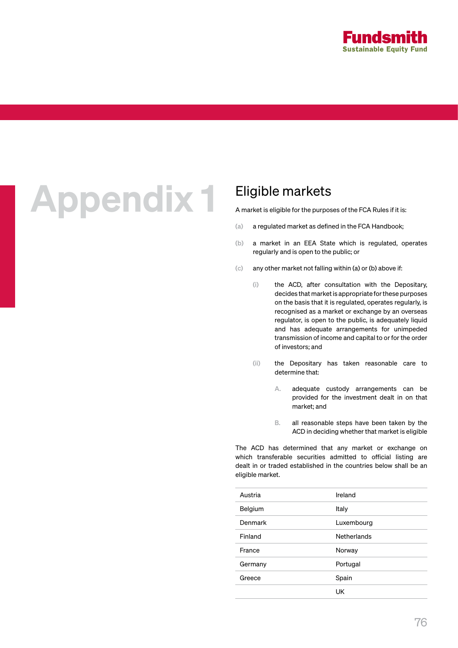

## Appendix 1 Eligible markets

A market is eligible for the purposes of the FCA Rules if it is:

- (a) a regulated market as defined in the FCA Handbook;
- (b) a market in an EEA State which is regulated, operates regularly and is open to the public; or
- (c) any other market not falling within (a) or (b) above if:
	- (i) the ACD, after consultation with the Depositary, decides that market is appropriate for these purposes on the basis that it is regulated, operates regularly, is recognised as a market or exchange by an overseas regulator, is open to the public, is adequately liquid and has adequate arrangements for unimpeded transmission of income and capital to or for the order of investors; and
	- (ii) the Depositary has taken reasonable care to determine that:
		- A. adequate custody arrangements can be provided for the investment dealt in on that market; and
		- B. all reasonable steps have been taken by the ACD in deciding whether that market is eligible

The ACD has determined that any market or exchange on which transferable securities admitted to official listing are dealt in or traded established in the countries below shall be an eligible market.

| Austria | Ireland            |
|---------|--------------------|
| Belgium | Italy              |
| Denmark | Luxembourg         |
| Finland | <b>Netherlands</b> |
| France  | Norway             |
| Germany | Portugal           |
| Greece  | Spain              |
|         | UK                 |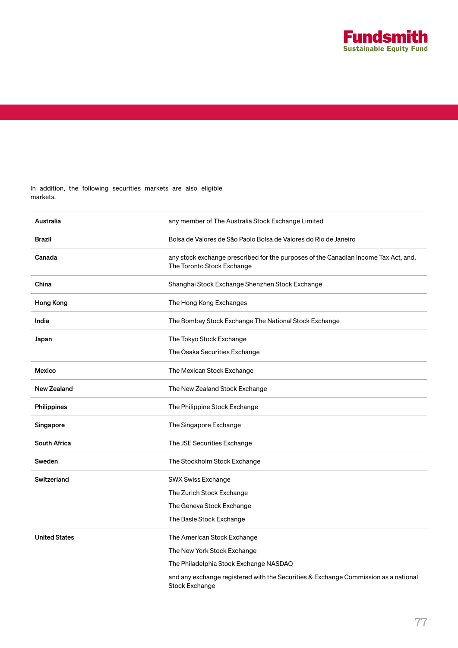

In addition, the following securities markets are also eligible markets.

| Australia            | any member of The Australia Stock Exchange Limited                                                                |
|----------------------|-------------------------------------------------------------------------------------------------------------------|
| <b>Brazil</b>        | Bolsa de Valores de São Paolo Bolsa de Valores do Rio de Janeiro                                                  |
| Canada               | any stock exchange prescribed for the purposes of the Canadian Income Tax Act, and,<br>The Toronto Stock Exchange |
| China                | Shanghai Stock Exchange Shenzhen Stock Exchange                                                                   |
| Hong Kong            | The Hong Kong Exchanges                                                                                           |
| India                | The Bombay Stock Exchange The National Stock Exchange                                                             |
| Japan                | The Tokyo Stock Exchange                                                                                          |
|                      | The Osaka Securities Exchange                                                                                     |
| Mexico               | The Mexican Stock Exchange                                                                                        |
| <b>New Zealand</b>   | The New Zealand Stock Exchange                                                                                    |
| Philippines          | The Philippine Stock Exchange                                                                                     |
| Singapore            | The Singapore Exchange                                                                                            |
| <b>South Africa</b>  | The JSE Securities Exchange                                                                                       |
| Sweden               | The Stockholm Stock Exchange                                                                                      |
| Switzerland          | <b>SWX Swiss Exchange</b>                                                                                         |
|                      | The Zurich Stock Exchange                                                                                         |
|                      | The Geneva Stock Exchange                                                                                         |
|                      | The Basle Stock Exchange                                                                                          |
| <b>United States</b> | The American Stock Exchange                                                                                       |
|                      | The New York Stock Exchange                                                                                       |
|                      | The Philadelphia Stock Exchange NASDAQ                                                                            |
|                      | and any exchange registered with the Securities & Exchange Commission as a national<br><b>Stock Exchange</b>      |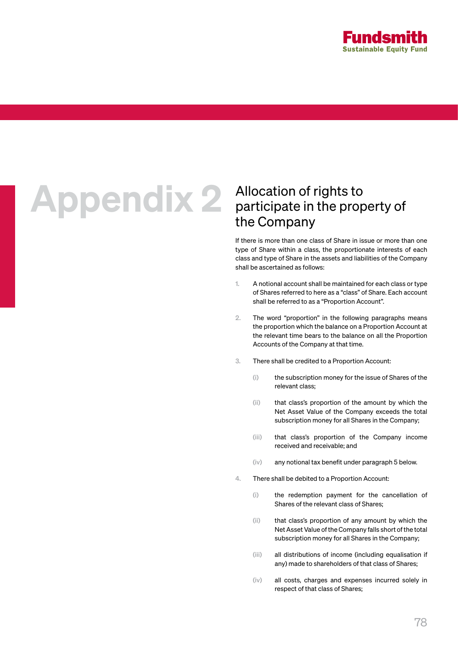

## Appendix 2 Allocation of rights to<br>participate in the prop

### participate in the property of the Company

If there is more than one class of Share in issue or more than one type of Share within a class, the proportionate interests of each class and type of Share in the assets and liabilities of the Company shall be ascertained as follows:

- 1. A notional account shall be maintained for each class or type of Shares referred to here as a "class" of Share. Each account shall be referred to as a "Proportion Account".
- 2. The word "proportion" in the following paragraphs means the proportion which the balance on a Proportion Account at the relevant time bears to the balance on all the Proportion Accounts of the Company at that time.
- 3. There shall be credited to a Proportion Account:
	- (i) the subscription money for the issue of Shares of the relevant class;
	- (ii) that class's proportion of the amount by which the Net Asset Value of the Company exceeds the total subscription money for all Shares in the Company;
	- (iii) that class's proportion of the Company income received and receivable; and
	- (iv) any notional tax benefit under paragraph 5 below.
- 4. There shall be debited to a Proportion Account:
	- (i) the redemption payment for the cancellation of Shares of the relevant class of Shares;
	- (ii) that class's proportion of any amount by which the Net Asset Value of the Company falls short of the total subscription money for all Shares in the Company;
	- (iii) all distributions of income (including equalisation if any) made to shareholders of that class of Shares;
	- (iv) all costs, charges and expenses incurred solely in respect of that class of Shares;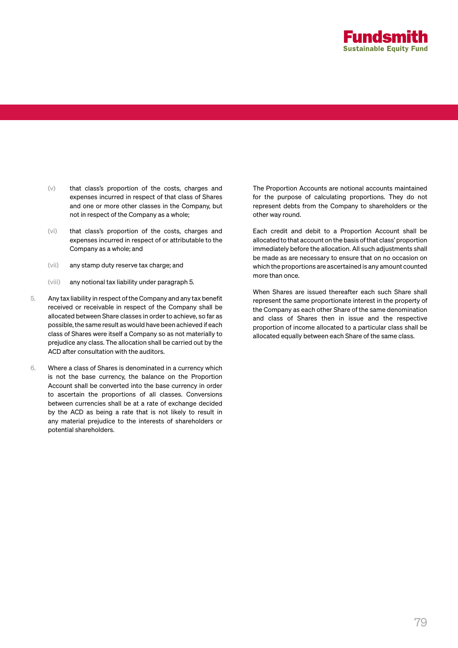

- (v) that class's proportion of the costs, charges and expenses incurred in respect of that class of Shares and one or more other classes in the Company, but not in respect of the Company as a whole;
- (vi) that class's proportion of the costs, charges and expenses incurred in respect of or attributable to the Company as a whole; and
- (vii) any stamp duty reserve tax charge; and
- (viii) any notional tax liability under paragraph 5.
- 5. Any tax liability in respect of the Company and any tax benefit received or receivable in respect of the Company shall be allocated between Share classes in order to achieve, so far as possible, the same result as would have been achieved if each class of Shares were itself a Company so as not materially to prejudice any class. The allocation shall be carried out by the ACD after consultation with the auditors.
- 6. Where a class of Shares is denominated in a currency which is not the base currency, the balance on the Proportion Account shall be converted into the base currency in order to ascertain the proportions of all classes. Conversions between currencies shall be at a rate of exchange decided by the ACD as being a rate that is not likely to result in any material prejudice to the interests of shareholders or potential shareholders.

The Proportion Accounts are notional accounts maintained for the purpose of calculating proportions. They do not represent debts from the Company to shareholders or the other way round.

Each credit and debit to a Proportion Account shall be allocated to that account on the basis of that class' proportion immediately before the allocation. All such adjustments shall be made as are necessary to ensure that on no occasion on which the proportions are ascertained is any amount counted more than once.

When Shares are issued thereafter each such Share shall represent the same proportionate interest in the property of the Company as each other Share of the same denomination and class of Shares then in issue and the respective proportion of income allocated to a particular class shall be allocated equally between each Share of the same class.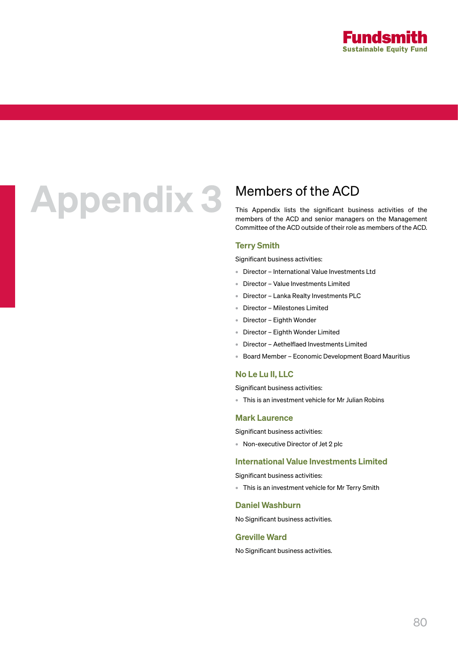

## Appendix 3 Members of the ACD<br>This Appendix lists the significant busi

This Appendix lists the significant business activities of the members of the ACD and senior managers on the Management Committee of the ACD outside of their role as members of the ACD.

### Terry Smith

Significant business activities:

- Director International Value Investments Ltd
- Director Value Investments Limited
- Director Lanka Realty Investments PLC
- Director Milestones Limited
- Director Eighth Wonder
- Director Eighth Wonder Limited
- Director Aethelflaed Investments Limited
- Board Member Economic Development Board Mauritius

### No Le Lu II, LLC

Significant business activities:

• This is an investment vehicle for Mr Julian Robins

### Mark Laurence

Significant business activities:

• Non-executive Director of Jet 2 plc

### International Value Investments Limited

Significant business activities:

• This is an investment vehicle for Mr Terry Smith

### Daniel Washburn

No Significant business activities.

### Greville Ward

No Significant business activities.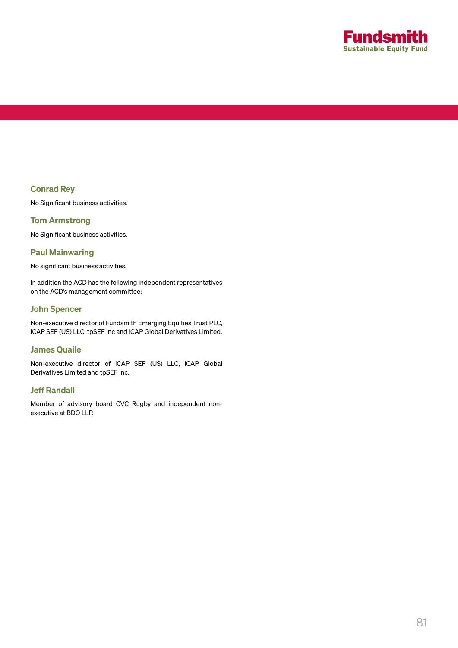

### Conrad Rey

No Significant business activities.

### Tom Armstrong

No Significant business activities.

### Paul Mainwaring

No significant business activities.

In addition the ACD has the following independent representatives on the ACD's management committee:

### John Spencer

Non-executive director of Fundsmith Emerging Equities Trust PLC, ICAP SEF (US) LLC, tpSEF Inc and ICAP Global Derivatives Limited.

### James Quaile

Non-executive director of ICAP SEF (US) LLC, ICAP Global Derivatives Limited and tpSEF Inc.

### Jeff Randall

Member of advisory board CVC Rugby and independent nonexecutive at BDO LLP.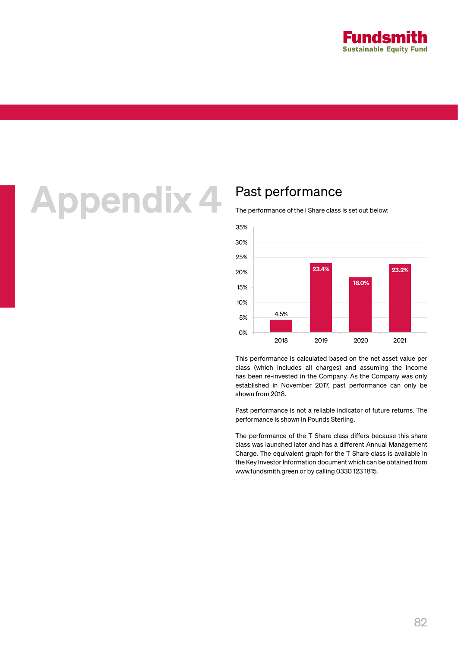

### Appendix 4 Past performance

The performance of the I Share class is set out below:



This performance is calculated based on the net asset value per class (which includes all charges) and assuming the income has been re-invested in the Company. As the Company was only established in November 2017, past performance can only be shown from 2018.

Past performance is not a reliable indicator of future returns. The performance is shown in Pounds Sterling.

The performance of the T Share class differs because this share class was launched later and has a different Annual Management Charge. The equivalent graph for the T Share class is available in the Key Investor Information document which can be obtained from www.fundsmith.green or by calling 0330 123 1815.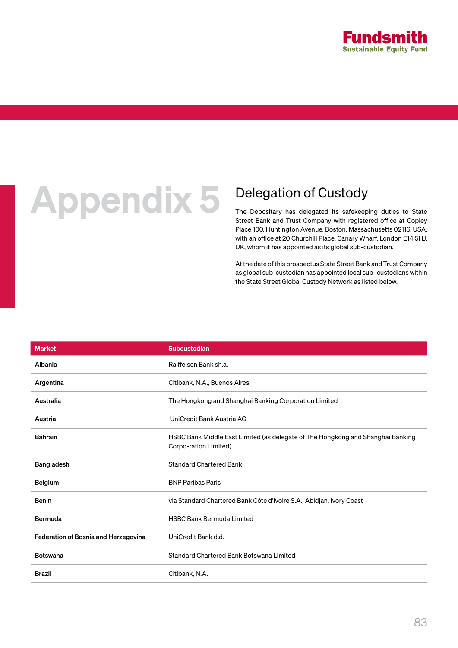

### **Appendix 5** Delegation of Custody<br>The Depositary has delegated its safekeep

The Depositary has delegated its safekeeping duties to State Street Bank and Trust Company with registered office at Copley Place 100, Huntington Avenue, Boston, Massachusetts 02116, USA, with an office at 20 Churchill Place, Canary Wharf, London E14 5HJ, UK, whom it has appointed as its global sub-custodian.

At the date of this prospectus State Street Bank and Trust Company as global sub-custodian has appointed local sub- custodians within the State Street Global Custody Network as listed below.

| <b>Market</b>                        | Subcustodian                                                                                             |
|--------------------------------------|----------------------------------------------------------------------------------------------------------|
| Albania                              | Raiffeisen Bank sh.a.                                                                                    |
| Argentina                            | Citibank, N.A., Buenos Aires                                                                             |
| Australia                            | The Hongkong and Shanghai Banking Corporation Limited                                                    |
| Austria                              | UniCredit Bank Austria AG                                                                                |
| <b>Bahrain</b>                       | HSBC Bank Middle East Limited (as delegate of The Hongkong and Shanghai Banking<br>Corpo-ration Limited) |
| Bangladesh                           | <b>Standard Chartered Bank</b>                                                                           |
| <b>Belgium</b>                       | <b>BNP Paribas Paris</b>                                                                                 |
| <b>Benin</b>                         | via Standard Chartered Bank Côte d'Ivoire S.A., Abidjan, Ivory Coast                                     |
| Bermuda                              | <b>HSBC Bank Bermuda Limited</b>                                                                         |
| Federation of Bosnia and Herzegovina | UniCredit Bank d.d.                                                                                      |
| <b>Botswana</b>                      | Standard Chartered Bank Botswana Limited                                                                 |
| <b>Brazil</b>                        | Citibank, N.A.                                                                                           |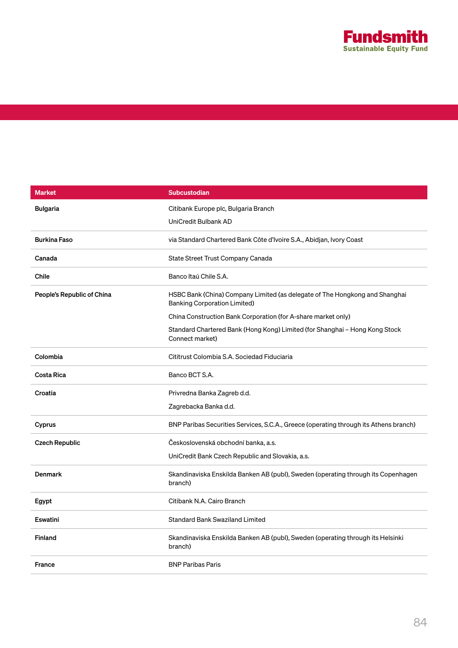

| <b>Market</b>              | <b>Subcustodian</b>                                                                                                |
|----------------------------|--------------------------------------------------------------------------------------------------------------------|
| <b>Bulgaria</b>            | Citibank Europe plc, Bulgaria Branch                                                                               |
|                            | UniCredit Bulbank AD                                                                                               |
| <b>Burkina Faso</b>        | via Standard Chartered Bank Côte d'Ivoire S.A., Abidjan, Ivory Coast                                               |
| Canada                     | State Street Trust Company Canada                                                                                  |
| <b>Chile</b>               | Banco Itaú Chile S.A.                                                                                              |
| People's Republic of China | HSBC Bank (China) Company Limited (as delegate of The Hongkong and Shanghai<br><b>Banking Corporation Limited)</b> |
|                            | China Construction Bank Corporation (for A-share market only)                                                      |
|                            | Standard Chartered Bank (Hong Kong) Limited (for Shanghai - Hong Kong Stock<br>Connect market)                     |
| Colombia                   | Cititrust Colombia S.A. Sociedad Fiduciaria                                                                        |
| Costa Rica                 | Banco BCT S.A.                                                                                                     |
| Croatia                    | Privredna Banka Zagreb d.d.                                                                                        |
|                            | Zagrebacka Banka d.d.                                                                                              |
| Cyprus                     | BNP Paribas Securities Services, S.C.A., Greece (operating through its Athens branch)                              |
| <b>Czech Republic</b>      | Československá obchodní banka, a.s.                                                                                |
|                            | UniCredit Bank Czech Republic and Slovakia, a.s.                                                                   |
| <b>Denmark</b>             | Skandinaviska Enskilda Banken AB (publ), Sweden (operating through its Copenhagen<br>branch)                       |
| Egypt                      | Citibank N.A. Cairo Branch                                                                                         |
| <b>Eswatini</b>            | <b>Standard Bank Swaziland Limited</b>                                                                             |
| <b>Finland</b>             | Skandinaviska Enskilda Banken AB (publ), Sweden (operating through its Helsinki<br>branch)                         |
| <b>France</b>              | <b>BNP Paribas Paris</b>                                                                                           |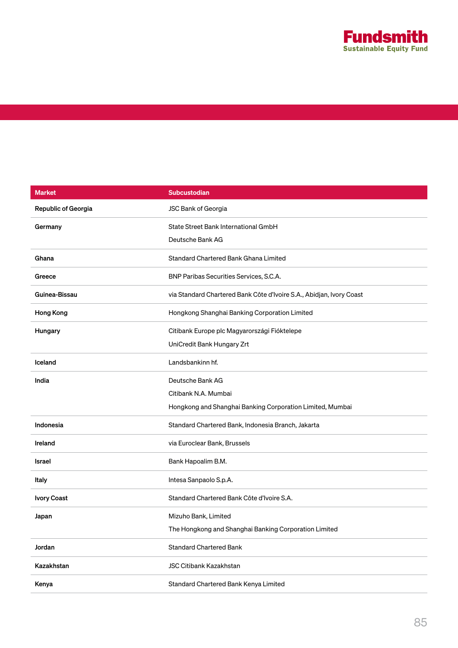

| <b>Market</b>              | <b>Subcustodian</b>                                                  |
|----------------------------|----------------------------------------------------------------------|
| <b>Republic of Georgia</b> | JSC Bank of Georgia                                                  |
| Germany                    | State Street Bank International GmbH                                 |
|                            | Deutsche Bank AG                                                     |
| Ghana                      | Standard Chartered Bank Ghana Limited                                |
| Greece                     | BNP Paribas Securities Services, S.C.A.                              |
| Guinea-Bissau              | via Standard Chartered Bank Côte d'Ivoire S.A., Abidjan, Ivory Coast |
| Hong Kong                  | Hongkong Shanghai Banking Corporation Limited                        |
| Hungary                    | Citibank Europe plc Magyarországi Fióktelepe                         |
|                            | UniCredit Bank Hungary Zrt                                           |
| Iceland                    | Landsbankinn hf.                                                     |
| India                      | Deutsche Bank AG                                                     |
|                            | Citibank N.A. Mumbai                                                 |
|                            | Hongkong and Shanghai Banking Corporation Limited, Mumbai            |
| Indonesia                  | Standard Chartered Bank, Indonesia Branch, Jakarta                   |
| Ireland                    | via Euroclear Bank, Brussels                                         |
| Israel                     | Bank Hapoalim B.M.                                                   |
| Italy                      | Intesa Sanpaolo S.p.A.                                               |
| <b>Ivory Coast</b>         | Standard Chartered Bank Côte d'Ivoire S.A.                           |
| Japan                      | Mizuho Bank, Limited                                                 |
|                            | The Hongkong and Shanghai Banking Corporation Limited                |
| Jordan                     | <b>Standard Chartered Bank</b>                                       |
| Kazakhstan                 | <b>JSC Citibank Kazakhstan</b>                                       |
| Kenya                      | Standard Chartered Bank Kenya Limited                                |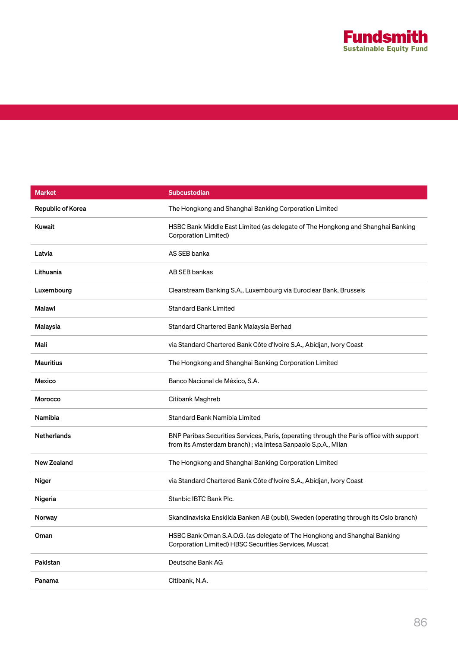

| <b>Market</b>      | <b>Subcustodian</b>                                                                                                                                       |
|--------------------|-----------------------------------------------------------------------------------------------------------------------------------------------------------|
| Republic of Korea  | The Hongkong and Shanghai Banking Corporation Limited                                                                                                     |
| Kuwait             | HSBC Bank Middle East Limited (as delegate of The Hongkong and Shanghai Banking<br>Corporation Limited)                                                   |
| Latvia             | AS SEB banka                                                                                                                                              |
| Lithuania          | AB SEB bankas                                                                                                                                             |
| Luxembourg         | Clearstream Banking S.A., Luxembourg via Euroclear Bank, Brussels                                                                                         |
| Malawi             | <b>Standard Bank Limited</b>                                                                                                                              |
| Malaysia           | Standard Chartered Bank Malaysia Berhad                                                                                                                   |
| Mali               | via Standard Chartered Bank Côte d'Ivoire S.A., Abidjan, Ivory Coast                                                                                      |
| <b>Mauritius</b>   | The Hongkong and Shanghai Banking Corporation Limited                                                                                                     |
| Mexico             | Banco Nacional de México, S.A.                                                                                                                            |
| Morocco            | Citibank Maghreb                                                                                                                                          |
| Namibia            | <b>Standard Bank Namibia Limited</b>                                                                                                                      |
| <b>Netherlands</b> | BNP Paribas Securities Services, Paris, (operating through the Paris office with support<br>from its Amsterdam branch); via Intesa Sanpaolo S.p.A., Milan |
| <b>New Zealand</b> | The Hongkong and Shanghai Banking Corporation Limited                                                                                                     |
| Niger              | via Standard Chartered Bank Côte d'Ivoire S.A., Abidjan, Ivory Coast                                                                                      |
| Nigeria            | Stanbic IBTC Bank Plc.                                                                                                                                    |
| Norway             | Skandinaviska Enskilda Banken AB (publ), Sweden (operating through its Oslo branch)                                                                       |
| Oman               | HSBC Bank Oman S.A.O.G. (as delegate of The Hongkong and Shanghai Banking<br>Corporation Limited) HBSC Securities Services, Muscat                        |
| Pakistan           | Deutsche Bank AG                                                                                                                                          |
| Panama             | Citibank, N.A.                                                                                                                                            |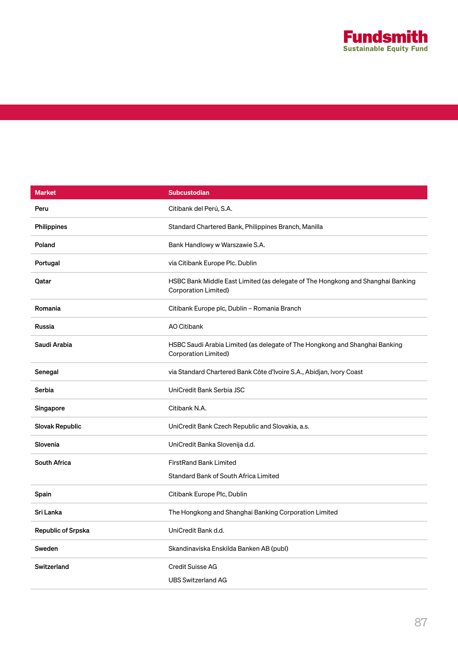

| <b>Market</b>          | <b>Subcustodian</b>                                                                                     |
|------------------------|---------------------------------------------------------------------------------------------------------|
| Peru                   | Citibank del Perú, S.A.                                                                                 |
| Philippines            | Standard Chartered Bank, Philippines Branch, Manilla                                                    |
| Poland                 | Bank Handlowy w Warszawie S.A.                                                                          |
| Portugal               | via Citibank Europe Plc. Dublin                                                                         |
| Qatar                  | HSBC Bank Middle East Limited (as delegate of The Hongkong and Shanghai Banking<br>Corporation Limited) |
| Romania                | Citibank Europe plc, Dublin - Romania Branch                                                            |
| Russia                 | AO Citibank                                                                                             |
| Saudi Arabia           | HSBC Saudi Arabia Limited (as delegate of The Hongkong and Shanghai Banking<br>Corporation Limited)     |
| Senegal                | via Standard Chartered Bank Côte d'Ivoire S.A., Abidjan, Ivory Coast                                    |
| Serbia                 | UniCredit Bank Serbia JSC                                                                               |
| Singapore              | Citibank N.A.                                                                                           |
| <b>Slovak Republic</b> | UniCredit Bank Czech Republic and Slovakia, a.s.                                                        |
| Slovenia               | UniCredit Banka Slovenija d.d.                                                                          |
| <b>South Africa</b>    | <b>FirstRand Bank Limited</b>                                                                           |
|                        | Standard Bank of South Africa Limited                                                                   |
| Spain                  | Citibank Europe Plc, Dublin                                                                             |
| Sri Lanka              | The Hongkong and Shanghai Banking Corporation Limited                                                   |
| Republic of Srpska     | UniCredit Bank d.d.                                                                                     |
| Sweden                 | Skandinaviska Enskilda Banken AB (publ)                                                                 |
| Switzerland            | <b>Credit Suisse AG</b>                                                                                 |
|                        | <b>UBS Switzerland AG</b>                                                                               |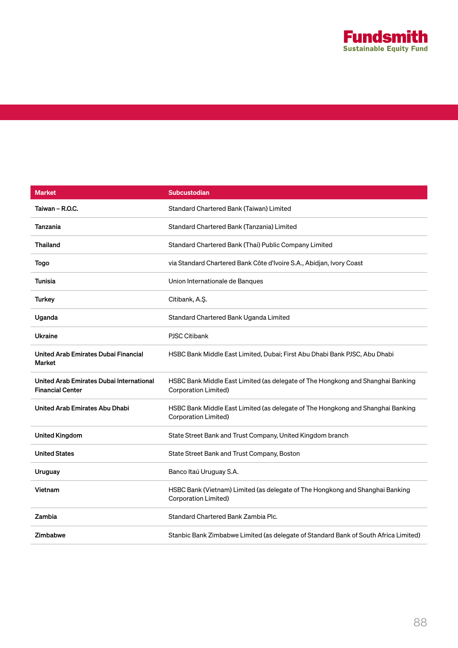

| <b>Market</b>                                                       | <b>Subcustodian</b>                                                                                     |
|---------------------------------------------------------------------|---------------------------------------------------------------------------------------------------------|
| Taiwan - R.O.C.                                                     | Standard Chartered Bank (Taiwan) Limited                                                                |
| Tanzania                                                            | Standard Chartered Bank (Tanzania) Limited                                                              |
| <b>Thailand</b>                                                     | Standard Chartered Bank (Thai) Public Company Limited                                                   |
| Togo                                                                | via Standard Chartered Bank Côte d'Ivoire S.A., Abidjan, Ivory Coast                                    |
| Tunisia                                                             | Union Internationale de Banques                                                                         |
| <b>Turkey</b>                                                       | Citibank, A.Ş.                                                                                          |
| Uganda                                                              | Standard Chartered Bank Uganda Limited                                                                  |
| <b>Ukraine</b>                                                      | <b>PJSC Citibank</b>                                                                                    |
| United Arab Emirates Dubai Financial<br>Market                      | HSBC Bank Middle East Limited, Dubai; First Abu Dhabi Bank PJSC, Abu Dhabi                              |
| United Arab Emirates Dubai International<br><b>Financial Center</b> | HSBC Bank Middle East Limited (as delegate of The Hongkong and Shanghai Banking<br>Corporation Limited) |
| United Arab Emirates Abu Dhabi                                      | HSBC Bank Middle East Limited (as delegate of The Hongkong and Shanghai Banking<br>Corporation Limited) |
| <b>United Kingdom</b>                                               | State Street Bank and Trust Company, United Kingdom branch                                              |
| <b>United States</b>                                                | State Street Bank and Trust Company, Boston                                                             |
| Uruguay                                                             | Banco Itaú Uruguay S.A.                                                                                 |
| Vietnam                                                             | HSBC Bank (Vietnam) Limited (as delegate of The Hongkong and Shanghai Banking<br>Corporation Limited)   |
| Zambia                                                              | Standard Chartered Bank Zambia Plc.                                                                     |
| Zimbabwe                                                            | Stanbic Bank Zimbabwe Limited (as delegate of Standard Bank of South Africa Limited)                    |